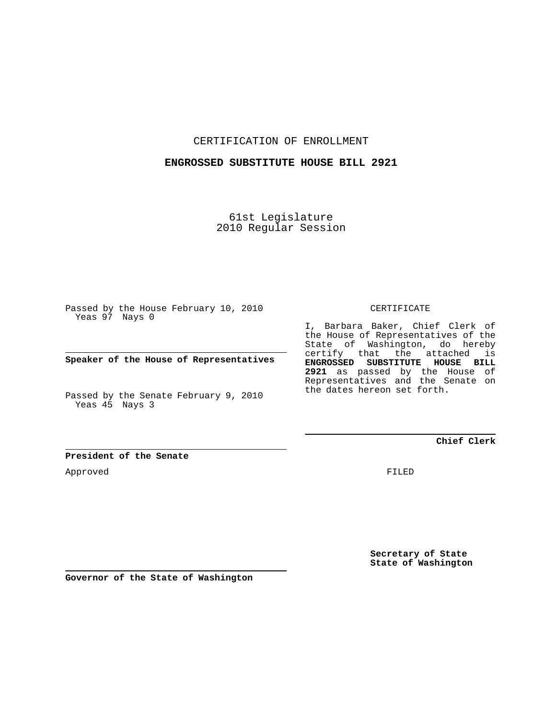CERTIFICATION OF ENROLLMENT

#### **ENGROSSED SUBSTITUTE HOUSE BILL 2921**

61st Legislature 2010 Regular Session

Passed by the House February 10, 2010 Yeas 97 Nays 0

**Speaker of the House of Representatives**

Passed by the Senate February 9, 2010 Yeas 45 Nays 3

#### **President of the Senate**

Approved

CERTIFICATE

I, Barbara Baker, Chief Clerk of the House of Representatives of the State of Washington, do hereby certify that the attached is **ENGROSSED SUBSTITUTE HOUSE BILL 2921** as passed by the House of Representatives and the Senate on the dates hereon set forth.

**Chief Clerk**

FILED

**Secretary of State State of Washington**

**Governor of the State of Washington**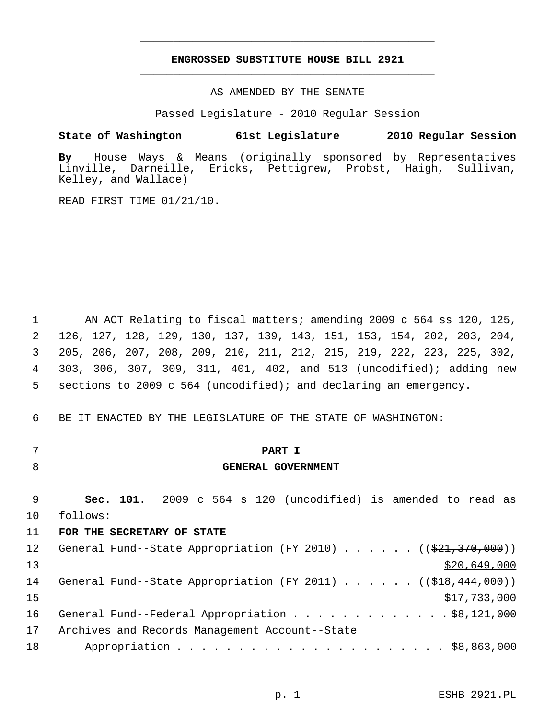### **ENGROSSED SUBSTITUTE HOUSE BILL 2921** \_\_\_\_\_\_\_\_\_\_\_\_\_\_\_\_\_\_\_\_\_\_\_\_\_\_\_\_\_\_\_\_\_\_\_\_\_\_\_\_\_\_\_\_\_

\_\_\_\_\_\_\_\_\_\_\_\_\_\_\_\_\_\_\_\_\_\_\_\_\_\_\_\_\_\_\_\_\_\_\_\_\_\_\_\_\_\_\_\_\_

AS AMENDED BY THE SENATE

Passed Legislature - 2010 Regular Session

#### **State of Washington 61st Legislature 2010 Regular Session**

**By** House Ways & Means (originally sponsored by Representatives Linville, Darneille, Ericks, Pettigrew, Probst, Haigh, Sullivan, Kelley, and Wallace)

READ FIRST TIME 01/21/10.

 1 AN ACT Relating to fiscal matters; amending 2009 c 564 ss 120, 125, 2 126, 127, 128, 129, 130, 137, 139, 143, 151, 153, 154, 202, 203, 204, 3 205, 206, 207, 208, 209, 210, 211, 212, 215, 219, 222, 223, 225, 302, 4 303, 306, 307, 309, 311, 401, 402, and 513 (uncodified); adding new 5 sections to 2009 c 564 (uncodified); and declaring an emergency.

6 BE IT ENACTED BY THE LEGISLATURE OF THE STATE OF WASHINGTON:

- 
- 

### 7 **PART I**

#### 8 **GENERAL GOVERNMENT**

 9 **Sec. 101.** 2009 c 564 s 120 (uncodified) is amended to read as 10 follows:

#### 11 **FOR THE SECRETARY OF STATE**

| 12 <sup>°</sup> | General Fund--State Appropriation (FY 2010) ( $(\frac{21}{7}370,000)$ )            |
|-----------------|------------------------------------------------------------------------------------|
| 13              | \$20,649,000                                                                       |
| 14              | General Fund--State Appropriation (FY 2011) ( $(\frac{248}{18}, \frac{444}{1000})$ |
| 15              | \$17,733,000                                                                       |
| 16              | General Fund--Federal Appropriation \$8,121,000                                    |
| 17              | Archives and Records Management Account--State                                     |
| 18              |                                                                                    |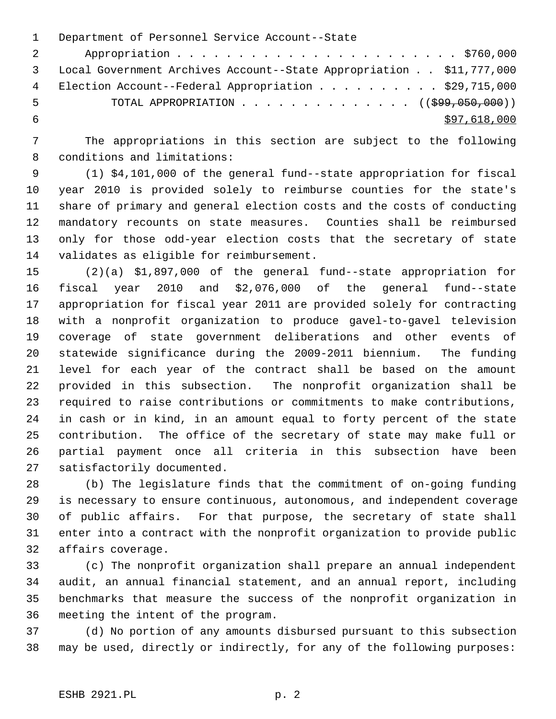1 Department of Personnel Service Account--State 2 Appropriation . . . . . . . . . . . . . . . . . . . . . . . \$760,000 3 Local Government Archives Account--State Appropriation . . \$11,777,000 4 Election Account--Federal Appropriation . . . . . . . . . \$29,715,000 5 TOTAL APPROPRIATION . . . . . . . . . . . . . . ((\$99,050,000))  $\frac{$97,618,000}{ }$ 

 7 The appropriations in this section are subject to the following 8 conditions and limitations:

 9 (1) \$4,101,000 of the general fund--state appropriation for fiscal 10 year 2010 is provided solely to reimburse counties for the state's 11 share of primary and general election costs and the costs of conducting 12 mandatory recounts on state measures. Counties shall be reimbursed 13 only for those odd-year election costs that the secretary of state 14 validates as eligible for reimbursement.

15 (2)(a) \$1,897,000 of the general fund--state appropriation for 16 fiscal year 2010 and \$2,076,000 of the general fund--state 17 appropriation for fiscal year 2011 are provided solely for contracting 18 with a nonprofit organization to produce gavel-to-gavel television 19 coverage of state government deliberations and other events of 20 statewide significance during the 2009-2011 biennium. The funding 21 level for each year of the contract shall be based on the amount 22 provided in this subsection. The nonprofit organization shall be 23 required to raise contributions or commitments to make contributions, 24 in cash or in kind, in an amount equal to forty percent of the state 25 contribution. The office of the secretary of state may make full or 26 partial payment once all criteria in this subsection have been 27 satisfactorily documented.

28 (b) The legislature finds that the commitment of on-going funding 29 is necessary to ensure continuous, autonomous, and independent coverage 30 of public affairs. For that purpose, the secretary of state shall 31 enter into a contract with the nonprofit organization to provide public 32 affairs coverage.

33 (c) The nonprofit organization shall prepare an annual independent 34 audit, an annual financial statement, and an annual report, including 35 benchmarks that measure the success of the nonprofit organization in 36 meeting the intent of the program.

37 (d) No portion of any amounts disbursed pursuant to this subsection 38 may be used, directly or indirectly, for any of the following purposes: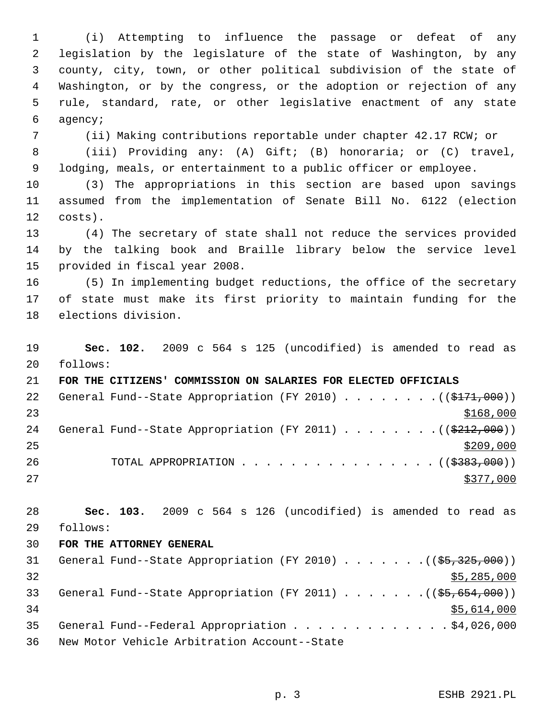1 (i) Attempting to influence the passage or defeat of any 2 legislation by the legislature of the state of Washington, by any 3 county, city, town, or other political subdivision of the state of 4 Washington, or by the congress, or the adoption or rejection of any 5 rule, standard, rate, or other legislative enactment of any state 6 agency;

7 (ii) Making contributions reportable under chapter 42.17 RCW; or

 8 (iii) Providing any: (A) Gift; (B) honoraria; or (C) travel, 9 lodging, meals, or entertainment to a public officer or employee.

10 (3) The appropriations in this section are based upon savings 11 assumed from the implementation of Senate Bill No. 6122 (election 12 costs).

13 (4) The secretary of state shall not reduce the services provided 14 by the talking book and Braille library below the service level 15 provided in fiscal year 2008.

16 (5) In implementing budget reductions, the office of the secretary 17 of state must make its first priority to maintain funding for the 18 elections division.

19 **Sec. 102.** 2009 c 564 s 125 (uncodified) is amended to read as 20 follows:

21 **FOR THE CITIZENS' COMMISSION ON SALARIES FOR ELECTED OFFICIALS** 22 General Fund--State Appropriation (FY 2010)  $\ldots$  . . . . . . ((\$171,000))  $23$   $\frac{$168,000}{9}$ 24 General Fund--State Appropriation (FY 2011)  $\ldots$  ...... ((\$212,000))  $25$ 26 TOTAL APPROPRIATION . . . . . . . . . . . . . . . ((\$383,000))  $27$ 

28 **Sec. 103.** 2009 c 564 s 126 (uncodified) is amended to read as 29 follows:

### 30 **FOR THE ATTORNEY GENERAL**

| 31 | General Fund--State Appropriation (FY 2010) $($ $(\frac{25}{325}, \frac{325}{300})$ |  |
|----|-------------------------------------------------------------------------------------|--|
| 32 | \$5,285,000                                                                         |  |
| 33 | General Fund--State Appropriation (FY 2011) ( $(\frac{25}{65}, \frac{654}{600})$ )  |  |
| 34 | \$5,614,000                                                                         |  |
| 35 | General Fund--Federal Appropriation \$4,026,000                                     |  |
| 36 | New Motor Vehicle Arbitration Account--State                                        |  |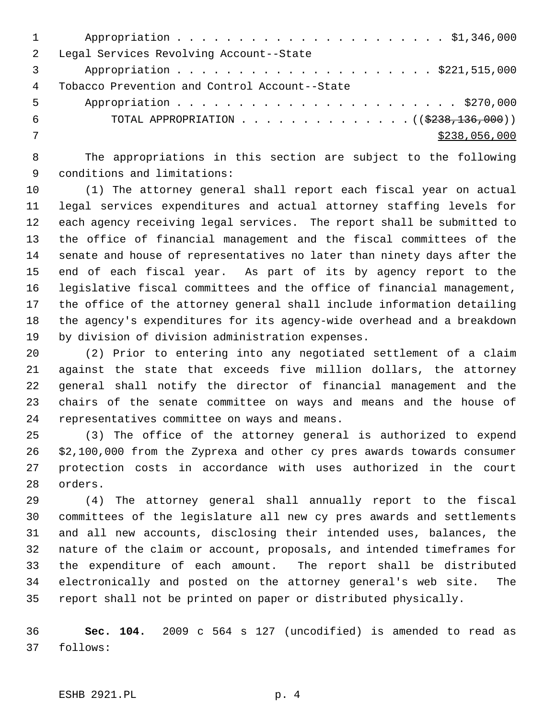| $\overline{2}$ | Legal Services Revolving Account--State                      |
|----------------|--------------------------------------------------------------|
|                |                                                              |
| 4              | Tobacco Prevention and Control Account--State                |
| 5              |                                                              |
| 6              | TOTAL APPROPRIATION $\ldots$ , ( $(\frac{2238}{136}, 000)$ ) |
|                | \$238,056,000                                                |
|                |                                                              |

 8 The appropriations in this section are subject to the following 9 conditions and limitations:

10 (1) The attorney general shall report each fiscal year on actual 11 legal services expenditures and actual attorney staffing levels for 12 each agency receiving legal services. The report shall be submitted to 13 the office of financial management and the fiscal committees of the 14 senate and house of representatives no later than ninety days after the 15 end of each fiscal year. As part of its by agency report to the 16 legislative fiscal committees and the office of financial management, 17 the office of the attorney general shall include information detailing 18 the agency's expenditures for its agency-wide overhead and a breakdown 19 by division of division administration expenses.

20 (2) Prior to entering into any negotiated settlement of a claim 21 against the state that exceeds five million dollars, the attorney 22 general shall notify the director of financial management and the 23 chairs of the senate committee on ways and means and the house of 24 representatives committee on ways and means.

25 (3) The office of the attorney general is authorized to expend 26 \$2,100,000 from the Zyprexa and other cy pres awards towards consumer 27 protection costs in accordance with uses authorized in the court 28 orders.

29 (4) The attorney general shall annually report to the fiscal 30 committees of the legislature all new cy pres awards and settlements 31 and all new accounts, disclosing their intended uses, balances, the 32 nature of the claim or account, proposals, and intended timeframes for 33 the expenditure of each amount. The report shall be distributed 34 electronically and posted on the attorney general's web site. The 35 report shall not be printed on paper or distributed physically.

36 **Sec. 104.** 2009 c 564 s 127 (uncodified) is amended to read as 37 follows: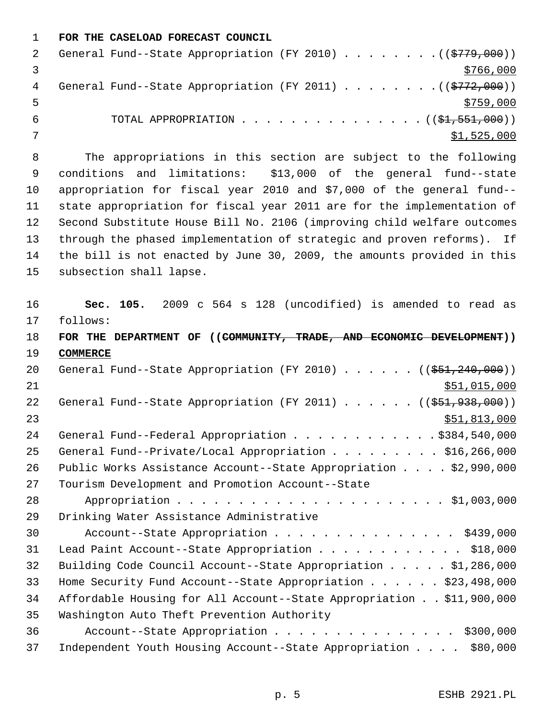1 **FOR THE CASELOAD FORECAST COUNCIL**

|   | General Fund--State Appropriation (FY 2010) ( $(\frac{2779}{100})$ ) |
|---|----------------------------------------------------------------------|
|   | \$766,000                                                            |
| 4 | General Fund--State Appropriation (FY 2011) ( $(\frac{2772}{100})$ ) |
|   | \$759,000                                                            |
|   | TOTAL APPROPRIATION $\ldots$ , ( $(\frac{1}{2}, 551, 000)$ )         |
|   | \$1,525,000                                                          |

 8 The appropriations in this section are subject to the following 9 conditions and limitations: \$13,000 of the general fund--state 10 appropriation for fiscal year 2010 and \$7,000 of the general fund-- 11 state appropriation for fiscal year 2011 are for the implementation of 12 Second Substitute House Bill No. 2106 (improving child welfare outcomes 13 through the phased implementation of strategic and proven reforms). If 14 the bill is not enacted by June 30, 2009, the amounts provided in this 15 subsection shall lapse.

16 **Sec. 105.** 2009 c 564 s 128 (uncodified) is amended to read as 17 follows: 18 **FOR THE DEPARTMENT OF ((COMMUNITY, TRADE, AND ECONOMIC DEVELOPMENT))** 19 **COMMERCE** 20 General Fund--State Appropriation (FY 2010) . . . . . . ((\$51,240,000)) 21 \$51,015,000 \$51,015,000 22 General Fund--State Appropriation (FY 2011) . . . . . . ((\$51,938,000)) 23 \$51,813,000 24 General Fund--Federal Appropriation . . . . . . . . . . . \$384,540,000 25 General Fund--Private/Local Appropriation . . . . . . . . . \$16,266,000 26 Public Works Assistance Account--State Appropriation . . . . \$2,990,000 27 Tourism Development and Promotion Account--State 28 Appropriation . . . . . . . . . . . . . . . . . . . . . . \$1,003,000 29 Drinking Water Assistance Administrative 30 Account--State Appropriation . . . . . . . . . . . . . . . \$439,000 31 Lead Paint Account--State Appropriation . . . . . . . . . . . . \$18,000 32 Building Code Council Account--State Appropriation . . . . . \$1,286,000 33 Home Security Fund Account--State Appropriation . . . . . . \$23,498,000 34 Affordable Housing for All Account--State Appropriation . . \$11,900,000 35 Washington Auto Theft Prevention Authority 36 Account--State Appropriation . . . . . . . . . . . . . . . \$300,000 37 Independent Youth Housing Account--State Appropriation . . . . \$80,000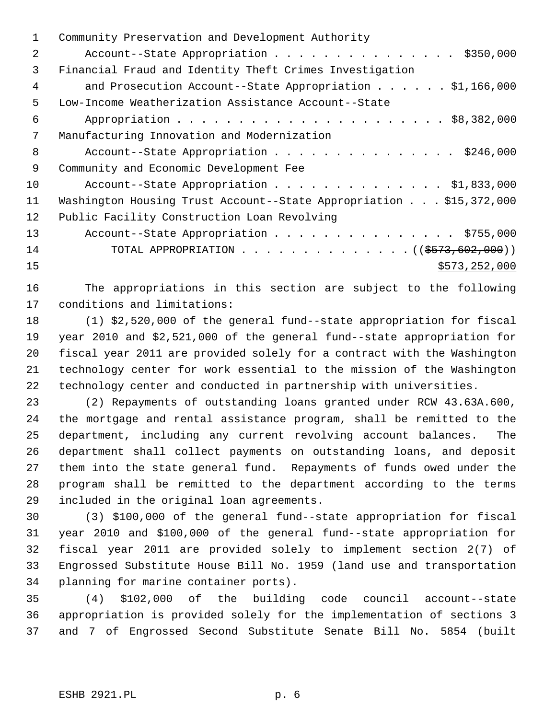| 1  | Community Preservation and Development Authority                   |
|----|--------------------------------------------------------------------|
| 2  | Account--State Appropriation \$350,000                             |
| 3  | Financial Fraud and Identity Theft Crimes Investigation            |
| 4  | and Prosecution Account--State Appropriation $\ldots$ \$1,166,000  |
| 5  | Low-Income Weatherization Assistance Account--State                |
| 6  |                                                                    |
| 7  | Manufacturing Innovation and Modernization                         |
| 8  | Account--State Appropriation \$246,000                             |
| 9  | Community and Economic Development Fee                             |
| 10 | Account--State Appropriation \$1,833,000                           |
| 11 | Washington Housing Trust Account--State Appropriation \$15,372,000 |
| 12 | Public Facility Construction Loan Revolving                        |
| 13 | Account--State Appropriation \$755,000                             |
| 14 | TOTAL APPROPRIATION ( $(\frac{2573}{602},000)$ )                   |
| 15 | \$573, 252, 000                                                    |
|    |                                                                    |

16 The appropriations in this section are subject to the following 17 conditions and limitations:

18 (1) \$2,520,000 of the general fund--state appropriation for fiscal 19 year 2010 and \$2,521,000 of the general fund--state appropriation for 20 fiscal year 2011 are provided solely for a contract with the Washington 21 technology center for work essential to the mission of the Washington 22 technology center and conducted in partnership with universities.

23 (2) Repayments of outstanding loans granted under RCW 43.63A.600, 24 the mortgage and rental assistance program, shall be remitted to the 25 department, including any current revolving account balances. The 26 department shall collect payments on outstanding loans, and deposit 27 them into the state general fund. Repayments of funds owed under the 28 program shall be remitted to the department according to the terms 29 included in the original loan agreements.

30 (3) \$100,000 of the general fund--state appropriation for fiscal 31 year 2010 and \$100,000 of the general fund--state appropriation for 32 fiscal year 2011 are provided solely to implement section 2(7) of 33 Engrossed Substitute House Bill No. 1959 (land use and transportation 34 planning for marine container ports).

35 (4) \$102,000 of the building code council account--state 36 appropriation is provided solely for the implementation of sections 3 37 and 7 of Engrossed Second Substitute Senate Bill No. 5854 (built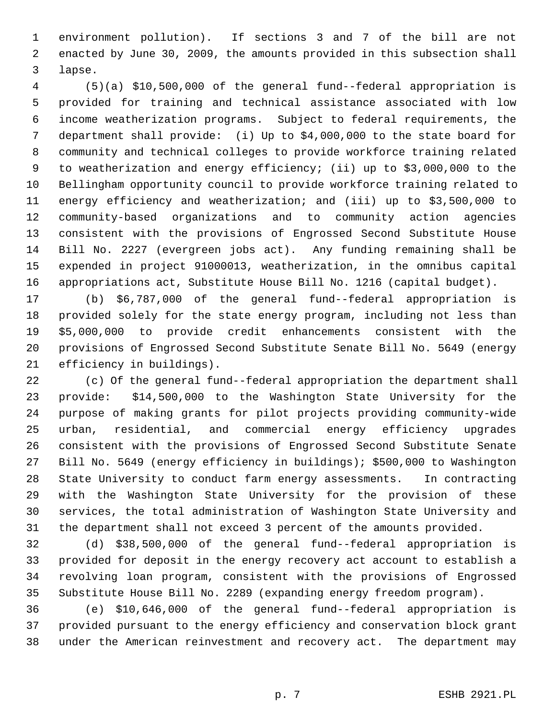1 environment pollution). If sections 3 and 7 of the bill are not 2 enacted by June 30, 2009, the amounts provided in this subsection shall 3 lapse.

 4 (5)(a) \$10,500,000 of the general fund--federal appropriation is 5 provided for training and technical assistance associated with low 6 income weatherization programs. Subject to federal requirements, the 7 department shall provide: (i) Up to \$4,000,000 to the state board for 8 community and technical colleges to provide workforce training related 9 to weatherization and energy efficiency; (ii) up to \$3,000,000 to the 10 Bellingham opportunity council to provide workforce training related to 11 energy efficiency and weatherization; and (iii) up to \$3,500,000 to 12 community-based organizations and to community action agencies 13 consistent with the provisions of Engrossed Second Substitute House 14 Bill No. 2227 (evergreen jobs act). Any funding remaining shall be 15 expended in project 91000013, weatherization, in the omnibus capital 16 appropriations act, Substitute House Bill No. 1216 (capital budget).

17 (b) \$6,787,000 of the general fund--federal appropriation is 18 provided solely for the state energy program, including not less than 19 \$5,000,000 to provide credit enhancements consistent with the 20 provisions of Engrossed Second Substitute Senate Bill No. 5649 (energy 21 efficiency in buildings).

22 (c) Of the general fund--federal appropriation the department shall 23 provide: \$14,500,000 to the Washington State University for the 24 purpose of making grants for pilot projects providing community-wide 25 urban, residential, and commercial energy efficiency upgrades 26 consistent with the provisions of Engrossed Second Substitute Senate 27 Bill No. 5649 (energy efficiency in buildings); \$500,000 to Washington 28 State University to conduct farm energy assessments. In contracting 29 with the Washington State University for the provision of these 30 services, the total administration of Washington State University and 31 the department shall not exceed 3 percent of the amounts provided.

32 (d) \$38,500,000 of the general fund--federal appropriation is 33 provided for deposit in the energy recovery act account to establish a 34 revolving loan program, consistent with the provisions of Engrossed 35 Substitute House Bill No. 2289 (expanding energy freedom program).

36 (e) \$10,646,000 of the general fund--federal appropriation is 37 provided pursuant to the energy efficiency and conservation block grant 38 under the American reinvestment and recovery act. The department may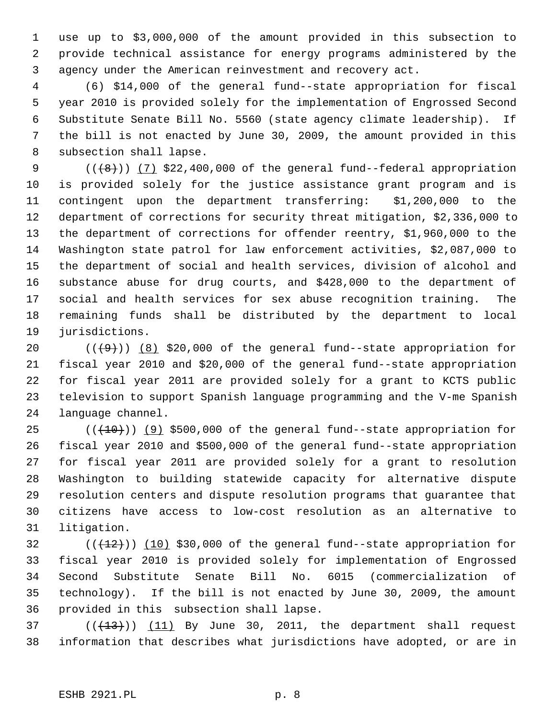1 use up to \$3,000,000 of the amount provided in this subsection to 2 provide technical assistance for energy programs administered by the 3 agency under the American reinvestment and recovery act.

 4 (6) \$14,000 of the general fund--state appropriation for fiscal 5 year 2010 is provided solely for the implementation of Engrossed Second 6 Substitute Senate Bill No. 5560 (state agency climate leadership). If 7 the bill is not enacted by June 30, 2009, the amount provided in this 8 subsection shall lapse.

9  $((+8))$   $(7)$  \$22,400,000 of the general fund--federal appropriation 10 is provided solely for the justice assistance grant program and is 11 contingent upon the department transferring: \$1,200,000 to the 12 department of corrections for security threat mitigation, \$2,336,000 to 13 the department of corrections for offender reentry, \$1,960,000 to the 14 Washington state patrol for law enforcement activities, \$2,087,000 to 15 the department of social and health services, division of alcohol and 16 substance abuse for drug courts, and \$428,000 to the department of 17 social and health services for sex abuse recognition training. The 18 remaining funds shall be distributed by the department to local 19 jurisdictions.

20  $((+9))$  (8) \$20,000 of the general fund--state appropriation for 21 fiscal year 2010 and \$20,000 of the general fund--state appropriation 22 for fiscal year 2011 are provided solely for a grant to KCTS public 23 television to support Spanish language programming and the V-me Spanish 24 language channel.

25  $((+10))$  (9) \$500,000 of the general fund--state appropriation for 26 fiscal year 2010 and \$500,000 of the general fund--state appropriation 27 for fiscal year 2011 are provided solely for a grant to resolution 28 Washington to building statewide capacity for alternative dispute 29 resolution centers and dispute resolution programs that guarantee that 30 citizens have access to low-cost resolution as an alternative to 31 litigation.

 $(1)(12)$  (( $12$ )) (10) \$30,000 of the general fund--state appropriation for 33 fiscal year 2010 is provided solely for implementation of Engrossed 34 Second Substitute Senate Bill No. 6015 (commercialization of 35 technology). If the bill is not enacted by June 30, 2009, the amount 36 provided in this subsection shall lapse.

37  $((\text{+13})^2)$  (11) By June 30, 2011, the department shall request 38 information that describes what jurisdictions have adopted, or are in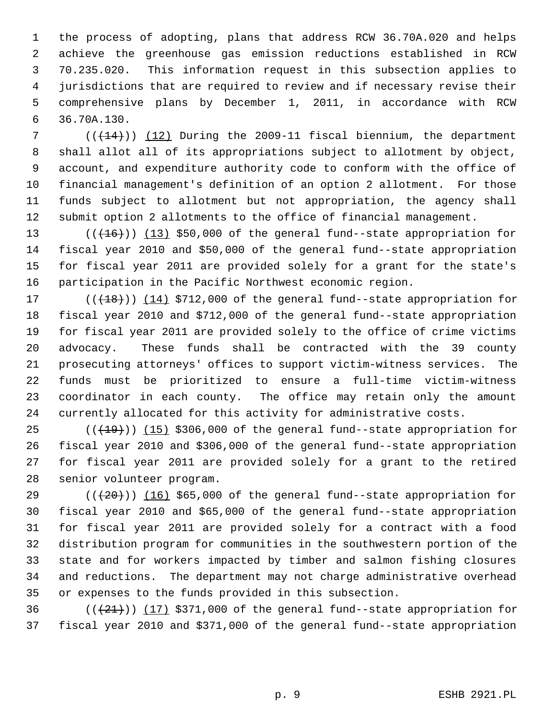1 the process of adopting, plans that address RCW 36.70A.020 and helps 2 achieve the greenhouse gas emission reductions established in RCW 3 70.235.020. This information request in this subsection applies to 4 jurisdictions that are required to review and if necessary revise their 5 comprehensive plans by December 1, 2011, in accordance with RCW 6 36.70A.130.

 $7$  ( $(\overline{+14})$ ) (12) During the 2009-11 fiscal biennium, the department 8 shall allot all of its appropriations subject to allotment by object, 9 account, and expenditure authority code to conform with the office of 10 financial management's definition of an option 2 allotment. For those 11 funds subject to allotment but not appropriation, the agency shall 12 submit option 2 allotments to the office of financial management.

13  $((+16))$   $(13)$  \$50,000 of the general fund--state appropriation for 14 fiscal year 2010 and \$50,000 of the general fund--state appropriation 15 for fiscal year 2011 are provided solely for a grant for the state's 16 participation in the Pacific Northwest economic region.

17  $((+18))$   $(14)$  \$712,000 of the general fund--state appropriation for 18 fiscal year 2010 and \$712,000 of the general fund--state appropriation 19 for fiscal year 2011 are provided solely to the office of crime victims 20 advocacy. These funds shall be contracted with the 39 county 21 prosecuting attorneys' offices to support victim-witness services. The 22 funds must be prioritized to ensure a full-time victim-witness 23 coordinator in each county. The office may retain only the amount 24 currently allocated for this activity for administrative costs.

 $25$  ( $(\overline{+19})$ ) (15) \$306,000 of the general fund--state appropriation for 26 fiscal year 2010 and \$306,000 of the general fund--state appropriation 27 for fiscal year 2011 are provided solely for a grant to the retired 28 senior volunteer program.

29  $((+20))$  (16) \$65,000 of the general fund--state appropriation for 30 fiscal year 2010 and \$65,000 of the general fund--state appropriation 31 for fiscal year 2011 are provided solely for a contract with a food 32 distribution program for communities in the southwestern portion of the 33 state and for workers impacted by timber and salmon fishing closures 34 and reductions. The department may not charge administrative overhead 35 or expenses to the funds provided in this subsection.

36  $((+21))$  (17) \$371,000 of the general fund--state appropriation for 37 fiscal year 2010 and \$371,000 of the general fund--state appropriation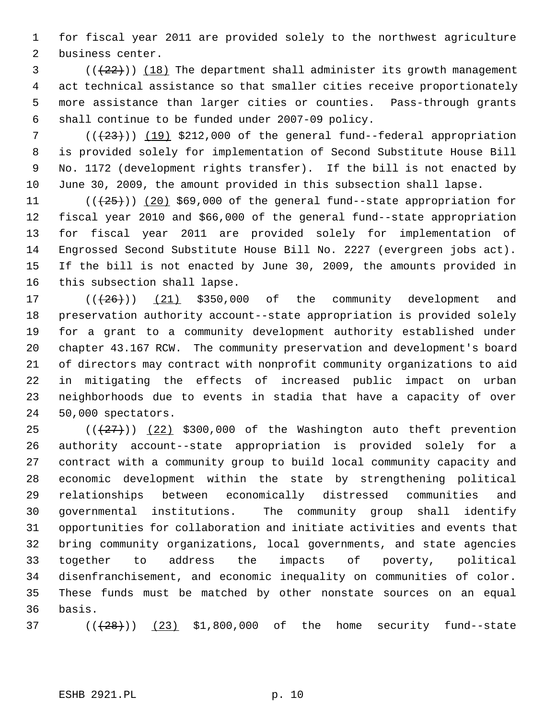1 for fiscal year 2011 are provided solely to the northwest agriculture 2 business center.

 $(1, 22)$  (( $(22)$ )) (18) The department shall administer its growth management 4 act technical assistance so that smaller cities receive proportionately 5 more assistance than larger cities or counties. Pass-through grants 6 shall continue to be funded under 2007-09 policy.

7  $((+23))$  (19) \$212,000 of the general fund--federal appropriation 8 is provided solely for implementation of Second Substitute House Bill 9 No. 1172 (development rights transfer). If the bill is not enacted by 10 June 30, 2009, the amount provided in this subsection shall lapse.

11  $((+25+))$  (20) \$69,000 of the general fund--state appropriation for 12 fiscal year 2010 and \$66,000 of the general fund--state appropriation 13 for fiscal year 2011 are provided solely for implementation of 14 Engrossed Second Substitute House Bill No. 2227 (evergreen jobs act). 15 If the bill is not enacted by June 30, 2009, the amounts provided in 16 this subsection shall lapse.

17  $((+26))$   $(21)$  \$350,000 of the community development and 18 preservation authority account--state appropriation is provided solely 19 for a grant to a community development authority established under 20 chapter 43.167 RCW. The community preservation and development's board 21 of directors may contract with nonprofit community organizations to aid 22 in mitigating the effects of increased public impact on urban 23 neighborhoods due to events in stadia that have a capacity of over 24 50,000 spectators.

25  $((+27))$   $(22)$  \$300,000 of the Washington auto theft prevention 26 authority account--state appropriation is provided solely for a 27 contract with a community group to build local community capacity and 28 economic development within the state by strengthening political 29 relationships between economically distressed communities and 30 governmental institutions. The community group shall identify 31 opportunities for collaboration and initiate activities and events that 32 bring community organizations, local governments, and state agencies 33 together to address the impacts of poverty, political 34 disenfranchisement, and economic inequality on communities of color. 35 These funds must be matched by other nonstate sources on an equal 36 basis.

 $(1/(28))$  (( $(23)$  \$1,800,000 of the home security fund--state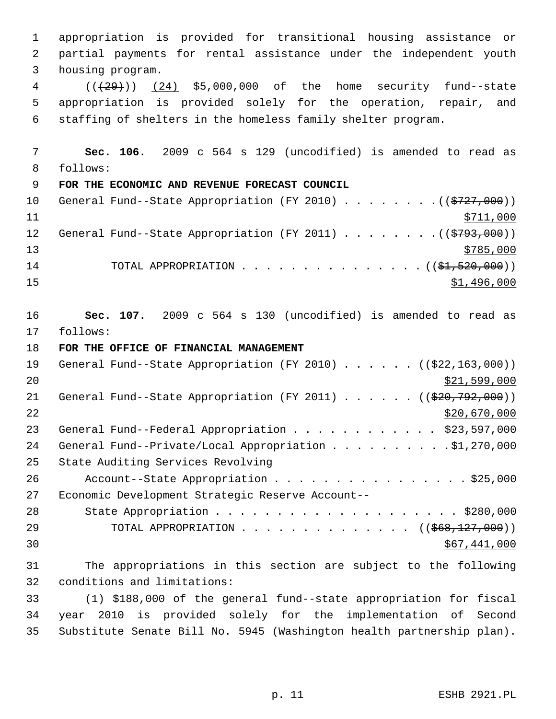1 appropriation is provided for transitional housing assistance or 2 partial payments for rental assistance under the independent youth 3 housing program. 4 (( $(29)$ )) (24) \$5,000,000 of the home security fund--state 5 appropriation is provided solely for the operation, repair, and 6 staffing of shelters in the homeless family shelter program. 7 **Sec. 106.** 2009 c 564 s 129 (uncodified) is amended to read as 8 follows: 9 **FOR THE ECONOMIC AND REVENUE FORECAST COUNCIL** 10 General Fund--State Appropriation (FY 2010) . . . . . . . . ((\$727,000)) 11 \$711,000 12 General Fund--State Appropriation (FY 2011) . . . . . . . ((\$793,000))  $\frac{13}{2785,000}$ 14 TOTAL APPROPRIATION . . . . . . . . . . . . . . ( (\$1,520,000))  $\frac{15}{1.496,000}$ 16 **Sec. 107.** 2009 c 564 s 130 (uncodified) is amended to read as 17 follows: 18 **FOR THE OFFICE OF FINANCIAL MANAGEMENT** 19 General Fund--State Appropriation (FY 2010) . . . . . . ((\$22,163,000))  $20$  \$21,599,000 21 General Fund--State Appropriation (FY 2011) . . . . . . ((\$20,792,000))  $22$  \$20,670,000 23 General Fund--Federal Appropriation . . . . . . . . . . . \$23,597,000 24 General Fund--Private/Local Appropriation . . . . . . . . . \$1,270,000 25 State Auditing Services Revolving 26 Account--State Appropriation . . . . . . . . . . . . . . . \$25,000 27 Economic Development Strategic Reserve Account-- 28 State Appropriation . . . . . . . . . . . . . . . . . . \$280,000 29 TOTAL APPROPRIATION . . . . . . . . . . . . . . ((<del>\$68,127,000</del>))  $\frac{1}{567,441,000}$ 31 The appropriations in this section are subject to the following 32 conditions and limitations: 33 (1) \$188,000 of the general fund--state appropriation for fiscal 34 year 2010 is provided solely for the implementation of Second 35 Substitute Senate Bill No. 5945 (Washington health partnership plan).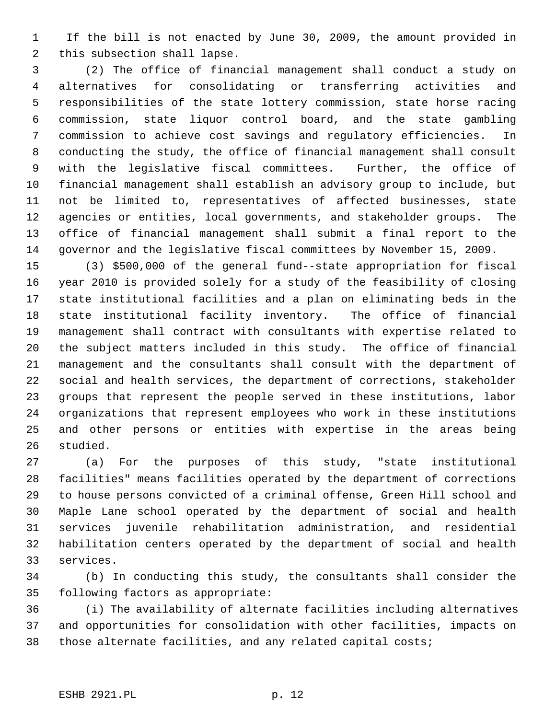1 If the bill is not enacted by June 30, 2009, the amount provided in 2 this subsection shall lapse.

 3 (2) The office of financial management shall conduct a study on 4 alternatives for consolidating or transferring activities and 5 responsibilities of the state lottery commission, state horse racing 6 commission, state liquor control board, and the state gambling 7 commission to achieve cost savings and regulatory efficiencies. In 8 conducting the study, the office of financial management shall consult 9 with the legislative fiscal committees. Further, the office of 10 financial management shall establish an advisory group to include, but 11 not be limited to, representatives of affected businesses, state 12 agencies or entities, local governments, and stakeholder groups. The 13 office of financial management shall submit a final report to the 14 governor and the legislative fiscal committees by November 15, 2009.

15 (3) \$500,000 of the general fund--state appropriation for fiscal 16 year 2010 is provided solely for a study of the feasibility of closing 17 state institutional facilities and a plan on eliminating beds in the 18 state institutional facility inventory. The office of financial 19 management shall contract with consultants with expertise related to 20 the subject matters included in this study. The office of financial 21 management and the consultants shall consult with the department of 22 social and health services, the department of corrections, stakeholder 23 groups that represent the people served in these institutions, labor 24 organizations that represent employees who work in these institutions 25 and other persons or entities with expertise in the areas being 26 studied.

27 (a) For the purposes of this study, "state institutional 28 facilities" means facilities operated by the department of corrections 29 to house persons convicted of a criminal offense, Green Hill school and 30 Maple Lane school operated by the department of social and health 31 services juvenile rehabilitation administration, and residential 32 habilitation centers operated by the department of social and health 33 services.

34 (b) In conducting this study, the consultants shall consider the 35 following factors as appropriate:

36 (i) The availability of alternate facilities including alternatives 37 and opportunities for consolidation with other facilities, impacts on 38 those alternate facilities, and any related capital costs;

#### ESHB 2921.PL p. 12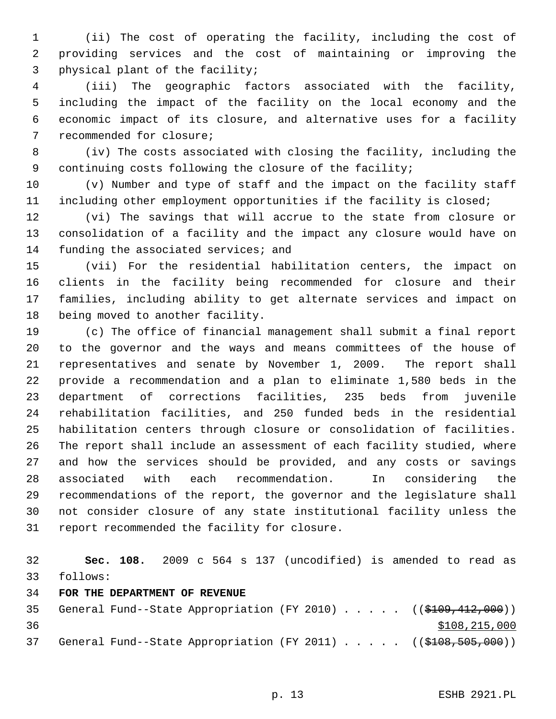1 (ii) The cost of operating the facility, including the cost of 2 providing services and the cost of maintaining or improving the 3 physical plant of the facility;

 4 (iii) The geographic factors associated with the facility, 5 including the impact of the facility on the local economy and the 6 economic impact of its closure, and alternative uses for a facility 7 recommended for closure;

 8 (iv) The costs associated with closing the facility, including the 9 continuing costs following the closure of the facility;

10 (v) Number and type of staff and the impact on the facility staff 11 including other employment opportunities if the facility is closed;

12 (vi) The savings that will accrue to the state from closure or 13 consolidation of a facility and the impact any closure would have on 14 funding the associated services; and

15 (vii) For the residential habilitation centers, the impact on 16 clients in the facility being recommended for closure and their 17 families, including ability to get alternate services and impact on 18 being moved to another facility.

19 (c) The office of financial management shall submit a final report 20 to the governor and the ways and means committees of the house of 21 representatives and senate by November 1, 2009. The report shall 22 provide a recommendation and a plan to eliminate 1,580 beds in the 23 department of corrections facilities, 235 beds from juvenile 24 rehabilitation facilities, and 250 funded beds in the residential 25 habilitation centers through closure or consolidation of facilities. 26 The report shall include an assessment of each facility studied, where 27 and how the services should be provided, and any costs or savings 28 associated with each recommendation. In considering the 29 recommendations of the report, the governor and the legislature shall 30 not consider closure of any state institutional facility unless the 31 report recommended the facility for closure.

32 **Sec. 108.** 2009 c 564 s 137 (uncodified) is amended to read as 33 follows:

### 34 **FOR THE DEPARTMENT OF REVENUE**

35 General Fund--State Appropriation (FY 2010) . . . . . ((\$109,412,000)) 36 \$108,215,000 37 General Fund--State Appropriation (FY 2011) . . . . . ((\$108,505,000))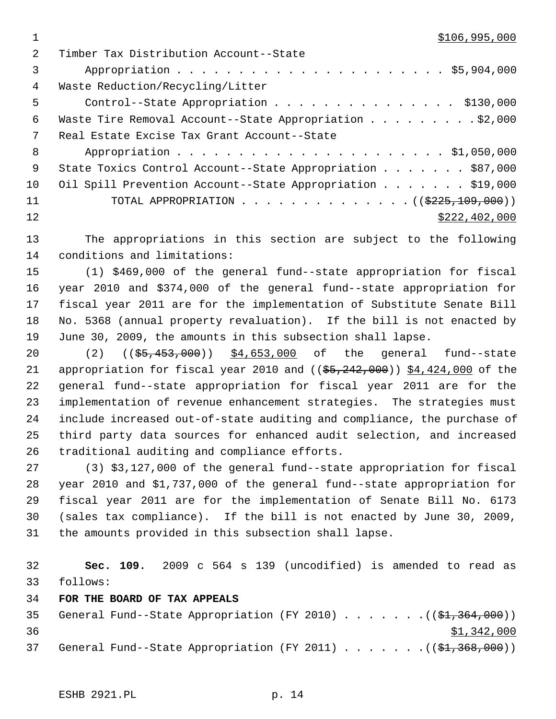$1 \quad$  \$106,995,000

| 2   | Timber Tax Distribution Account--State                           |
|-----|------------------------------------------------------------------|
| 3   |                                                                  |
| 4   | Waste Reduction/Recycling/Litter                                 |
| 5   | Control--State Appropriation \$130,000                           |
| 6   | Waste Tire Removal Account--State Appropriation \$2,000          |
| 7   | Real Estate Excise Tax Grant Account--State                      |
| 8   |                                                                  |
| - 9 | State Toxics Control Account--State Appropriation \$87,000       |
| 10  | Oil Spill Prevention Account--State Appropriation \$19,000       |
| 11  | TOTAL APPROPRIATION $\ldots$ , ( $(\frac{2225,109,000}{\cdots})$ |
| 12  | \$222, 402, 000                                                  |
|     |                                                                  |

13 The appropriations in this section are subject to the following 14 conditions and limitations:

15 (1) \$469,000 of the general fund--state appropriation for fiscal 16 year 2010 and \$374,000 of the general fund--state appropriation for 17 fiscal year 2011 are for the implementation of Substitute Senate Bill 18 No. 5368 (annual property revaluation). If the bill is not enacted by 19 June 30, 2009, the amounts in this subsection shall lapse.

20 (2) (( $\frac{25}{100}$ , (35, 453, 000) \$4, 653, 000 of the general fund-state 21 appropriation for fiscal year 2010 and  $($   $($ \$5,242,000)) \$4,424,000 of the 22 general fund--state appropriation for fiscal year 2011 are for the 23 implementation of revenue enhancement strategies. The strategies must 24 include increased out-of-state auditing and compliance, the purchase of 25 third party data sources for enhanced audit selection, and increased 26 traditional auditing and compliance efforts.

27 (3) \$3,127,000 of the general fund--state appropriation for fiscal 28 year 2010 and \$1,737,000 of the general fund--state appropriation for 29 fiscal year 2011 are for the implementation of Senate Bill No. 6173 30 (sales tax compliance). If the bill is not enacted by June 30, 2009, 31 the amounts provided in this subsection shall lapse.

32 **Sec. 109.** 2009 c 564 s 139 (uncodified) is amended to read as 33 follows:

34 **FOR THE BOARD OF TAX APPEALS**

```
35 General Fund--State Appropriation (FY 2010) . . . . . . .(($1,364,000))
36 $1,342,000
37 General Fund--State Appropriation (FY 2011) \ldots ... . . (($1,368,000))
```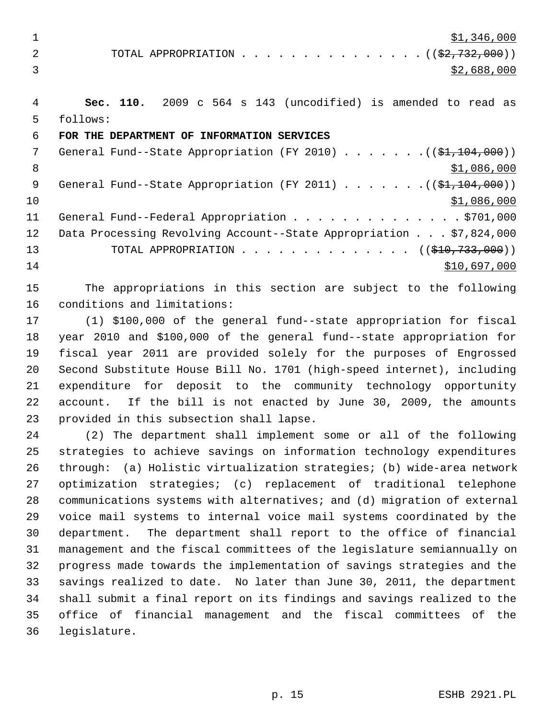$\frac{1}{2}$   $\frac{1}{346,000}$ 

2 TOTAL APPROPRIATION . . . . . . . . . . . . . . ((<del>\$2,732,000</del>))  $\frac{$2,688,000}{ }$ 

 4 **Sec. 110.** 2009 c 564 s 143 (uncodified) is amended to read as 5 follows:

## 6 **FOR THE DEPARTMENT OF INFORMATION SERVICES**

7 General Fund--State Appropriation (FY 2010)  $\ldots \ldots \ldots$  (( $$1,104,000$ )) 8  $\frac{$1,086,000}{ }$  9 General Fund--State Appropriation (FY 2011) . . . . . . .((\$1,104,000))  $10$  \$1,086,000 11 General Fund--Federal Appropriation . . . . . . . . . . . . . . \$701,000 12 Data Processing Revolving Account--State Appropriation . . . \$7,824,000 13 TOTAL APPROPRIATION . . . . . . . . . . . . . . ((\$10,733,000))  $14$  \$10,697,000

15 The appropriations in this section are subject to the following 16 conditions and limitations:

17 (1) \$100,000 of the general fund--state appropriation for fiscal 18 year 2010 and \$100,000 of the general fund--state appropriation for 19 fiscal year 2011 are provided solely for the purposes of Engrossed 20 Second Substitute House Bill No. 1701 (high-speed internet), including 21 expenditure for deposit to the community technology opportunity 22 account. If the bill is not enacted by June 30, 2009, the amounts 23 provided in this subsection shall lapse.

24 (2) The department shall implement some or all of the following 25 strategies to achieve savings on information technology expenditures 26 through: (a) Holistic virtualization strategies; (b) wide-area network 27 optimization strategies; (c) replacement of traditional telephone 28 communications systems with alternatives; and (d) migration of external 29 voice mail systems to internal voice mail systems coordinated by the 30 department. The department shall report to the office of financial 31 management and the fiscal committees of the legislature semiannually on 32 progress made towards the implementation of savings strategies and the 33 savings realized to date. No later than June 30, 2011, the department 34 shall submit a final report on its findings and savings realized to the 35 office of financial management and the fiscal committees of the 36 legislature.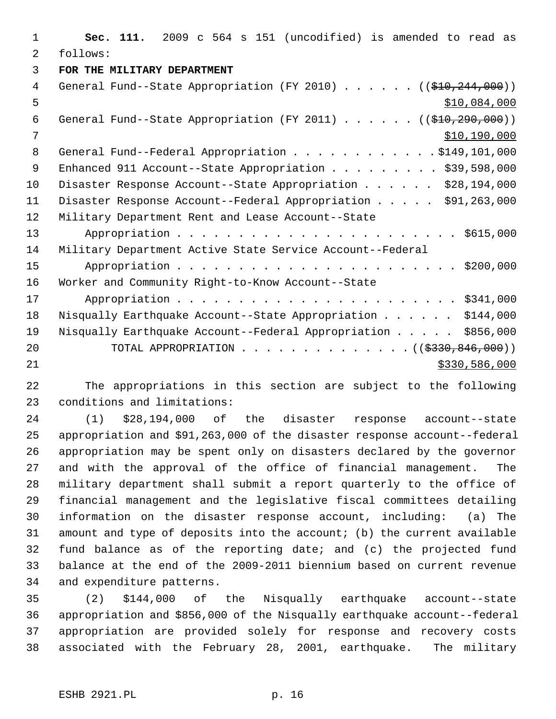1 **Sec. 111.** 2009 c 564 s 151 (uncodified) is amended to read as 2 follows: 3 **FOR THE MILITARY DEPARTMENT** 4 General Fund--State Appropriation (FY 2010) . . . . . . ((\$10,244,000))  $5 - 5$  \$10,084,000 6 General Fund--State Appropriation (FY 2011) . . . . . . ((\$10,290,000)) 7 \$10,190,000 8 General Fund--Federal Appropriation . . . . . . . . . . . \$149,101,000 9 Enhanced 911 Account--State Appropriation . . . . . . . . \$39,598,000 10 Disaster Response Account--State Appropriation . . . . . \$28,194,000 11 Disaster Response Account--Federal Appropriation . . . . . \$91,263,000 12 Military Department Rent and Lease Account--State 13 Appropriation . . . . . . . . . . . . . . . . . . . . . . . \$615,000 14 Military Department Active State Service Account--Federal 15 Appropriation . . . . . . . . . . . . . . . . . . . . . . . \$200,000 16 Worker and Community Right-to-Know Account--State 17 Appropriation . . . . . . . . . . . . . . . . . . . . . . . \$341,000 18 Nisqually Earthquake Account--State Appropriation . . . . . \$144,000 19 Nisqually Earthquake Account--Federal Appropriation . . . . . \$856,000 20 TOTAL APPROPRIATION . . . . . . . . . . . . . ((<del>\$330,846,000</del>)) 21 \$330,586,000

22 The appropriations in this section are subject to the following 23 conditions and limitations:

24 (1) \$28,194,000 of the disaster response account--state 25 appropriation and \$91,263,000 of the disaster response account--federal 26 appropriation may be spent only on disasters declared by the governor 27 and with the approval of the office of financial management. The 28 military department shall submit a report quarterly to the office of 29 financial management and the legislative fiscal committees detailing 30 information on the disaster response account, including: (a) The 31 amount and type of deposits into the account; (b) the current available 32 fund balance as of the reporting date; and (c) the projected fund 33 balance at the end of the 2009-2011 biennium based on current revenue 34 and expenditure patterns.

35 (2) \$144,000 of the Nisqually earthquake account--state 36 appropriation and \$856,000 of the Nisqually earthquake account--federal 37 appropriation are provided solely for response and recovery costs 38 associated with the February 28, 2001, earthquake. The military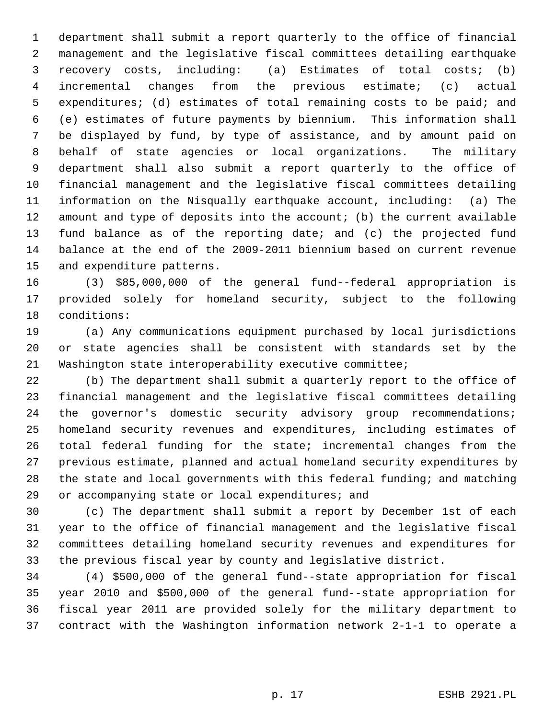1 department shall submit a report quarterly to the office of financial 2 management and the legislative fiscal committees detailing earthquake 3 recovery costs, including: (a) Estimates of total costs; (b) 4 incremental changes from the previous estimate; (c) actual 5 expenditures; (d) estimates of total remaining costs to be paid; and 6 (e) estimates of future payments by biennium. This information shall 7 be displayed by fund, by type of assistance, and by amount paid on 8 behalf of state agencies or local organizations. The military 9 department shall also submit a report quarterly to the office of 10 financial management and the legislative fiscal committees detailing 11 information on the Nisqually earthquake account, including: (a) The 12 amount and type of deposits into the account; (b) the current available 13 fund balance as of the reporting date; and (c) the projected fund 14 balance at the end of the 2009-2011 biennium based on current revenue 15 and expenditure patterns.

16 (3) \$85,000,000 of the general fund--federal appropriation is 17 provided solely for homeland security, subject to the following 18 conditions:

19 (a) Any communications equipment purchased by local jurisdictions 20 or state agencies shall be consistent with standards set by the 21 Washington state interoperability executive committee;

22 (b) The department shall submit a quarterly report to the office of 23 financial management and the legislative fiscal committees detailing 24 the governor's domestic security advisory group recommendations; 25 homeland security revenues and expenditures, including estimates of 26 total federal funding for the state; incremental changes from the 27 previous estimate, planned and actual homeland security expenditures by 28 the state and local governments with this federal funding; and matching 29 or accompanying state or local expenditures; and

30 (c) The department shall submit a report by December 1st of each 31 year to the office of financial management and the legislative fiscal 32 committees detailing homeland security revenues and expenditures for 33 the previous fiscal year by county and legislative district.

34 (4) \$500,000 of the general fund--state appropriation for fiscal 35 year 2010 and \$500,000 of the general fund--state appropriation for 36 fiscal year 2011 are provided solely for the military department to 37 contract with the Washington information network 2-1-1 to operate a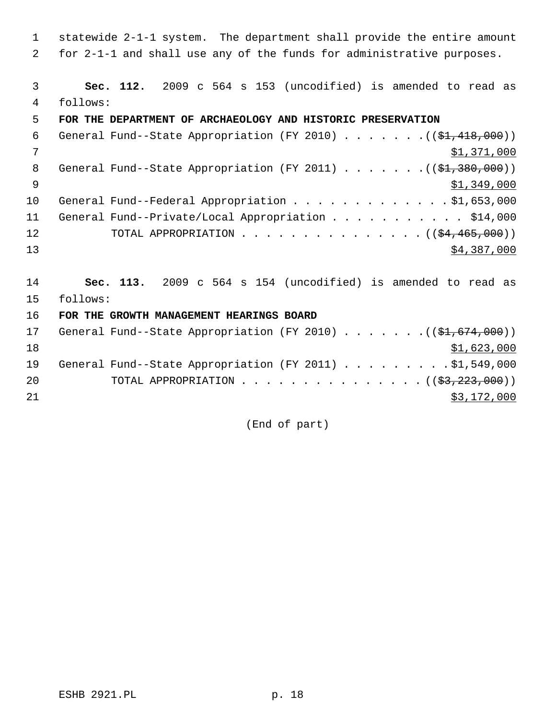1 statewide 2-1-1 system. The department shall provide the entire amount 2 for 2-1-1 and shall use any of the funds for administrative purposes.

 3 **Sec. 112.** 2009 c 564 s 153 (uncodified) is amended to read as 4 follows:

### 5 **FOR THE DEPARTMENT OF ARCHAEOLOGY AND HISTORIC PRESERVATION**

| 6        | General Fund--State Appropriation (FY 2010) $($ $($ \$1,418,000)) |
|----------|-------------------------------------------------------------------|
| 7        | \$1,371,000                                                       |
| 8        | General Fund--State Appropriation (FY 2011) $($ $($ \$1,380,000)) |
| <b>q</b> | \$1,349,000                                                       |
| 10       | General Fund--Federal Appropriation \$1,653,000                   |
| 11       | General Fund--Private/Local Appropriation \$14,000                |
| 12       | TOTAL APPROPRIATION $($ $($ $\frac{64}{7}$ $\frac{465}{7000})$    |
| 13       | \$4,387,000                                                       |
|          |                                                                   |

14 **Sec. 113.** 2009 c 564 s 154 (uncodified) is amended to read as 15 follows:

16 **FOR THE GROWTH MANAGEMENT HEARINGS BOARD**

| 17 | General Fund--State Appropriation (FY 2010) ( $(\frac{21}{61}, 674, 000)$ ) |  |  |  |  |  |             |
|----|-----------------------------------------------------------------------------|--|--|--|--|--|-------------|
| 18 |                                                                             |  |  |  |  |  | \$1,623,000 |
| 19 | General Fund--State Appropriation (FY 2011) \$1,549,000                     |  |  |  |  |  |             |
| 20 | TOTAL APPROPRIATION $\ldots$ , ( $(\frac{2}{3}, \frac{223}{600})$ )         |  |  |  |  |  |             |
| 21 |                                                                             |  |  |  |  |  | \$3,172,000 |

(End of part)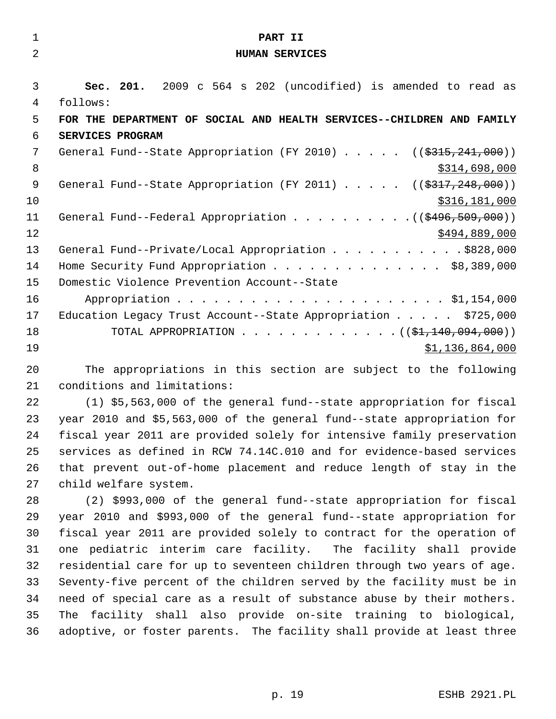| $\mathbf{1}$   | PART II                                                                                                         |
|----------------|-----------------------------------------------------------------------------------------------------------------|
| $\overline{2}$ | <b>HUMAN SERVICES</b>                                                                                           |
|                |                                                                                                                 |
| 3              | Sec. 201. 2009 c 564 s 202 (uncodified) is amended to read as                                                   |
| 4              | follows:                                                                                                        |
| 5              | FOR THE DEPARTMENT OF SOCIAL AND HEALTH SERVICES--CHILDREN AND FAMILY                                           |
| 6              | SERVICES PROGRAM                                                                                                |
| 7              | General Fund--State Appropriation (FY 2010) ( $(\frac{2315}{241}, \frac{241}{100})$ )                           |
| 8              | \$314,698,000                                                                                                   |
| 9              | General Fund--State Appropriation (FY 2011) ( $(\frac{2317}{248}, 248, 000)$ )                                  |
| 10             | \$316,181,000                                                                                                   |
| 11             | General Fund--Federal Appropriation $($ $($ $\frac{496}{509}, \frac{509}{100})$                                 |
| 12             | \$494,889,000                                                                                                   |
| 13             | General Fund--Private/Local Appropriation \$828,000                                                             |
| 14             | Home Security Fund Appropriation \$8,389,000                                                                    |
| 15             | Domestic Violence Prevention Account--State                                                                     |
| 16             |                                                                                                                 |
| 17             | Education Legacy Trust Account--State Appropriation \$725,000                                                   |
| 18             | TOTAL APPROPRIATION ( $(\frac{1}{21}, 140, 094, 000)$ )                                                         |
| 19             | \$1,136,864,000                                                                                                 |
| $\sim$ $\sim$  | and the state of the state of the state of the state of the state of the state of the state of the state of the |

20 The appropriations in this section are subject to the following 21 conditions and limitations:

22 (1) \$5,563,000 of the general fund--state appropriation for fiscal 23 year 2010 and \$5,563,000 of the general fund--state appropriation for 24 fiscal year 2011 are provided solely for intensive family preservation 25 services as defined in RCW 74.14C.010 and for evidence-based services 26 that prevent out-of-home placement and reduce length of stay in the 27 child welfare system.

28 (2) \$993,000 of the general fund--state appropriation for fiscal 29 year 2010 and \$993,000 of the general fund--state appropriation for 30 fiscal year 2011 are provided solely to contract for the operation of 31 one pediatric interim care facility. The facility shall provide 32 residential care for up to seventeen children through two years of age. 33 Seventy-five percent of the children served by the facility must be in 34 need of special care as a result of substance abuse by their mothers. 35 The facility shall also provide on-site training to biological, 36 adoptive, or foster parents. The facility shall provide at least three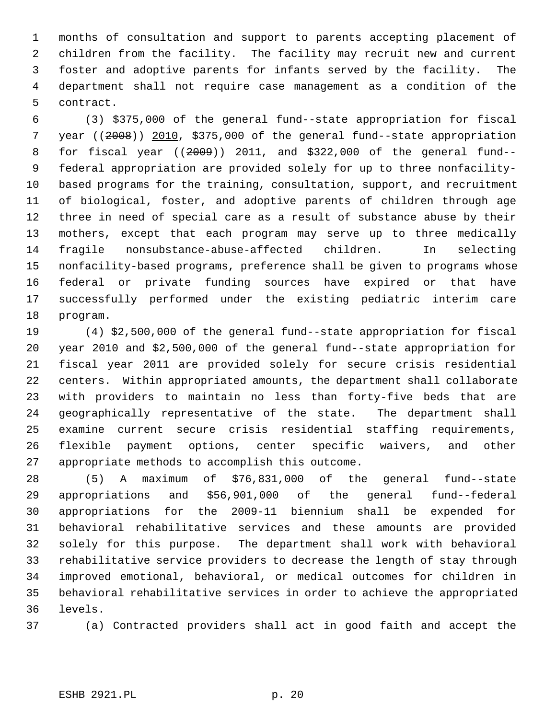1 months of consultation and support to parents accepting placement of 2 children from the facility. The facility may recruit new and current 3 foster and adoptive parents for infants served by the facility. The 4 department shall not require case management as a condition of the 5 contract.

 6 (3) \$375,000 of the general fund--state appropriation for fiscal 7 year ((2008)) 2010, \$375,000 of the general fund--state appropriation 8 for fiscal year ((2009)) 2011, and \$322,000 of the general fund-- 9 federal appropriation are provided solely for up to three nonfacility-10 based programs for the training, consultation, support, and recruitment 11 of biological, foster, and adoptive parents of children through age 12 three in need of special care as a result of substance abuse by their 13 mothers, except that each program may serve up to three medically 14 fragile nonsubstance-abuse-affected children. In selecting 15 nonfacility-based programs, preference shall be given to programs whose 16 federal or private funding sources have expired or that have 17 successfully performed under the existing pediatric interim care 18 program.

19 (4) \$2,500,000 of the general fund--state appropriation for fiscal 20 year 2010 and \$2,500,000 of the general fund--state appropriation for 21 fiscal year 2011 are provided solely for secure crisis residential 22 centers. Within appropriated amounts, the department shall collaborate 23 with providers to maintain no less than forty-five beds that are 24 geographically representative of the state. The department shall 25 examine current secure crisis residential staffing requirements, 26 flexible payment options, center specific waivers, and other 27 appropriate methods to accomplish this outcome.

28 (5) A maximum of \$76,831,000 of the general fund--state 29 appropriations and \$56,901,000 of the general fund--federal 30 appropriations for the 2009-11 biennium shall be expended for 31 behavioral rehabilitative services and these amounts are provided 32 solely for this purpose. The department shall work with behavioral 33 rehabilitative service providers to decrease the length of stay through 34 improved emotional, behavioral, or medical outcomes for children in 35 behavioral rehabilitative services in order to achieve the appropriated 36 levels.

37 (a) Contracted providers shall act in good faith and accept the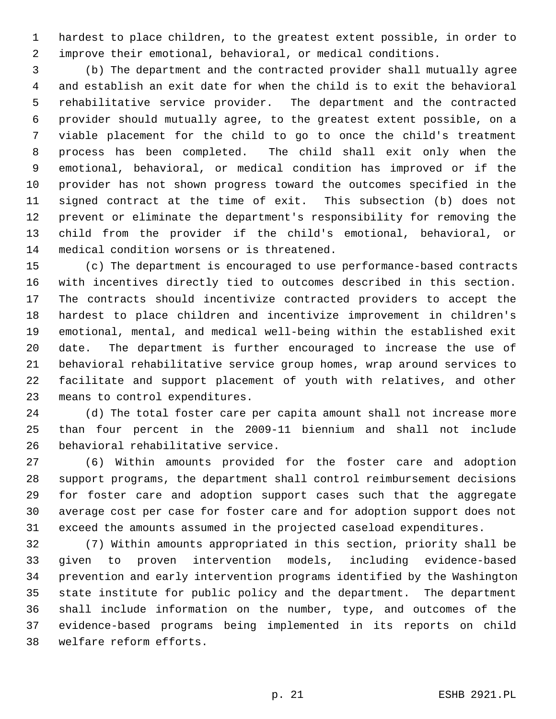1 hardest to place children, to the greatest extent possible, in order to 2 improve their emotional, behavioral, or medical conditions.

 3 (b) The department and the contracted provider shall mutually agree 4 and establish an exit date for when the child is to exit the behavioral 5 rehabilitative service provider. The department and the contracted 6 provider should mutually agree, to the greatest extent possible, on a 7 viable placement for the child to go to once the child's treatment 8 process has been completed. The child shall exit only when the 9 emotional, behavioral, or medical condition has improved or if the 10 provider has not shown progress toward the outcomes specified in the 11 signed contract at the time of exit. This subsection (b) does not 12 prevent or eliminate the department's responsibility for removing the 13 child from the provider if the child's emotional, behavioral, or 14 medical condition worsens or is threatened.

15 (c) The department is encouraged to use performance-based contracts 16 with incentives directly tied to outcomes described in this section. 17 The contracts should incentivize contracted providers to accept the 18 hardest to place children and incentivize improvement in children's 19 emotional, mental, and medical well-being within the established exit 20 date. The department is further encouraged to increase the use of 21 behavioral rehabilitative service group homes, wrap around services to 22 facilitate and support placement of youth with relatives, and other 23 means to control expenditures.

24 (d) The total foster care per capita amount shall not increase more 25 than four percent in the 2009-11 biennium and shall not include 26 behavioral rehabilitative service.

27 (6) Within amounts provided for the foster care and adoption 28 support programs, the department shall control reimbursement decisions 29 for foster care and adoption support cases such that the aggregate 30 average cost per case for foster care and for adoption support does not 31 exceed the amounts assumed in the projected caseload expenditures.

32 (7) Within amounts appropriated in this section, priority shall be 33 given to proven intervention models, including evidence-based 34 prevention and early intervention programs identified by the Washington 35 state institute for public policy and the department. The department 36 shall include information on the number, type, and outcomes of the 37 evidence-based programs being implemented in its reports on child 38 welfare reform efforts.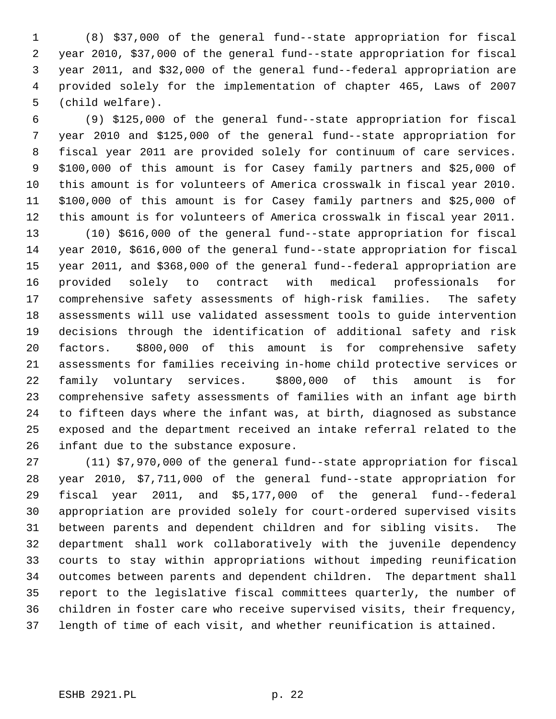1 (8) \$37,000 of the general fund--state appropriation for fiscal 2 year 2010, \$37,000 of the general fund--state appropriation for fiscal 3 year 2011, and \$32,000 of the general fund--federal appropriation are 4 provided solely for the implementation of chapter 465, Laws of 2007 5 (child welfare).

 6 (9) \$125,000 of the general fund--state appropriation for fiscal 7 year 2010 and \$125,000 of the general fund--state appropriation for 8 fiscal year 2011 are provided solely for continuum of care services. 9 \$100,000 of this amount is for Casey family partners and \$25,000 of 10 this amount is for volunteers of America crosswalk in fiscal year 2010. 11 \$100,000 of this amount is for Casey family partners and \$25,000 of 12 this amount is for volunteers of America crosswalk in fiscal year 2011.

13 (10) \$616,000 of the general fund--state appropriation for fiscal 14 year 2010, \$616,000 of the general fund--state appropriation for fiscal 15 year 2011, and \$368,000 of the general fund--federal appropriation are 16 provided solely to contract with medical professionals for 17 comprehensive safety assessments of high-risk families. The safety 18 assessments will use validated assessment tools to guide intervention 19 decisions through the identification of additional safety and risk 20 factors. \$800,000 of this amount is for comprehensive safety 21 assessments for families receiving in-home child protective services or 22 family voluntary services. \$800,000 of this amount is for 23 comprehensive safety assessments of families with an infant age birth 24 to fifteen days where the infant was, at birth, diagnosed as substance 25 exposed and the department received an intake referral related to the 26 infant due to the substance exposure.

27 (11) \$7,970,000 of the general fund--state appropriation for fiscal 28 year 2010, \$7,711,000 of the general fund--state appropriation for 29 fiscal year 2011, and \$5,177,000 of the general fund--federal 30 appropriation are provided solely for court-ordered supervised visits 31 between parents and dependent children and for sibling visits. The 32 department shall work collaboratively with the juvenile dependency 33 courts to stay within appropriations without impeding reunification 34 outcomes between parents and dependent children. The department shall 35 report to the legislative fiscal committees quarterly, the number of 36 children in foster care who receive supervised visits, their frequency, 37 length of time of each visit, and whether reunification is attained.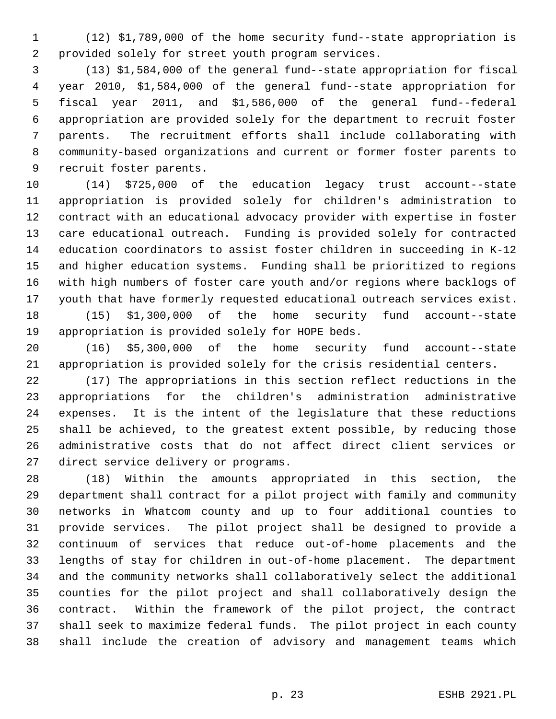1 (12) \$1,789,000 of the home security fund--state appropriation is 2 provided solely for street youth program services.

 3 (13) \$1,584,000 of the general fund--state appropriation for fiscal 4 year 2010, \$1,584,000 of the general fund--state appropriation for 5 fiscal year 2011, and \$1,586,000 of the general fund--federal 6 appropriation are provided solely for the department to recruit foster 7 parents. The recruitment efforts shall include collaborating with 8 community-based organizations and current or former foster parents to 9 recruit foster parents.

10 (14) \$725,000 of the education legacy trust account--state 11 appropriation is provided solely for children's administration to 12 contract with an educational advocacy provider with expertise in foster 13 care educational outreach. Funding is provided solely for contracted 14 education coordinators to assist foster children in succeeding in K-12 15 and higher education systems. Funding shall be prioritized to regions 16 with high numbers of foster care youth and/or regions where backlogs of 17 youth that have formerly requested educational outreach services exist. 18 (15) \$1,300,000 of the home security fund account--state

19 appropriation is provided solely for HOPE beds.

20 (16) \$5,300,000 of the home security fund account--state 21 appropriation is provided solely for the crisis residential centers.

22 (17) The appropriations in this section reflect reductions in the 23 appropriations for the children's administration administrative 24 expenses. It is the intent of the legislature that these reductions 25 shall be achieved, to the greatest extent possible, by reducing those 26 administrative costs that do not affect direct client services or 27 direct service delivery or programs.

28 (18) Within the amounts appropriated in this section, the 29 department shall contract for a pilot project with family and community 30 networks in Whatcom county and up to four additional counties to 31 provide services. The pilot project shall be designed to provide a 32 continuum of services that reduce out-of-home placements and the 33 lengths of stay for children in out-of-home placement. The department 34 and the community networks shall collaboratively select the additional 35 counties for the pilot project and shall collaboratively design the 36 contract. Within the framework of the pilot project, the contract 37 shall seek to maximize federal funds. The pilot project in each county 38 shall include the creation of advisory and management teams which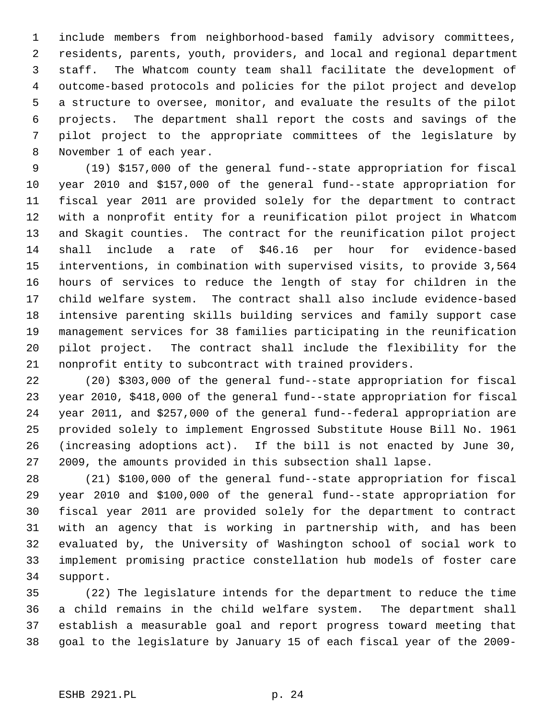1 include members from neighborhood-based family advisory committees, 2 residents, parents, youth, providers, and local and regional department 3 staff. The Whatcom county team shall facilitate the development of 4 outcome-based protocols and policies for the pilot project and develop 5 a structure to oversee, monitor, and evaluate the results of the pilot 6 projects. The department shall report the costs and savings of the 7 pilot project to the appropriate committees of the legislature by 8 November 1 of each year.

 9 (19) \$157,000 of the general fund--state appropriation for fiscal 10 year 2010 and \$157,000 of the general fund--state appropriation for 11 fiscal year 2011 are provided solely for the department to contract 12 with a nonprofit entity for a reunification pilot project in Whatcom 13 and Skagit counties. The contract for the reunification pilot project 14 shall include a rate of \$46.16 per hour for evidence-based 15 interventions, in combination with supervised visits, to provide 3,564 16 hours of services to reduce the length of stay for children in the 17 child welfare system. The contract shall also include evidence-based 18 intensive parenting skills building services and family support case 19 management services for 38 families participating in the reunification 20 pilot project. The contract shall include the flexibility for the 21 nonprofit entity to subcontract with trained providers.

22 (20) \$303,000 of the general fund--state appropriation for fiscal 23 year 2010, \$418,000 of the general fund--state appropriation for fiscal 24 year 2011, and \$257,000 of the general fund--federal appropriation are 25 provided solely to implement Engrossed Substitute House Bill No. 1961 26 (increasing adoptions act). If the bill is not enacted by June 30, 27 2009, the amounts provided in this subsection shall lapse.

28 (21) \$100,000 of the general fund--state appropriation for fiscal 29 year 2010 and \$100,000 of the general fund--state appropriation for 30 fiscal year 2011 are provided solely for the department to contract 31 with an agency that is working in partnership with, and has been 32 evaluated by, the University of Washington school of social work to 33 implement promising practice constellation hub models of foster care 34 support.

35 (22) The legislature intends for the department to reduce the time 36 a child remains in the child welfare system. The department shall 37 establish a measurable goal and report progress toward meeting that 38 goal to the legislature by January 15 of each fiscal year of the 2009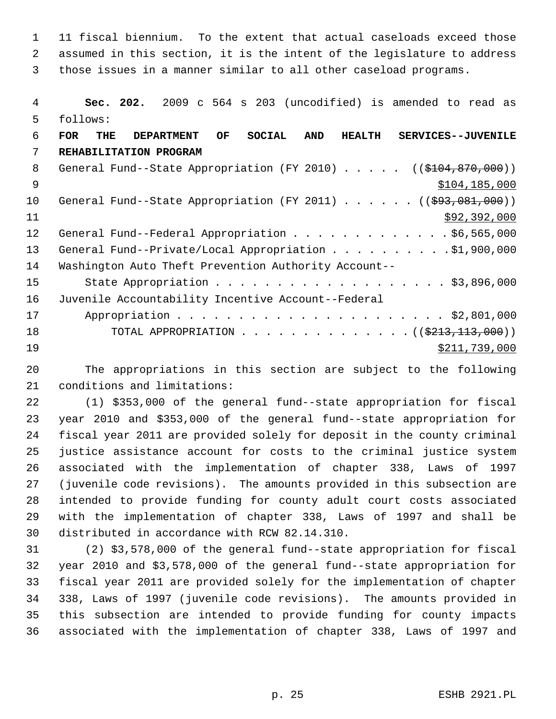1 11 fiscal biennium. To the extent that actual caseloads exceed those 2 assumed in this section, it is the intent of the legislature to address 3 those issues in a manner similar to all other caseload programs.

 4 **Sec. 202.** 2009 c 564 s 203 (uncodified) is amended to read as 5 follows: 6 **FOR THE DEPARTMENT OF SOCIAL AND HEALTH SERVICES--JUVENILE** 7 **REHABILITATION PROGRAM** 8 General Fund--State Appropriation (FY 2010) . . . . . ((\$104,870,000))  $\text{ }9 \text{ }$   $\text{ }9 \text{ }$   $\text{ }9 \text{ }$   $\text{ }104,185,000$ 10 General Fund--State Appropriation (FY 2011) . . . . . . ((\$93,081,000))  $11$  \$92,392,000 12 General Fund--Federal Appropriation . . . . . . . . . . . . \$6,565,000 13 General Fund--Private/Local Appropriation . . . . . . . . . \$1,900,000 14 Washington Auto Theft Prevention Authority Account-- 15 State Appropriation . . . . . . . . . . . . . . . . . . \$3,896,000 16 Juvenile Accountability Incentive Account--Federal 17 Appropriation . . . . . . . . . . . . . . . . . . . . . . \$2,801,000 18 TOTAL APPROPRIATION . . . . . . . . . . . . . . ((<del>\$213,113,000</del>))  $\frac{19}{211,739,000}$ 

20 The appropriations in this section are subject to the following 21 conditions and limitations:

22 (1) \$353,000 of the general fund--state appropriation for fiscal 23 year 2010 and \$353,000 of the general fund--state appropriation for 24 fiscal year 2011 are provided solely for deposit in the county criminal 25 justice assistance account for costs to the criminal justice system 26 associated with the implementation of chapter 338, Laws of 1997 27 (juvenile code revisions). The amounts provided in this subsection are 28 intended to provide funding for county adult court costs associated 29 with the implementation of chapter 338, Laws of 1997 and shall be 30 distributed in accordance with RCW 82.14.310.

31 (2) \$3,578,000 of the general fund--state appropriation for fiscal 32 year 2010 and \$3,578,000 of the general fund--state appropriation for 33 fiscal year 2011 are provided solely for the implementation of chapter 34 338, Laws of 1997 (juvenile code revisions). The amounts provided in 35 this subsection are intended to provide funding for county impacts 36 associated with the implementation of chapter 338, Laws of 1997 and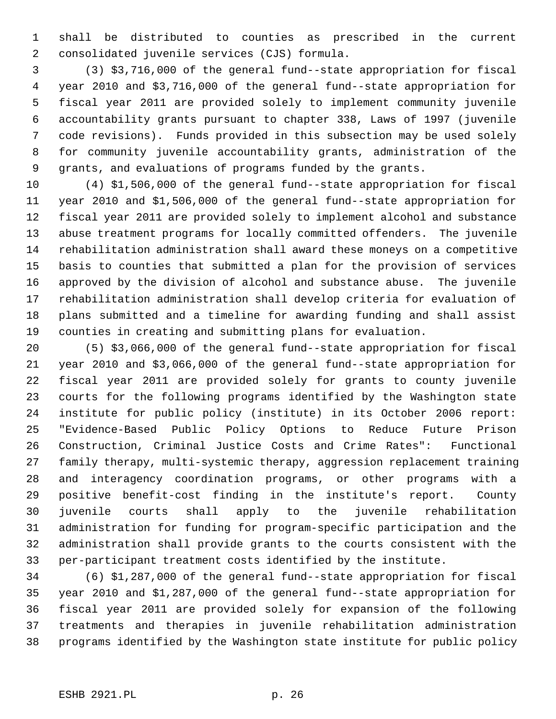1 shall be distributed to counties as prescribed in the current 2 consolidated juvenile services (CJS) formula.

 3 (3) \$3,716,000 of the general fund--state appropriation for fiscal 4 year 2010 and \$3,716,000 of the general fund--state appropriation for 5 fiscal year 2011 are provided solely to implement community juvenile 6 accountability grants pursuant to chapter 338, Laws of 1997 (juvenile 7 code revisions). Funds provided in this subsection may be used solely 8 for community juvenile accountability grants, administration of the 9 grants, and evaluations of programs funded by the grants.

10 (4) \$1,506,000 of the general fund--state appropriation for fiscal 11 year 2010 and \$1,506,000 of the general fund--state appropriation for 12 fiscal year 2011 are provided solely to implement alcohol and substance 13 abuse treatment programs for locally committed offenders. The juvenile 14 rehabilitation administration shall award these moneys on a competitive 15 basis to counties that submitted a plan for the provision of services 16 approved by the division of alcohol and substance abuse. The juvenile 17 rehabilitation administration shall develop criteria for evaluation of 18 plans submitted and a timeline for awarding funding and shall assist 19 counties in creating and submitting plans for evaluation.

20 (5) \$3,066,000 of the general fund--state appropriation for fiscal 21 year 2010 and \$3,066,000 of the general fund--state appropriation for 22 fiscal year 2011 are provided solely for grants to county juvenile 23 courts for the following programs identified by the Washington state 24 institute for public policy (institute) in its October 2006 report: 25 "Evidence-Based Public Policy Options to Reduce Future Prison 26 Construction, Criminal Justice Costs and Crime Rates": Functional 27 family therapy, multi-systemic therapy, aggression replacement training 28 and interagency coordination programs, or other programs with a 29 positive benefit-cost finding in the institute's report. County 30 juvenile courts shall apply to the juvenile rehabilitation 31 administration for funding for program-specific participation and the 32 administration shall provide grants to the courts consistent with the 33 per-participant treatment costs identified by the institute.

34 (6) \$1,287,000 of the general fund--state appropriation for fiscal 35 year 2010 and \$1,287,000 of the general fund--state appropriation for 36 fiscal year 2011 are provided solely for expansion of the following 37 treatments and therapies in juvenile rehabilitation administration 38 programs identified by the Washington state institute for public policy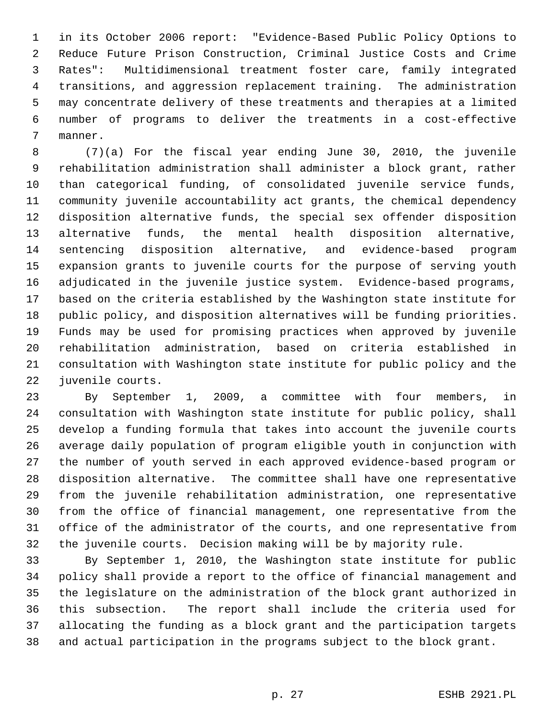1 in its October 2006 report: "Evidence-Based Public Policy Options to 2 Reduce Future Prison Construction, Criminal Justice Costs and Crime 3 Rates": Multidimensional treatment foster care, family integrated 4 transitions, and aggression replacement training. The administration 5 may concentrate delivery of these treatments and therapies at a limited 6 number of programs to deliver the treatments in a cost-effective 7 manner.

 8 (7)(a) For the fiscal year ending June 30, 2010, the juvenile 9 rehabilitation administration shall administer a block grant, rather 10 than categorical funding, of consolidated juvenile service funds, 11 community juvenile accountability act grants, the chemical dependency 12 disposition alternative funds, the special sex offender disposition 13 alternative funds, the mental health disposition alternative, 14 sentencing disposition alternative, and evidence-based program 15 expansion grants to juvenile courts for the purpose of serving youth 16 adjudicated in the juvenile justice system. Evidence-based programs, 17 based on the criteria established by the Washington state institute for 18 public policy, and disposition alternatives will be funding priorities. 19 Funds may be used for promising practices when approved by juvenile 20 rehabilitation administration, based on criteria established in 21 consultation with Washington state institute for public policy and the 22 juvenile courts.

23 By September 1, 2009, a committee with four members, in 24 consultation with Washington state institute for public policy, shall 25 develop a funding formula that takes into account the juvenile courts 26 average daily population of program eligible youth in conjunction with 27 the number of youth served in each approved evidence-based program or 28 disposition alternative. The committee shall have one representative 29 from the juvenile rehabilitation administration, one representative 30 from the office of financial management, one representative from the 31 office of the administrator of the courts, and one representative from 32 the juvenile courts. Decision making will be by majority rule.

33 By September 1, 2010, the Washington state institute for public 34 policy shall provide a report to the office of financial management and 35 the legislature on the administration of the block grant authorized in 36 this subsection. The report shall include the criteria used for 37 allocating the funding as a block grant and the participation targets 38 and actual participation in the programs subject to the block grant.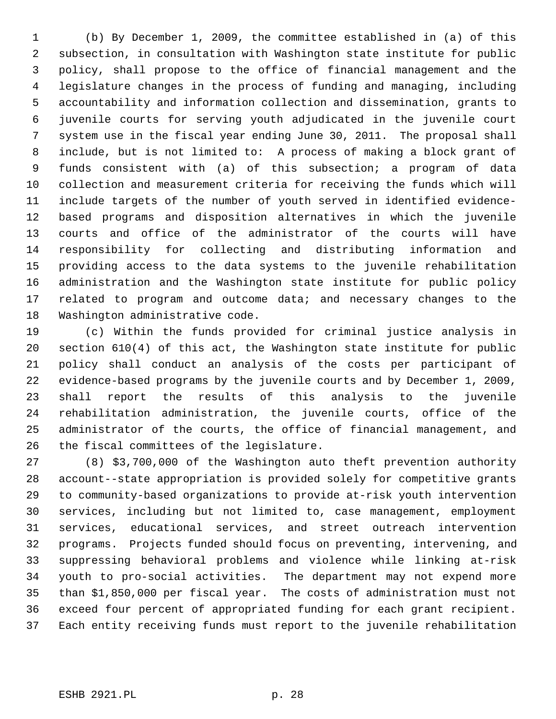1 (b) By December 1, 2009, the committee established in (a) of this 2 subsection, in consultation with Washington state institute for public 3 policy, shall propose to the office of financial management and the 4 legislature changes in the process of funding and managing, including 5 accountability and information collection and dissemination, grants to 6 juvenile courts for serving youth adjudicated in the juvenile court 7 system use in the fiscal year ending June 30, 2011. The proposal shall 8 include, but is not limited to: A process of making a block grant of 9 funds consistent with (a) of this subsection; a program of data 10 collection and measurement criteria for receiving the funds which will 11 include targets of the number of youth served in identified evidence-12 based programs and disposition alternatives in which the juvenile 13 courts and office of the administrator of the courts will have 14 responsibility for collecting and distributing information and 15 providing access to the data systems to the juvenile rehabilitation 16 administration and the Washington state institute for public policy 17 related to program and outcome data; and necessary changes to the 18 Washington administrative code.

19 (c) Within the funds provided for criminal justice analysis in 20 section 610(4) of this act, the Washington state institute for public 21 policy shall conduct an analysis of the costs per participant of 22 evidence-based programs by the juvenile courts and by December 1, 2009, 23 shall report the results of this analysis to the juvenile 24 rehabilitation administration, the juvenile courts, office of the 25 administrator of the courts, the office of financial management, and 26 the fiscal committees of the legislature.

27 (8) \$3,700,000 of the Washington auto theft prevention authority 28 account--state appropriation is provided solely for competitive grants 29 to community-based organizations to provide at-risk youth intervention 30 services, including but not limited to, case management, employment 31 services, educational services, and street outreach intervention 32 programs. Projects funded should focus on preventing, intervening, and 33 suppressing behavioral problems and violence while linking at-risk 34 youth to pro-social activities. The department may not expend more 35 than \$1,850,000 per fiscal year. The costs of administration must not 36 exceed four percent of appropriated funding for each grant recipient. 37 Each entity receiving funds must report to the juvenile rehabilitation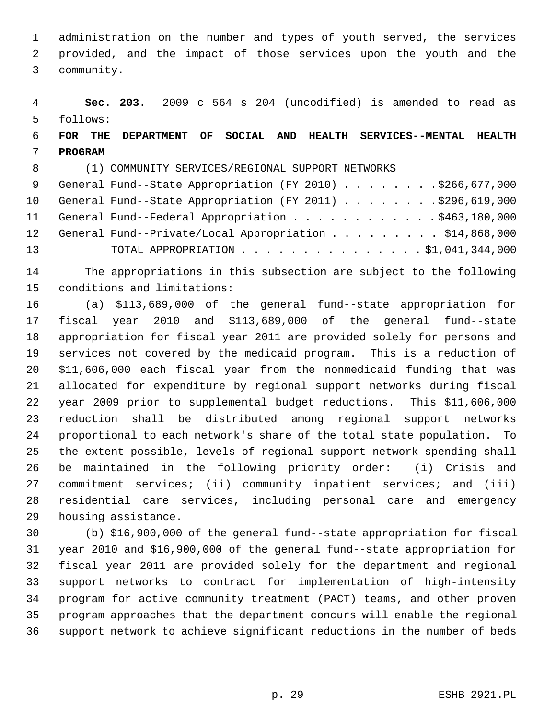1 administration on the number and types of youth served, the services 2 provided, and the impact of those services upon the youth and the 3 community.

 4 **Sec. 203.** 2009 c 564 s 204 (uncodified) is amended to read as 5 follows:

# 6 **FOR THE DEPARTMENT OF SOCIAL AND HEALTH SERVICES--MENTAL HEALTH** 7 **PROGRAM**

8 (1) COMMUNITY SERVICES/REGIONAL SUPPORT NETWORKS

|    | 9 General Fund--State Appropriation (FY 2010) \$266,677,000  |
|----|--------------------------------------------------------------|
|    | 10 General Fund--State Appropriation (FY 2011) \$296,619,000 |
|    | 11 General Fund--Federal Appropriation \$463,180,000         |
|    | 12 General Fund--Private/Local Appropriation \$14,868,000    |
| 13 | TOTAL APPROPRIATION $\ldots$ , 51,041,344,000                |

14 The appropriations in this subsection are subject to the following 15 conditions and limitations:

16 (a) \$113,689,000 of the general fund--state appropriation for 17 fiscal year 2010 and \$113,689,000 of the general fund--state 18 appropriation for fiscal year 2011 are provided solely for persons and 19 services not covered by the medicaid program. This is a reduction of 20 \$11,606,000 each fiscal year from the nonmedicaid funding that was 21 allocated for expenditure by regional support networks during fiscal 22 year 2009 prior to supplemental budget reductions. This \$11,606,000 23 reduction shall be distributed among regional support networks 24 proportional to each network's share of the total state population. To 25 the extent possible, levels of regional support network spending shall 26 be maintained in the following priority order: (i) Crisis and 27 commitment services; (ii) community inpatient services; and (iii) 28 residential care services, including personal care and emergency 29 housing assistance.

30 (b) \$16,900,000 of the general fund--state appropriation for fiscal 31 year 2010 and \$16,900,000 of the general fund--state appropriation for 32 fiscal year 2011 are provided solely for the department and regional 33 support networks to contract for implementation of high-intensity 34 program for active community treatment (PACT) teams, and other proven 35 program approaches that the department concurs will enable the regional 36 support network to achieve significant reductions in the number of beds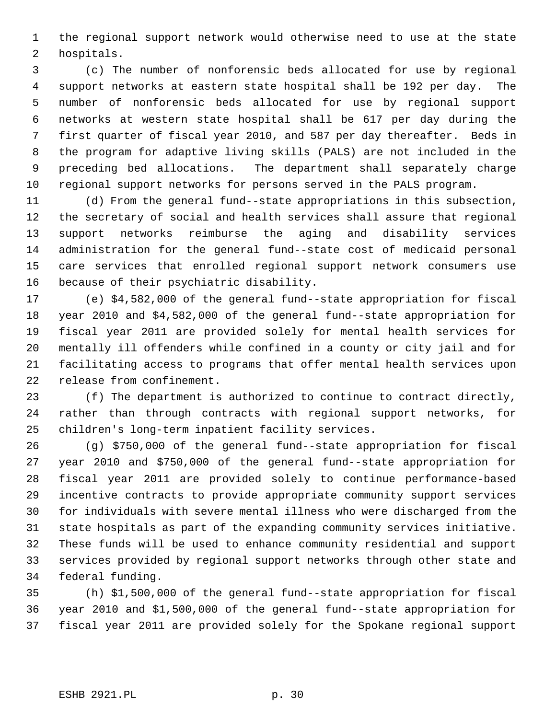1 the regional support network would otherwise need to use at the state 2 hospitals.

 3 (c) The number of nonforensic beds allocated for use by regional 4 support networks at eastern state hospital shall be 192 per day. The 5 number of nonforensic beds allocated for use by regional support 6 networks at western state hospital shall be 617 per day during the 7 first quarter of fiscal year 2010, and 587 per day thereafter. Beds in 8 the program for adaptive living skills (PALS) are not included in the 9 preceding bed allocations. The department shall separately charge 10 regional support networks for persons served in the PALS program.

11 (d) From the general fund--state appropriations in this subsection, 12 the secretary of social and health services shall assure that regional 13 support networks reimburse the aging and disability services 14 administration for the general fund--state cost of medicaid personal 15 care services that enrolled regional support network consumers use 16 because of their psychiatric disability.

17 (e) \$4,582,000 of the general fund--state appropriation for fiscal 18 year 2010 and \$4,582,000 of the general fund--state appropriation for 19 fiscal year 2011 are provided solely for mental health services for 20 mentally ill offenders while confined in a county or city jail and for 21 facilitating access to programs that offer mental health services upon 22 release from confinement.

23 (f) The department is authorized to continue to contract directly, 24 rather than through contracts with regional support networks, for 25 children's long-term inpatient facility services.

26 (g) \$750,000 of the general fund--state appropriation for fiscal 27 year 2010 and \$750,000 of the general fund--state appropriation for 28 fiscal year 2011 are provided solely to continue performance-based 29 incentive contracts to provide appropriate community support services 30 for individuals with severe mental illness who were discharged from the 31 state hospitals as part of the expanding community services initiative. 32 These funds will be used to enhance community residential and support 33 services provided by regional support networks through other state and 34 federal funding.

35 (h) \$1,500,000 of the general fund--state appropriation for fiscal 36 year 2010 and \$1,500,000 of the general fund--state appropriation for 37 fiscal year 2011 are provided solely for the Spokane regional support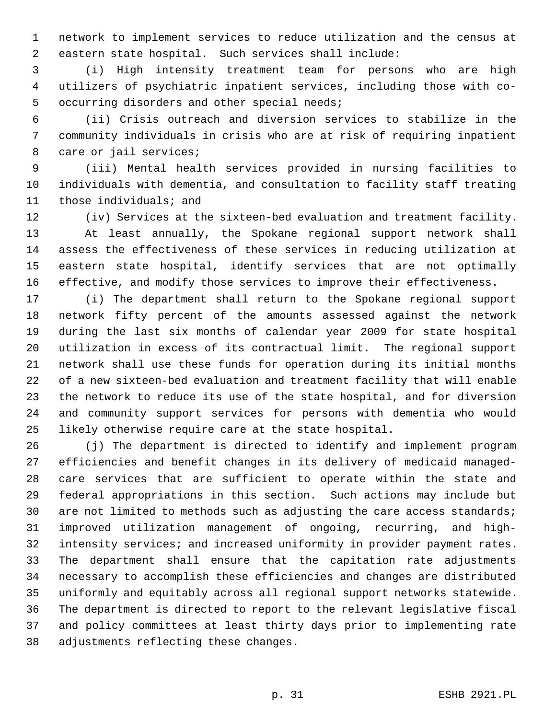1 network to implement services to reduce utilization and the census at 2 eastern state hospital. Such services shall include:

 3 (i) High intensity treatment team for persons who are high 4 utilizers of psychiatric inpatient services, including those with co- 5 occurring disorders and other special needs;

 6 (ii) Crisis outreach and diversion services to stabilize in the 7 community individuals in crisis who are at risk of requiring inpatient 8 care or jail services;

 9 (iii) Mental health services provided in nursing facilities to 10 individuals with dementia, and consultation to facility staff treating 11 those individuals; and

12 (iv) Services at the sixteen-bed evaluation and treatment facility. 13 At least annually, the Spokane regional support network shall 14 assess the effectiveness of these services in reducing utilization at 15 eastern state hospital, identify services that are not optimally 16 effective, and modify those services to improve their effectiveness.

17 (i) The department shall return to the Spokane regional support 18 network fifty percent of the amounts assessed against the network 19 during the last six months of calendar year 2009 for state hospital 20 utilization in excess of its contractual limit. The regional support 21 network shall use these funds for operation during its initial months 22 of a new sixteen-bed evaluation and treatment facility that will enable 23 the network to reduce its use of the state hospital, and for diversion 24 and community support services for persons with dementia who would 25 likely otherwise require care at the state hospital.

26 (j) The department is directed to identify and implement program 27 efficiencies and benefit changes in its delivery of medicaid managed-28 care services that are sufficient to operate within the state and 29 federal appropriations in this section. Such actions may include but 30 are not limited to methods such as adjusting the care access standards; 31 improved utilization management of ongoing, recurring, and high-32 intensity services; and increased uniformity in provider payment rates. 33 The department shall ensure that the capitation rate adjustments 34 necessary to accomplish these efficiencies and changes are distributed 35 uniformly and equitably across all regional support networks statewide. 36 The department is directed to report to the relevant legislative fiscal 37 and policy committees at least thirty days prior to implementing rate 38 adjustments reflecting these changes.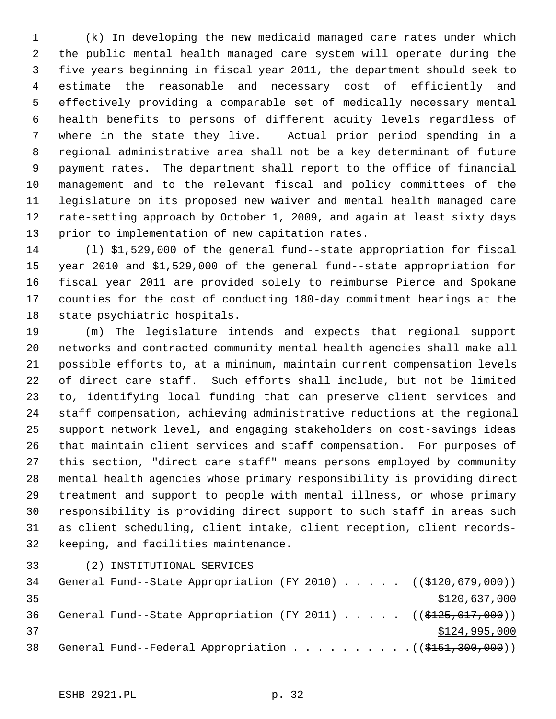1 (k) In developing the new medicaid managed care rates under which 2 the public mental health managed care system will operate during the 3 five years beginning in fiscal year 2011, the department should seek to 4 estimate the reasonable and necessary cost of efficiently and 5 effectively providing a comparable set of medically necessary mental 6 health benefits to persons of different acuity levels regardless of 7 where in the state they live. Actual prior period spending in a 8 regional administrative area shall not be a key determinant of future 9 payment rates. The department shall report to the office of financial 10 management and to the relevant fiscal and policy committees of the 11 legislature on its proposed new waiver and mental health managed care 12 rate-setting approach by October 1, 2009, and again at least sixty days 13 prior to implementation of new capitation rates.

14 (l) \$1,529,000 of the general fund--state appropriation for fiscal 15 year 2010 and \$1,529,000 of the general fund--state appropriation for 16 fiscal year 2011 are provided solely to reimburse Pierce and Spokane 17 counties for the cost of conducting 180-day commitment hearings at the 18 state psychiatric hospitals.

19 (m) The legislature intends and expects that regional support 20 networks and contracted community mental health agencies shall make all 21 possible efforts to, at a minimum, maintain current compensation levels 22 of direct care staff. Such efforts shall include, but not be limited 23 to, identifying local funding that can preserve client services and 24 staff compensation, achieving administrative reductions at the regional 25 support network level, and engaging stakeholders on cost-savings ideas 26 that maintain client services and staff compensation. For purposes of 27 this section, "direct care staff" means persons employed by community 28 mental health agencies whose primary responsibility is providing direct 29 treatment and support to people with mental illness, or whose primary 30 responsibility is providing direct support to such staff in areas such 31 as client scheduling, client intake, client reception, client records-32 keeping, and facilities maintenance.

33 (2) INSTITUTIONAL SERVICES

34 General Fund--State Appropriation (FY 2010) . . . . . ((\$120,679,000)) 35 \$120,637,000 36 General Fund--State Appropriation (FY 2011) . . . . . ((\$125,017,000))  $37$   $$124,995,000$ 38 General Fund--Federal Appropriation . . . . . . . . . . ((\$151,300,000))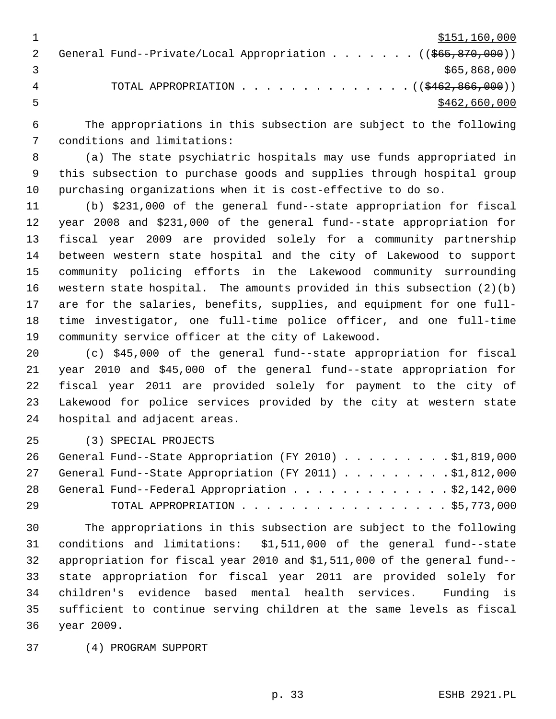| \$151,160,000                                                                     |
|-----------------------------------------------------------------------------------|
| General Fund--Private/Local Appropriation ( $(\frac{665}{67}, \frac{870}{600})$ ) |
| \$65,868,000                                                                      |
| TOTAL APPROPRIATION $\ldots$ , ( $(\frac{2462}{6266600})$ )                       |
| \$462,660,000                                                                     |

 6 The appropriations in this subsection are subject to the following 7 conditions and limitations:

 8 (a) The state psychiatric hospitals may use funds appropriated in 9 this subsection to purchase goods and supplies through hospital group 10 purchasing organizations when it is cost-effective to do so.

11 (b) \$231,000 of the general fund--state appropriation for fiscal 12 year 2008 and \$231,000 of the general fund--state appropriation for 13 fiscal year 2009 are provided solely for a community partnership 14 between western state hospital and the city of Lakewood to support 15 community policing efforts in the Lakewood community surrounding 16 western state hospital. The amounts provided in this subsection (2)(b) 17 are for the salaries, benefits, supplies, and equipment for one full-18 time investigator, one full-time police officer, and one full-time 19 community service officer at the city of Lakewood.

20 (c) \$45,000 of the general fund--state appropriation for fiscal 21 year 2010 and \$45,000 of the general fund--state appropriation for 22 fiscal year 2011 are provided solely for payment to the city of 23 Lakewood for police services provided by the city at western state 24 hospital and adjacent areas.

25 (3) SPECIAL PROJECTS

|    | 26 General Fund--State Appropriation (FY 2010) \$1,819,000 |
|----|------------------------------------------------------------|
|    | 27 General Fund--State Appropriation (FY 2011) \$1,812,000 |
|    | 28 General Fund--Federal Appropriation \$2,142,000         |
| 29 | TOTAL APPROPRIATION $\ldots$ , \$5,773,000                 |

30 The appropriations in this subsection are subject to the following 31 conditions and limitations: \$1,511,000 of the general fund--state 32 appropriation for fiscal year 2010 and \$1,511,000 of the general fund-- 33 state appropriation for fiscal year 2011 are provided solely for 34 children's evidence based mental health services. Funding is 35 sufficient to continue serving children at the same levels as fiscal 36 year 2009.

37 (4) PROGRAM SUPPORT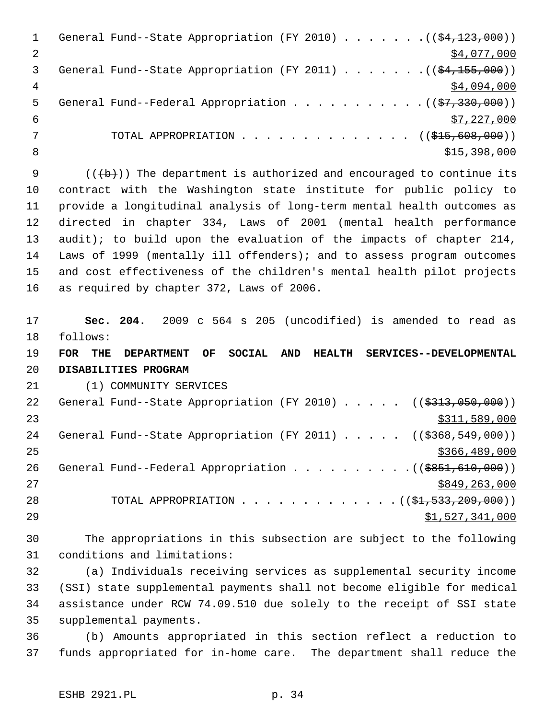|    | General Fund--State Appropriation (FY 2010) ( $(\frac{24,123,000}{2})$      |
|----|-----------------------------------------------------------------------------|
|    | \$4,077,000                                                                 |
| 3  | General Fund--State Appropriation (FY 2011) $($ $(\frac{24,155,000}{1})$    |
| 4  | \$4,094,000                                                                 |
| 5. | General Fund--Federal Appropriation $($ $(\frac{27}{330}, \frac{330}{900})$ |
| 6  | \$7,227,000                                                                 |
|    | TOTAL APPROPRIATION $\ldots$ , ( $(\frac{215}{100}, 600, 000)$ )            |
| 8  | \$15,398,000                                                                |
|    |                                                                             |

9  $($   $($   $($   $\rightarrow$   $)$   $)$  The department is authorized and encouraged to continue its 10 contract with the Washington state institute for public policy to 11 provide a longitudinal analysis of long-term mental health outcomes as 12 directed in chapter 334, Laws of 2001 (mental health performance 13 audit); to build upon the evaluation of the impacts of chapter 214, 14 Laws of 1999 (mentally ill offenders); and to assess program outcomes 15 and cost effectiveness of the children's mental health pilot projects 16 as required by chapter 372, Laws of 2006.

17 **Sec. 204.** 2009 c 564 s 205 (uncodified) is amended to read as 18 follows:

19 **FOR THE DEPARTMENT OF SOCIAL AND HEALTH SERVICES--DEVELOPMENTAL** 20 **DISABILITIES PROGRAM**

21 (1) COMMUNITY SERVICES

| 22 | General Fund--State Appropriation (FY 2010) $($ $($ \$313,050,000))                   |
|----|---------------------------------------------------------------------------------------|
| 23 | \$311,589,000                                                                         |
| 24 | General Fund--State Appropriation (FY 2011) ( $(\frac{2368}{549}, \frac{549}{000})$ ) |
| 25 | \$366,489,000                                                                         |
| 26 | General Fund--Federal Appropriation $($ $($ $\frac{1}{5851}, 610, 000)$ $)$           |
| 27 | \$849,263,000                                                                         |
| 28 | TOTAL APPROPRIATION $($ $(\frac{1}{21}, 533, 209, 000) )$                             |
| 29 | \$1,527,341,000                                                                       |

30 The appropriations in this subsection are subject to the following 31 conditions and limitations:

32 (a) Individuals receiving services as supplemental security income 33 (SSI) state supplemental payments shall not become eligible for medical 34 assistance under RCW 74.09.510 due solely to the receipt of SSI state 35 supplemental payments.

36 (b) Amounts appropriated in this section reflect a reduction to 37 funds appropriated for in-home care. The department shall reduce the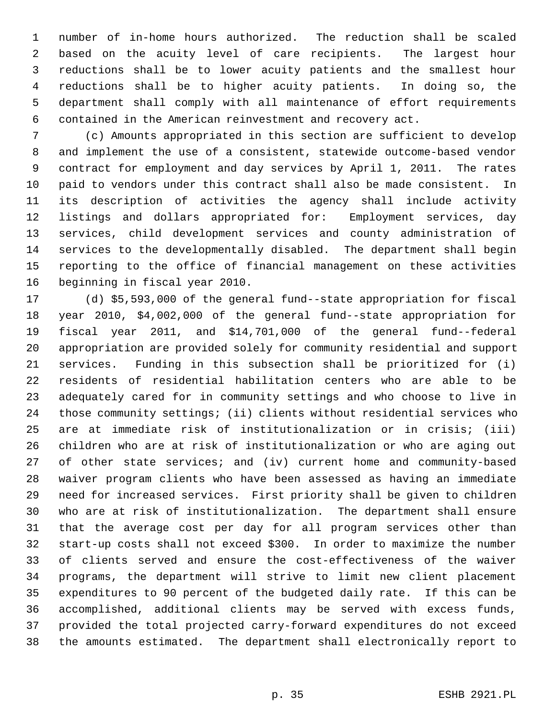1 number of in-home hours authorized. The reduction shall be scaled 2 based on the acuity level of care recipients. The largest hour 3 reductions shall be to lower acuity patients and the smallest hour 4 reductions shall be to higher acuity patients. In doing so, the 5 department shall comply with all maintenance of effort requirements 6 contained in the American reinvestment and recovery act.

 7 (c) Amounts appropriated in this section are sufficient to develop 8 and implement the use of a consistent, statewide outcome-based vendor 9 contract for employment and day services by April 1, 2011. The rates 10 paid to vendors under this contract shall also be made consistent. In 11 its description of activities the agency shall include activity 12 listings and dollars appropriated for: Employment services, day 13 services, child development services and county administration of 14 services to the developmentally disabled. The department shall begin 15 reporting to the office of financial management on these activities 16 beginning in fiscal year 2010.

17 (d) \$5,593,000 of the general fund--state appropriation for fiscal 18 year 2010, \$4,002,000 of the general fund--state appropriation for 19 fiscal year 2011, and \$14,701,000 of the general fund--federal 20 appropriation are provided solely for community residential and support 21 services. Funding in this subsection shall be prioritized for (i) 22 residents of residential habilitation centers who are able to be 23 adequately cared for in community settings and who choose to live in 24 those community settings; (ii) clients without residential services who 25 are at immediate risk of institutionalization or in crisis; (iii) 26 children who are at risk of institutionalization or who are aging out 27 of other state services; and (iv) current home and community-based 28 waiver program clients who have been assessed as having an immediate 29 need for increased services. First priority shall be given to children 30 who are at risk of institutionalization. The department shall ensure 31 that the average cost per day for all program services other than 32 start-up costs shall not exceed \$300. In order to maximize the number 33 of clients served and ensure the cost-effectiveness of the waiver 34 programs, the department will strive to limit new client placement 35 expenditures to 90 percent of the budgeted daily rate. If this can be 36 accomplished, additional clients may be served with excess funds, 37 provided the total projected carry-forward expenditures do not exceed 38 the amounts estimated. The department shall electronically report to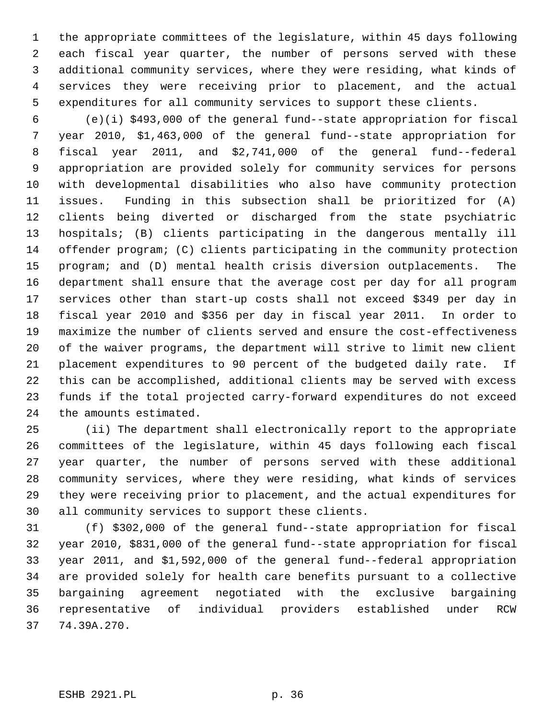1 the appropriate committees of the legislature, within 45 days following 2 each fiscal year quarter, the number of persons served with these 3 additional community services, where they were residing, what kinds of 4 services they were receiving prior to placement, and the actual 5 expenditures for all community services to support these clients.

 6 (e)(i) \$493,000 of the general fund--state appropriation for fiscal 7 year 2010, \$1,463,000 of the general fund--state appropriation for 8 fiscal year 2011, and \$2,741,000 of the general fund--federal 9 appropriation are provided solely for community services for persons 10 with developmental disabilities who also have community protection 11 issues. Funding in this subsection shall be prioritized for (A) 12 clients being diverted or discharged from the state psychiatric 13 hospitals; (B) clients participating in the dangerous mentally ill 14 offender program; (C) clients participating in the community protection 15 program; and (D) mental health crisis diversion outplacements. The 16 department shall ensure that the average cost per day for all program 17 services other than start-up costs shall not exceed \$349 per day in 18 fiscal year 2010 and \$356 per day in fiscal year 2011. In order to 19 maximize the number of clients served and ensure the cost-effectiveness 20 of the waiver programs, the department will strive to limit new client 21 placement expenditures to 90 percent of the budgeted daily rate. If 22 this can be accomplished, additional clients may be served with excess 23 funds if the total projected carry-forward expenditures do not exceed 24 the amounts estimated.

25 (ii) The department shall electronically report to the appropriate 26 committees of the legislature, within 45 days following each fiscal 27 year quarter, the number of persons served with these additional 28 community services, where they were residing, what kinds of services 29 they were receiving prior to placement, and the actual expenditures for 30 all community services to support these clients.

31 (f) \$302,000 of the general fund--state appropriation for fiscal 32 year 2010, \$831,000 of the general fund--state appropriation for fiscal 33 year 2011, and \$1,592,000 of the general fund--federal appropriation 34 are provided solely for health care benefits pursuant to a collective 35 bargaining agreement negotiated with the exclusive bargaining 36 representative of individual providers established under RCW 37 74.39A.270.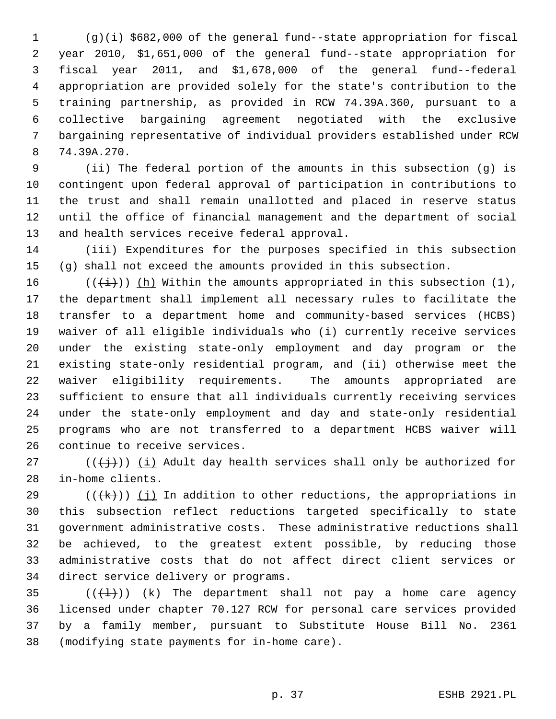1 (g)(i) \$682,000 of the general fund--state appropriation for fiscal 2 year 2010, \$1,651,000 of the general fund--state appropriation for 3 fiscal year 2011, and \$1,678,000 of the general fund--federal 4 appropriation are provided solely for the state's contribution to the 5 training partnership, as provided in RCW 74.39A.360, pursuant to a 6 collective bargaining agreement negotiated with the exclusive 7 bargaining representative of individual providers established under RCW 8 74.39A.270.

 9 (ii) The federal portion of the amounts in this subsection (g) is 10 contingent upon federal approval of participation in contributions to 11 the trust and shall remain unallotted and placed in reserve status 12 until the office of financial management and the department of social 13 and health services receive federal approval.

14 (iii) Expenditures for the purposes specified in this subsection 15 (g) shall not exceed the amounts provided in this subsection.

16 ( $(\frac{1}{i})$ ) (h) Within the amounts appropriated in this subsection (1), 17 the department shall implement all necessary rules to facilitate the 18 transfer to a department home and community-based services (HCBS) 19 waiver of all eligible individuals who (i) currently receive services 20 under the existing state-only employment and day program or the 21 existing state-only residential program, and (ii) otherwise meet the 22 waiver eligibility requirements. The amounts appropriated are 23 sufficient to ensure that all individuals currently receiving services 24 under the state-only employment and day and state-only residential 25 programs who are not transferred to a department HCBS waiver will 26 continue to receive services.

27 ( $(\{\dagger\})$ ) (i) Adult day health services shall only be authorized for 28 in-home clients.

29 ( $(\forall k)$ ) (j) In addition to other reductions, the appropriations in 30 this subsection reflect reductions targeted specifically to state 31 government administrative costs. These administrative reductions shall 32 be achieved, to the greatest extent possible, by reducing those 33 administrative costs that do not affect direct client services or 34 direct service delivery or programs.

35  $((\{\pm\})$   $(k)$  The department shall not pay a home care agency 36 licensed under chapter 70.127 RCW for personal care services provided 37 by a family member, pursuant to Substitute House Bill No. 2361 38 (modifying state payments for in-home care).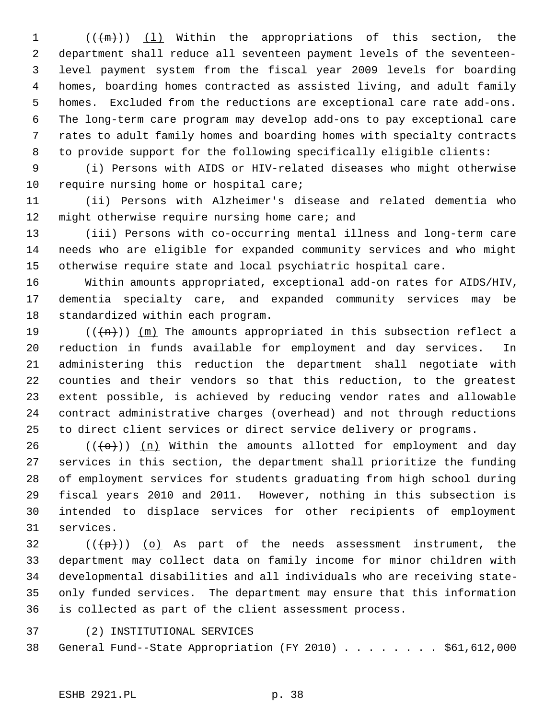1  $((+\mathfrak{m})))$  (1) Within the appropriations of this section, the 2 department shall reduce all seventeen payment levels of the seventeen- 3 level payment system from the fiscal year 2009 levels for boarding 4 homes, boarding homes contracted as assisted living, and adult family 5 homes. Excluded from the reductions are exceptional care rate add-ons. 6 The long-term care program may develop add-ons to pay exceptional care 7 rates to adult family homes and boarding homes with specialty contracts 8 to provide support for the following specifically eligible clients:

 9 (i) Persons with AIDS or HIV-related diseases who might otherwise 10 require nursing home or hospital care;

11 (ii) Persons with Alzheimer's disease and related dementia who 12 might otherwise require nursing home care; and

13 (iii) Persons with co-occurring mental illness and long-term care 14 needs who are eligible for expanded community services and who might 15 otherwise require state and local psychiatric hospital care.

16 Within amounts appropriated, exceptional add-on rates for AIDS/HIV, 17 dementia specialty care, and expanded community services may be 18 standardized within each program.

19 ( $(\overline{+n})$ ) (m) The amounts appropriated in this subsection reflect a 20 reduction in funds available for employment and day services. In 21 administering this reduction the department shall negotiate with 22 counties and their vendors so that this reduction, to the greatest 23 extent possible, is achieved by reducing vendor rates and allowable 24 contract administrative charges (overhead) and not through reductions 25 to direct client services or direct service delivery or programs.

26 ( $(\overline{\left\langle \Theta\right\rangle})$ ) (n) Within the amounts allotted for employment and day 27 services in this section, the department shall prioritize the funding 28 of employment services for students graduating from high school during 29 fiscal years 2010 and 2011. However, nothing in this subsection is 30 intended to displace services for other recipients of employment 31 services.

 $32$  (( $\left(\frac{p}{p}\right)$ ) (o) As part of the needs assessment instrument, the 33 department may collect data on family income for minor children with 34 developmental disabilities and all individuals who are receiving state-35 only funded services. The department may ensure that this information 36 is collected as part of the client assessment process.

37 (2) INSTITUTIONAL SERVICES

38 General Fund--State Appropriation (FY 2010) . . . . . . . . \$61,612,000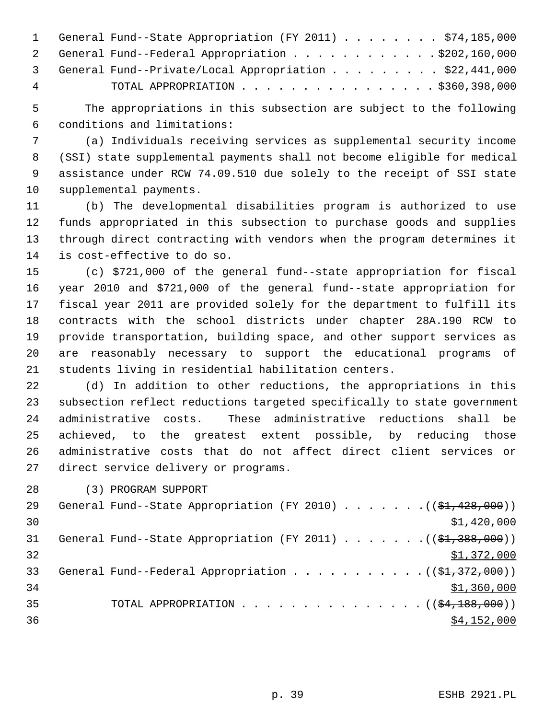|   | 1 General Fund--State Appropriation (FY 2011) \$74,185,000 |
|---|------------------------------------------------------------|
|   | 2 General Fund--Federal Appropriation \$202,160,000        |
|   | 3 General Fund--Private/Local Appropriation \$22,441,000   |
| 4 | TOTAL APPROPRIATION $\ldots$ , \$360,398,000               |

 5 The appropriations in this subsection are subject to the following 6 conditions and limitations:

 7 (a) Individuals receiving services as supplemental security income 8 (SSI) state supplemental payments shall not become eligible for medical 9 assistance under RCW 74.09.510 due solely to the receipt of SSI state 10 supplemental payments.

11 (b) The developmental disabilities program is authorized to use 12 funds appropriated in this subsection to purchase goods and supplies 13 through direct contracting with vendors when the program determines it 14 is cost-effective to do so.

15 (c) \$721,000 of the general fund--state appropriation for fiscal 16 year 2010 and \$721,000 of the general fund--state appropriation for 17 fiscal year 2011 are provided solely for the department to fulfill its 18 contracts with the school districts under chapter 28A.190 RCW to 19 provide transportation, building space, and other support services as 20 are reasonably necessary to support the educational programs of 21 students living in residential habilitation centers.

22 (d) In addition to other reductions, the appropriations in this 23 subsection reflect reductions targeted specifically to state government 24 administrative costs. These administrative reductions shall be 25 achieved, to the greatest extent possible, by reducing those 26 administrative costs that do not affect direct client services or 27 direct service delivery or programs.

28 (3) PROGRAM SUPPORT

| 29 | General Fund--State Appropriation (FY 2010) $($ $($ \$1,428,000)) |
|----|-------------------------------------------------------------------|
| 30 | \$1,420,000                                                       |
| 31 | General Fund--State Appropriation (FY 2011) $($ $($ \$1,388,000)) |
| 32 | \$1,372,000                                                       |
| 33 | General Fund--Federal Appropriation $($ $($ \$1,372,000) $)$      |
| 34 | \$1,360,000                                                       |
| 35 | TOTAL APPROPRIATION $($ $($ \$4,188,000) $)$                      |
| 36 | \$4,152,000                                                       |
|    |                                                                   |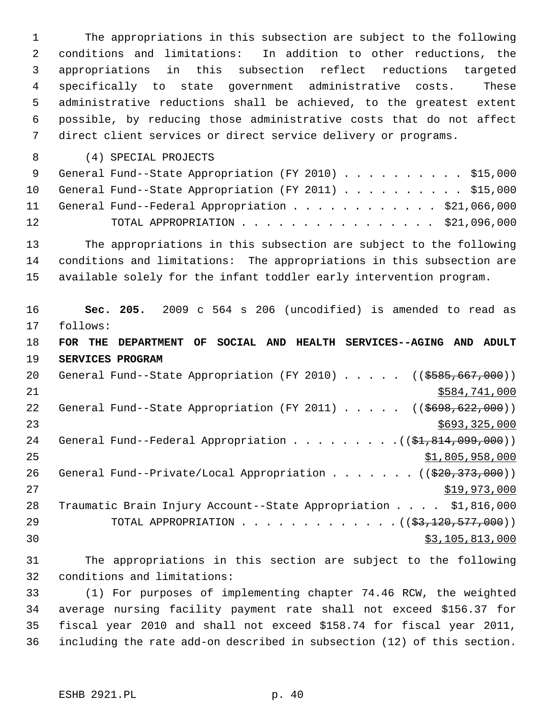1 The appropriations in this subsection are subject to the following 2 conditions and limitations: In addition to other reductions, the 3 appropriations in this subsection reflect reductions targeted 4 specifically to state government administrative costs. These 5 administrative reductions shall be achieved, to the greatest extent 6 possible, by reducing those administrative costs that do not affect 7 direct client services or direct service delivery or programs.

8 (4) SPECIAL PROJECTS

|    | 9 General Fund--State Appropriation (FY 2010) \$15,000  |  |
|----|---------------------------------------------------------|--|
|    | 10 General Fund--State Appropriation (FY 2011) \$15,000 |  |
|    | 11 General Fund--Federal Appropriation \$21,066,000     |  |
| 12 | TOTAL APPROPRIATION $\ldots$ , \$21,096,000             |  |

13 The appropriations in this subsection are subject to the following 14 conditions and limitations: The appropriations in this subsection are 15 available solely for the infant toddler early intervention program.

16 **Sec. 205.** 2009 c 564 s 206 (uncodified) is amended to read as 17 follows: 18 **FOR THE DEPARTMENT OF SOCIAL AND HEALTH SERVICES--AGING AND ADULT** 19 **SERVICES PROGRAM** 20 General Fund--State Appropriation (FY 2010) . . . . . ((\$585,667,000)) 21 \$584,741,000 22 General Fund--State Appropriation (FY 2011) . . . . . ((\$698,622,000))  $23$   $5693,325,000$ 24 General Fund--Federal Appropriation . . . . . . . .  $($   $($ \$1,814,099,000))  $25$   $51,805,958,000$ 26 General Fund--Private/Local Appropriation . . . . . . ((\$20,373,000)) 27 \$19,973,000 28 Traumatic Brain Injury Account--State Appropriation . . . . \$1,816,000 29 TOTAL APPROPRIATION . . . . . . . . . . . . . ((\$3,120,577,000))  $\frac{1}{2}$  30  $\frac{1}{2}$  30  $\frac{1}{2}$  30  $\frac{1}{2}$  30  $\frac{1}{2}$  30  $\frac{1}{2}$  30  $\frac{1}{2}$  30  $\frac{1}{2}$  30  $\frac{1}{2}$  30  $\frac{1}{2}$  30  $\frac{1}{2}$  30  $\frac{1}{2}$  30  $\frac{1}{2}$  30  $\frac{1}{2}$  30  $\frac{1}{2}$  30  $\frac{1}{2}$  30  $\frac{1}{2}$  30

31 The appropriations in this section are subject to the following 32 conditions and limitations:

33 (1) For purposes of implementing chapter 74.46 RCW, the weighted 34 average nursing facility payment rate shall not exceed \$156.37 for 35 fiscal year 2010 and shall not exceed \$158.74 for fiscal year 2011, 36 including the rate add-on described in subsection (12) of this section.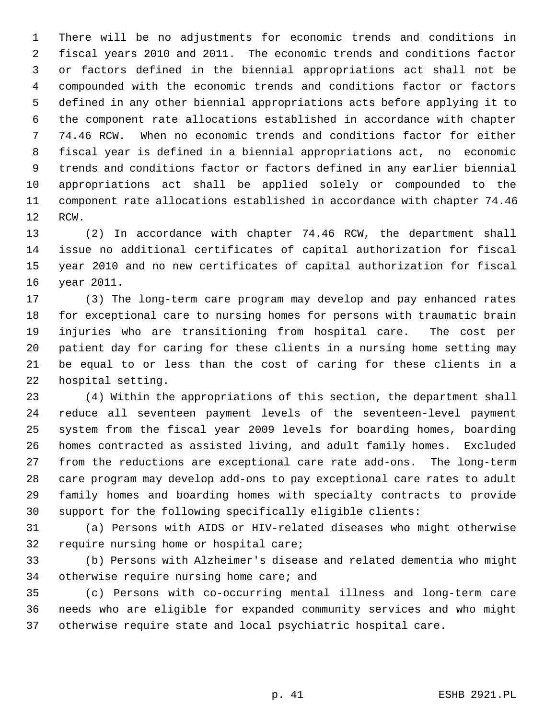1 There will be no adjustments for economic trends and conditions in 2 fiscal years 2010 and 2011. The economic trends and conditions factor 3 or factors defined in the biennial appropriations act shall not be 4 compounded with the economic trends and conditions factor or factors 5 defined in any other biennial appropriations acts before applying it to 6 the component rate allocations established in accordance with chapter 7 74.46 RCW. When no economic trends and conditions factor for either 8 fiscal year is defined in a biennial appropriations act, no economic 9 trends and conditions factor or factors defined in any earlier biennial 10 appropriations act shall be applied solely or compounded to the 11 component rate allocations established in accordance with chapter 74.46 12 RCW.

13 (2) In accordance with chapter 74.46 RCW, the department shall 14 issue no additional certificates of capital authorization for fiscal 15 year 2010 and no new certificates of capital authorization for fiscal 16 year 2011.

17 (3) The long-term care program may develop and pay enhanced rates 18 for exceptional care to nursing homes for persons with traumatic brain 19 injuries who are transitioning from hospital care. The cost per 20 patient day for caring for these clients in a nursing home setting may 21 be equal to or less than the cost of caring for these clients in a 22 hospital setting.

23 (4) Within the appropriations of this section, the department shall 24 reduce all seventeen payment levels of the seventeen-level payment 25 system from the fiscal year 2009 levels for boarding homes, boarding 26 homes contracted as assisted living, and adult family homes. Excluded 27 from the reductions are exceptional care rate add-ons. The long-term 28 care program may develop add-ons to pay exceptional care rates to adult 29 family homes and boarding homes with specialty contracts to provide 30 support for the following specifically eligible clients:

31 (a) Persons with AIDS or HIV-related diseases who might otherwise 32 require nursing home or hospital care;

33 (b) Persons with Alzheimer's disease and related dementia who might 34 otherwise require nursing home care; and

35 (c) Persons with co-occurring mental illness and long-term care 36 needs who are eligible for expanded community services and who might 37 otherwise require state and local psychiatric hospital care.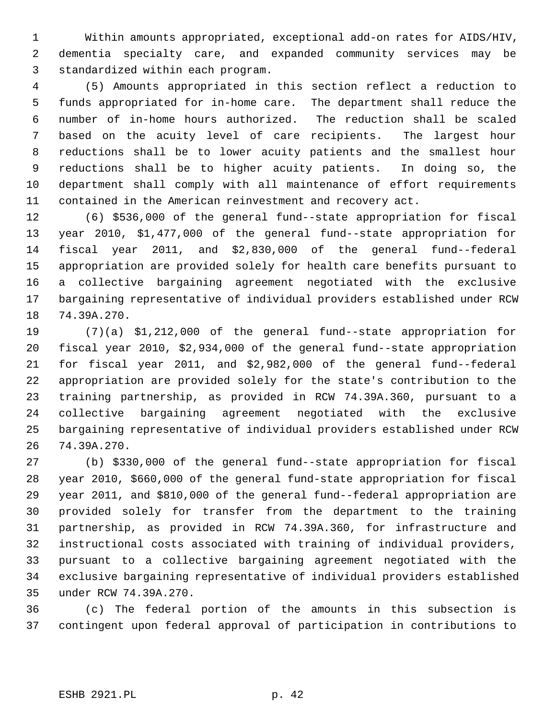1 Within amounts appropriated, exceptional add-on rates for AIDS/HIV, 2 dementia specialty care, and expanded community services may be 3 standardized within each program.

 4 (5) Amounts appropriated in this section reflect a reduction to 5 funds appropriated for in-home care. The department shall reduce the 6 number of in-home hours authorized. The reduction shall be scaled 7 based on the acuity level of care recipients. The largest hour 8 reductions shall be to lower acuity patients and the smallest hour 9 reductions shall be to higher acuity patients. In doing so, the 10 department shall comply with all maintenance of effort requirements 11 contained in the American reinvestment and recovery act.

12 (6) \$536,000 of the general fund--state appropriation for fiscal 13 year 2010, \$1,477,000 of the general fund--state appropriation for 14 fiscal year 2011, and \$2,830,000 of the general fund--federal 15 appropriation are provided solely for health care benefits pursuant to 16 a collective bargaining agreement negotiated with the exclusive 17 bargaining representative of individual providers established under RCW 18 74.39A.270.

19 (7)(a) \$1,212,000 of the general fund--state appropriation for 20 fiscal year 2010, \$2,934,000 of the general fund--state appropriation 21 for fiscal year 2011, and \$2,982,000 of the general fund--federal 22 appropriation are provided solely for the state's contribution to the 23 training partnership, as provided in RCW 74.39A.360, pursuant to a 24 collective bargaining agreement negotiated with the exclusive 25 bargaining representative of individual providers established under RCW 26 74.39A.270.

27 (b) \$330,000 of the general fund--state appropriation for fiscal 28 year 2010, \$660,000 of the general fund-state appropriation for fiscal 29 year 2011, and \$810,000 of the general fund--federal appropriation are 30 provided solely for transfer from the department to the training 31 partnership, as provided in RCW 74.39A.360, for infrastructure and 32 instructional costs associated with training of individual providers, 33 pursuant to a collective bargaining agreement negotiated with the 34 exclusive bargaining representative of individual providers established 35 under RCW 74.39A.270.

36 (c) The federal portion of the amounts in this subsection is 37 contingent upon federal approval of participation in contributions to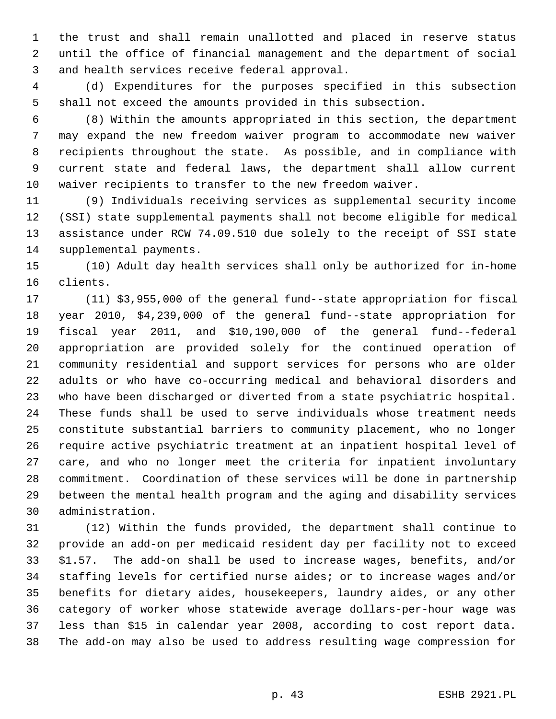1 the trust and shall remain unallotted and placed in reserve status 2 until the office of financial management and the department of social 3 and health services receive federal approval.

 4 (d) Expenditures for the purposes specified in this subsection 5 shall not exceed the amounts provided in this subsection.

 6 (8) Within the amounts appropriated in this section, the department 7 may expand the new freedom waiver program to accommodate new waiver 8 recipients throughout the state. As possible, and in compliance with 9 current state and federal laws, the department shall allow current 10 waiver recipients to transfer to the new freedom waiver.

11 (9) Individuals receiving services as supplemental security income 12 (SSI) state supplemental payments shall not become eligible for medical 13 assistance under RCW 74.09.510 due solely to the receipt of SSI state 14 supplemental payments.

15 (10) Adult day health services shall only be authorized for in-home 16 clients.

17 (11) \$3,955,000 of the general fund--state appropriation for fiscal 18 year 2010, \$4,239,000 of the general fund--state appropriation for 19 fiscal year 2011, and \$10,190,000 of the general fund--federal 20 appropriation are provided solely for the continued operation of 21 community residential and support services for persons who are older 22 adults or who have co-occurring medical and behavioral disorders and 23 who have been discharged or diverted from a state psychiatric hospital. 24 These funds shall be used to serve individuals whose treatment needs 25 constitute substantial barriers to community placement, who no longer 26 require active psychiatric treatment at an inpatient hospital level of 27 care, and who no longer meet the criteria for inpatient involuntary 28 commitment. Coordination of these services will be done in partnership 29 between the mental health program and the aging and disability services 30 administration.

31 (12) Within the funds provided, the department shall continue to 32 provide an add-on per medicaid resident day per facility not to exceed 33 \$1.57. The add-on shall be used to increase wages, benefits, and/or 34 staffing levels for certified nurse aides; or to increase wages and/or 35 benefits for dietary aides, housekeepers, laundry aides, or any other 36 category of worker whose statewide average dollars-per-hour wage was 37 less than \$15 in calendar year 2008, according to cost report data. 38 The add-on may also be used to address resulting wage compression for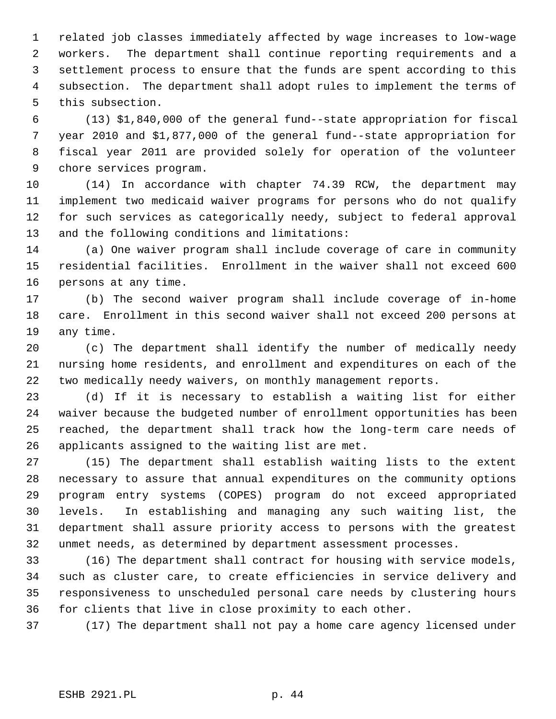1 related job classes immediately affected by wage increases to low-wage 2 workers. The department shall continue reporting requirements and a 3 settlement process to ensure that the funds are spent according to this 4 subsection. The department shall adopt rules to implement the terms of 5 this subsection.

 6 (13) \$1,840,000 of the general fund--state appropriation for fiscal 7 year 2010 and \$1,877,000 of the general fund--state appropriation for 8 fiscal year 2011 are provided solely for operation of the volunteer 9 chore services program.

10 (14) In accordance with chapter 74.39 RCW, the department may 11 implement two medicaid waiver programs for persons who do not qualify 12 for such services as categorically needy, subject to federal approval 13 and the following conditions and limitations:

14 (a) One waiver program shall include coverage of care in community 15 residential facilities. Enrollment in the waiver shall not exceed 600 16 persons at any time.

17 (b) The second waiver program shall include coverage of in-home 18 care. Enrollment in this second waiver shall not exceed 200 persons at 19 any time.

20 (c) The department shall identify the number of medically needy 21 nursing home residents, and enrollment and expenditures on each of the 22 two medically needy waivers, on monthly management reports.

23 (d) If it is necessary to establish a waiting list for either 24 waiver because the budgeted number of enrollment opportunities has been 25 reached, the department shall track how the long-term care needs of 26 applicants assigned to the waiting list are met.

27 (15) The department shall establish waiting lists to the extent 28 necessary to assure that annual expenditures on the community options 29 program entry systems (COPES) program do not exceed appropriated 30 levels. In establishing and managing any such waiting list, the 31 department shall assure priority access to persons with the greatest 32 unmet needs, as determined by department assessment processes.

33 (16) The department shall contract for housing with service models, 34 such as cluster care, to create efficiencies in service delivery and 35 responsiveness to unscheduled personal care needs by clustering hours 36 for clients that live in close proximity to each other.

37 (17) The department shall not pay a home care agency licensed under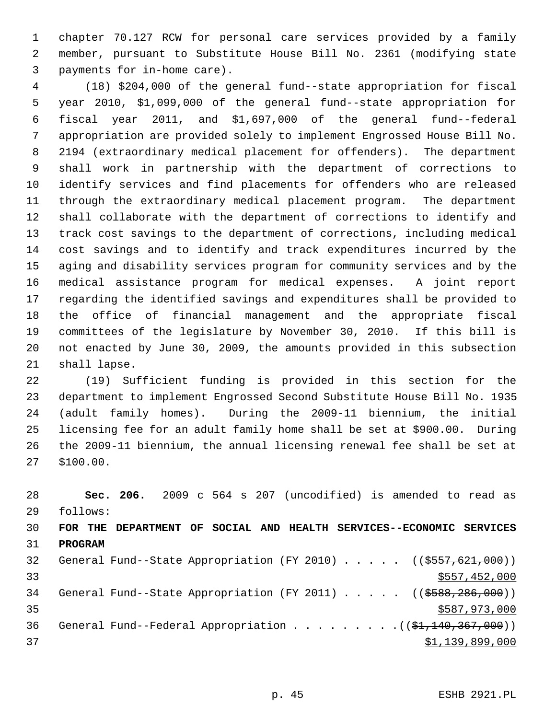1 chapter 70.127 RCW for personal care services provided by a family 2 member, pursuant to Substitute House Bill No. 2361 (modifying state 3 payments for in-home care).

 4 (18) \$204,000 of the general fund--state appropriation for fiscal 5 year 2010, \$1,099,000 of the general fund--state appropriation for 6 fiscal year 2011, and \$1,697,000 of the general fund--federal 7 appropriation are provided solely to implement Engrossed House Bill No. 8 2194 (extraordinary medical placement for offenders). The department 9 shall work in partnership with the department of corrections to 10 identify services and find placements for offenders who are released 11 through the extraordinary medical placement program. The department 12 shall collaborate with the department of corrections to identify and 13 track cost savings to the department of corrections, including medical 14 cost savings and to identify and track expenditures incurred by the 15 aging and disability services program for community services and by the 16 medical assistance program for medical expenses. A joint report 17 regarding the identified savings and expenditures shall be provided to 18 the office of financial management and the appropriate fiscal 19 committees of the legislature by November 30, 2010. If this bill is 20 not enacted by June 30, 2009, the amounts provided in this subsection 21 shall lapse.

22 (19) Sufficient funding is provided in this section for the 23 department to implement Engrossed Second Substitute House Bill No. 1935 24 (adult family homes). During the 2009-11 biennium, the initial 25 licensing fee for an adult family home shall be set at \$900.00. During 26 the 2009-11 biennium, the annual licensing renewal fee shall be set at 27 \$100.00.

28 **Sec. 206.** 2009 c 564 s 207 (uncodified) is amended to read as 29 follows: 30 **FOR THE DEPARTMENT OF SOCIAL AND HEALTH SERVICES--ECONOMIC SERVICES** 31 **PROGRAM** 32 General Fund--State Appropriation (FY 2010) . . . . . ((\$557,621,000)) 33 \$557,452,000 34 General Fund--State Appropriation (FY 2011) . . . . . ((\$588,286,000)) 35 \$587,973,000 36 General Fund--Federal Appropriation . . . . . . . . . ((\$1,140,367,000))  $37$   $\frac{1}{39}$ , 899, 000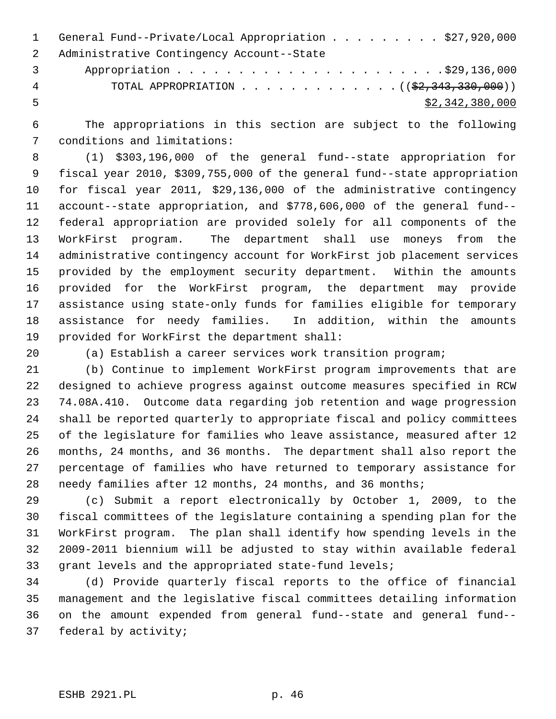1 General Fund--Private/Local Appropriation . . . . . . . . \$27,920,000 2 Administrative Contingency Account--State 3 Appropriation . . . . . . . . . . . . . . . . . . . . . .\$29,136,000 4 TOTAL APPROPRIATION . . . . . . . . . . . . . ((\$2,343,330,000))

 $5 - 5$  \$2,342,380,000

 6 The appropriations in this section are subject to the following 7 conditions and limitations:

 8 (1) \$303,196,000 of the general fund--state appropriation for 9 fiscal year 2010, \$309,755,000 of the general fund--state appropriation 10 for fiscal year 2011, \$29,136,000 of the administrative contingency 11 account--state appropriation, and \$778,606,000 of the general fund-- 12 federal appropriation are provided solely for all components of the 13 WorkFirst program. The department shall use moneys from the 14 administrative contingency account for WorkFirst job placement services 15 provided by the employment security department. Within the amounts 16 provided for the WorkFirst program, the department may provide 17 assistance using state-only funds for families eligible for temporary 18 assistance for needy families. In addition, within the amounts 19 provided for WorkFirst the department shall:

20 (a) Establish a career services work transition program;

21 (b) Continue to implement WorkFirst program improvements that are 22 designed to achieve progress against outcome measures specified in RCW 23 74.08A.410. Outcome data regarding job retention and wage progression 24 shall be reported quarterly to appropriate fiscal and policy committees 25 of the legislature for families who leave assistance, measured after 12 26 months, 24 months, and 36 months. The department shall also report the 27 percentage of families who have returned to temporary assistance for 28 needy families after 12 months, 24 months, and 36 months;

29 (c) Submit a report electronically by October 1, 2009, to the 30 fiscal committees of the legislature containing a spending plan for the 31 WorkFirst program. The plan shall identify how spending levels in the 32 2009-2011 biennium will be adjusted to stay within available federal 33 grant levels and the appropriated state-fund levels;

34 (d) Provide quarterly fiscal reports to the office of financial 35 management and the legislative fiscal committees detailing information 36 on the amount expended from general fund--state and general fund-- 37 federal by activity;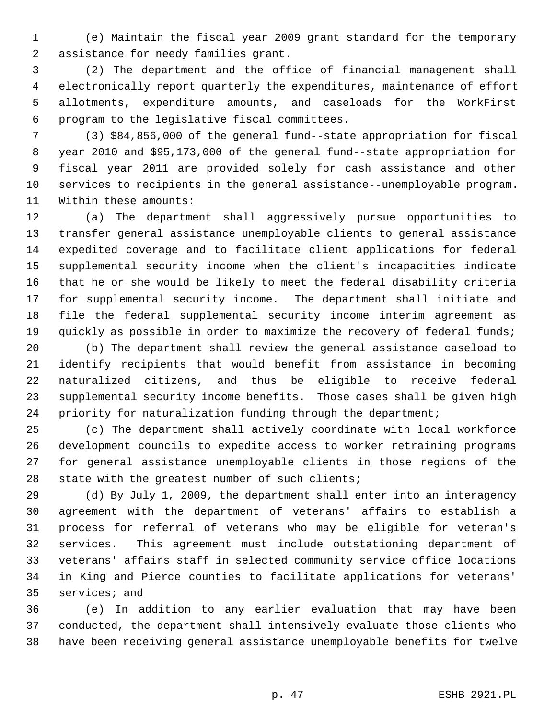1 (e) Maintain the fiscal year 2009 grant standard for the temporary 2 assistance for needy families grant.

 3 (2) The department and the office of financial management shall 4 electronically report quarterly the expenditures, maintenance of effort 5 allotments, expenditure amounts, and caseloads for the WorkFirst 6 program to the legislative fiscal committees.

 7 (3) \$84,856,000 of the general fund--state appropriation for fiscal 8 year 2010 and \$95,173,000 of the general fund--state appropriation for 9 fiscal year 2011 are provided solely for cash assistance and other 10 services to recipients in the general assistance--unemployable program. 11 Within these amounts:

12 (a) The department shall aggressively pursue opportunities to 13 transfer general assistance unemployable clients to general assistance 14 expedited coverage and to facilitate client applications for federal 15 supplemental security income when the client's incapacities indicate 16 that he or she would be likely to meet the federal disability criteria 17 for supplemental security income. The department shall initiate and 18 file the federal supplemental security income interim agreement as 19 quickly as possible in order to maximize the recovery of federal funds;

20 (b) The department shall review the general assistance caseload to 21 identify recipients that would benefit from assistance in becoming 22 naturalized citizens, and thus be eligible to receive federal 23 supplemental security income benefits. Those cases shall be given high 24 priority for naturalization funding through the department;

25 (c) The department shall actively coordinate with local workforce 26 development councils to expedite access to worker retraining programs 27 for general assistance unemployable clients in those regions of the 28 state with the greatest number of such clients;

29 (d) By July 1, 2009, the department shall enter into an interagency 30 agreement with the department of veterans' affairs to establish a 31 process for referral of veterans who may be eligible for veteran's 32 services. This agreement must include outstationing department of 33 veterans' affairs staff in selected community service office locations 34 in King and Pierce counties to facilitate applications for veterans' 35 services; and

36 (e) In addition to any earlier evaluation that may have been 37 conducted, the department shall intensively evaluate those clients who 38 have been receiving general assistance unemployable benefits for twelve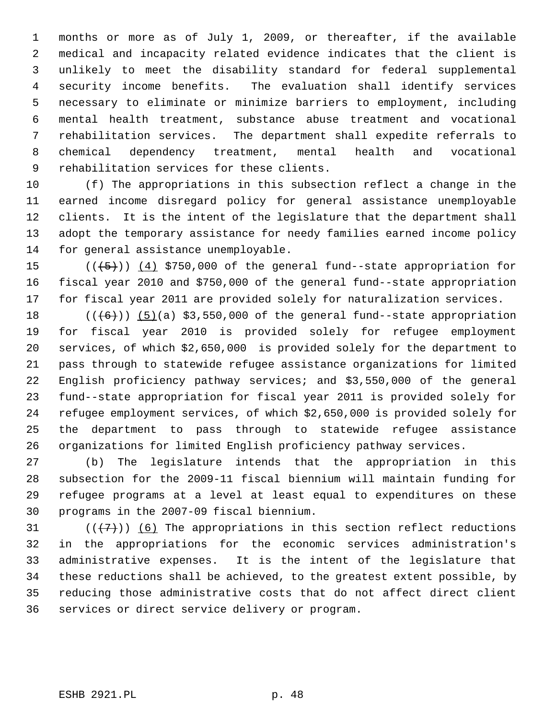1 months or more as of July 1, 2009, or thereafter, if the available 2 medical and incapacity related evidence indicates that the client is 3 unlikely to meet the disability standard for federal supplemental 4 security income benefits. The evaluation shall identify services 5 necessary to eliminate or minimize barriers to employment, including 6 mental health treatment, substance abuse treatment and vocational 7 rehabilitation services. The department shall expedite referrals to 8 chemical dependency treatment, mental health and vocational 9 rehabilitation services for these clients.

10 (f) The appropriations in this subsection reflect a change in the 11 earned income disregard policy for general assistance unemployable 12 clients. It is the intent of the legislature that the department shall 13 adopt the temporary assistance for needy families earned income policy 14 for general assistance unemployable.

15  $((+5))$   $(4)$  \$750,000 of the general fund--state appropriation for 16 fiscal year 2010 and \$750,000 of the general fund--state appropriation 17 for fiscal year 2011 are provided solely for naturalization services.

18  $((+6))$  (5)(a) \$3,550,000 of the general fund--state appropriation 19 for fiscal year 2010 is provided solely for refugee employment 20 services, of which \$2,650,000 is provided solely for the department to 21 pass through to statewide refugee assistance organizations for limited 22 English proficiency pathway services; and \$3,550,000 of the general 23 fund--state appropriation for fiscal year 2011 is provided solely for 24 refugee employment services, of which \$2,650,000 is provided solely for 25 the department to pass through to statewide refugee assistance 26 organizations for limited English proficiency pathway services.

27 (b) The legislature intends that the appropriation in this 28 subsection for the 2009-11 fiscal biennium will maintain funding for 29 refugee programs at a level at least equal to expenditures on these 30 programs in the 2007-09 fiscal biennium.

31  $((+7))$  (6) The appropriations in this section reflect reductions 32 in the appropriations for the economic services administration's 33 administrative expenses. It is the intent of the legislature that 34 these reductions shall be achieved, to the greatest extent possible, by 35 reducing those administrative costs that do not affect direct client 36 services or direct service delivery or program.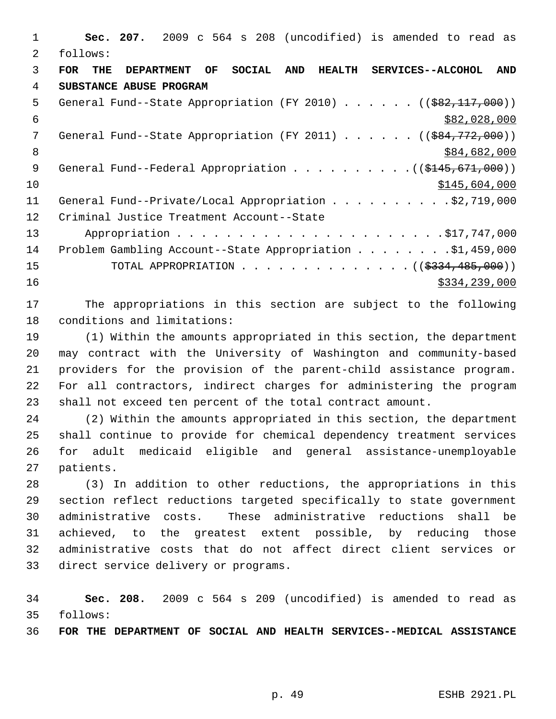1 **Sec. 207.** 2009 c 564 s 208 (uncodified) is amended to read as 2 follows: 3 **FOR THE DEPARTMENT OF SOCIAL AND HEALTH SERVICES--ALCOHOL AND** 4 **SUBSTANCE ABUSE PROGRAM** 5 General Fund--State Appropriation (FY 2010) . . . . . . ((\$82,117,000))  $$82,028,000$ 7 General Fund--State Appropriation (FY 2011) . . . . . ((<del>\$84,772,000</del>)) 8 \$84,682,000 \$84,682,000 9 General Fund--Federal Appropriation . . . . . . . . . . ((\$145,671,000))  $\frac{$10}{10}$   $\frac{$145,604,000}{10}$ 11 General Fund--Private/Local Appropriation . . . . . . . . . \$2,719,000 12 Criminal Justice Treatment Account--State 13 Appropriation . . . . . . . . . . . . . . . . . . . . . .\$17,747,000 14 Problem Gambling Account--State Appropriation . . . . . . . . \$1,459,000 15 TOTAL APPROPRIATION . . . . . . . . . . . . . ((<del>\$334,485,000</del>))  $16$  \$334,239,000

17 The appropriations in this section are subject to the following 18 conditions and limitations:

19 (1) Within the amounts appropriated in this section, the department 20 may contract with the University of Washington and community-based 21 providers for the provision of the parent-child assistance program. 22 For all contractors, indirect charges for administering the program 23 shall not exceed ten percent of the total contract amount.

24 (2) Within the amounts appropriated in this section, the department 25 shall continue to provide for chemical dependency treatment services 26 for adult medicaid eligible and general assistance-unemployable 27 patients.

28 (3) In addition to other reductions, the appropriations in this 29 section reflect reductions targeted specifically to state government 30 administrative costs. These administrative reductions shall be 31 achieved, to the greatest extent possible, by reducing those 32 administrative costs that do not affect direct client services or 33 direct service delivery or programs.

34 **Sec. 208.** 2009 c 564 s 209 (uncodified) is amended to read as 35 follows:

36 **FOR THE DEPARTMENT OF SOCIAL AND HEALTH SERVICES--MEDICAL ASSISTANCE**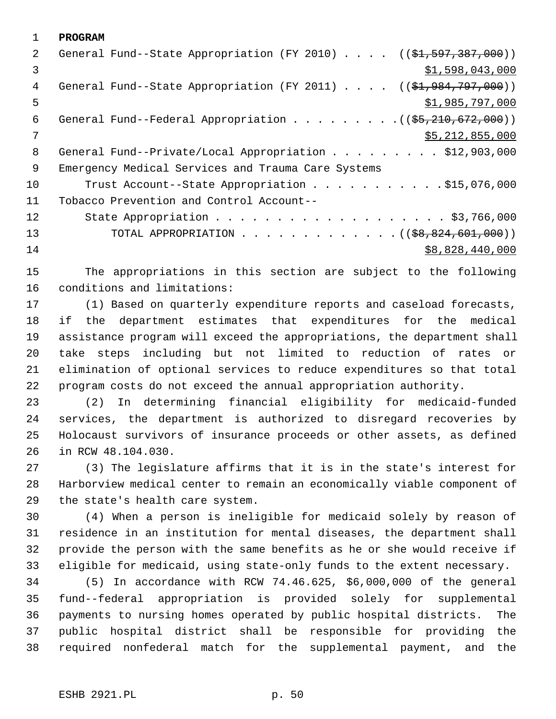1 **PROGRAM** 2 General Fund--State Appropriation (FY 2010) . . . . ((\$1,597,387,000))  $\frac{1}{2}$   $\frac{1}{598}$ , 043, 000 4 General Fund--State Appropriation (FY 2011) . . . . ((\$1,984,797,000))  $5 \frac{\text{1,985}}{797,000}$ 6 General Fund--Federal Appropriation . . . . . . . . . ((\$5,210,672,000))  $7$  \$5,212,855,000 8 General Fund--Private/Local Appropriation . . . . . . . . \$12,903,000 9 Emergency Medical Services and Trauma Care Systems 10 Trust Account--State Appropriation . . . . . . . . . . \$15,076,000 11 Tobacco Prevention and Control Account-- 12 State Appropriation . . . . . . . . . . . . . . . . . . \$3,766,000 13 TOTAL APPROPRIATION . . . . . . . . . . . . ((<del>\$8,824,601,000</del>)) 14 \$8,828,440,000

15 The appropriations in this section are subject to the following 16 conditions and limitations:

17 (1) Based on quarterly expenditure reports and caseload forecasts, 18 if the department estimates that expenditures for the medical 19 assistance program will exceed the appropriations, the department shall 20 take steps including but not limited to reduction of rates or 21 elimination of optional services to reduce expenditures so that total 22 program costs do not exceed the annual appropriation authority.

23 (2) In determining financial eligibility for medicaid-funded 24 services, the department is authorized to disregard recoveries by 25 Holocaust survivors of insurance proceeds or other assets, as defined 26 in RCW 48.104.030.

27 (3) The legislature affirms that it is in the state's interest for 28 Harborview medical center to remain an economically viable component of 29 the state's health care system.

30 (4) When a person is ineligible for medicaid solely by reason of 31 residence in an institution for mental diseases, the department shall 32 provide the person with the same benefits as he or she would receive if 33 eligible for medicaid, using state-only funds to the extent necessary.

34 (5) In accordance with RCW 74.46.625, \$6,000,000 of the general 35 fund--federal appropriation is provided solely for supplemental 36 payments to nursing homes operated by public hospital districts. The 37 public hospital district shall be responsible for providing the 38 required nonfederal match for the supplemental payment, and the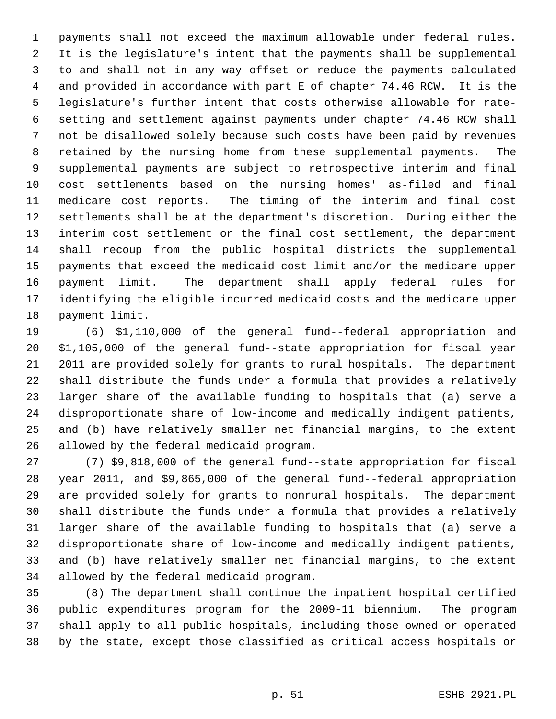1 payments shall not exceed the maximum allowable under federal rules. 2 It is the legislature's intent that the payments shall be supplemental 3 to and shall not in any way offset or reduce the payments calculated 4 and provided in accordance with part E of chapter 74.46 RCW. It is the 5 legislature's further intent that costs otherwise allowable for rate- 6 setting and settlement against payments under chapter 74.46 RCW shall 7 not be disallowed solely because such costs have been paid by revenues 8 retained by the nursing home from these supplemental payments. The 9 supplemental payments are subject to retrospective interim and final 10 cost settlements based on the nursing homes' as-filed and final 11 medicare cost reports. The timing of the interim and final cost 12 settlements shall be at the department's discretion. During either the 13 interim cost settlement or the final cost settlement, the department 14 shall recoup from the public hospital districts the supplemental 15 payments that exceed the medicaid cost limit and/or the medicare upper 16 payment limit. The department shall apply federal rules for 17 identifying the eligible incurred medicaid costs and the medicare upper 18 payment limit.

19 (6) \$1,110,000 of the general fund--federal appropriation and 20 \$1,105,000 of the general fund--state appropriation for fiscal year 21 2011 are provided solely for grants to rural hospitals. The department 22 shall distribute the funds under a formula that provides a relatively 23 larger share of the available funding to hospitals that (a) serve a 24 disproportionate share of low-income and medically indigent patients, 25 and (b) have relatively smaller net financial margins, to the extent 26 allowed by the federal medicaid program.

27 (7) \$9,818,000 of the general fund--state appropriation for fiscal 28 year 2011, and \$9,865,000 of the general fund--federal appropriation 29 are provided solely for grants to nonrural hospitals. The department 30 shall distribute the funds under a formula that provides a relatively 31 larger share of the available funding to hospitals that (a) serve a 32 disproportionate share of low-income and medically indigent patients, 33 and (b) have relatively smaller net financial margins, to the extent 34 allowed by the federal medicaid program.

35 (8) The department shall continue the inpatient hospital certified 36 public expenditures program for the 2009-11 biennium. The program 37 shall apply to all public hospitals, including those owned or operated 38 by the state, except those classified as critical access hospitals or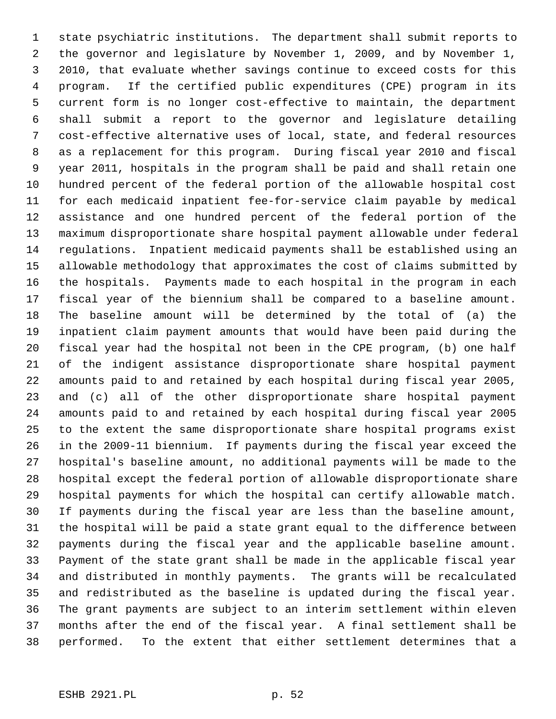1 state psychiatric institutions. The department shall submit reports to 2 the governor and legislature by November 1, 2009, and by November 1, 3 2010, that evaluate whether savings continue to exceed costs for this 4 program. If the certified public expenditures (CPE) program in its 5 current form is no longer cost-effective to maintain, the department 6 shall submit a report to the governor and legislature detailing 7 cost-effective alternative uses of local, state, and federal resources 8 as a replacement for this program. During fiscal year 2010 and fiscal 9 year 2011, hospitals in the program shall be paid and shall retain one 10 hundred percent of the federal portion of the allowable hospital cost 11 for each medicaid inpatient fee-for-service claim payable by medical 12 assistance and one hundred percent of the federal portion of the 13 maximum disproportionate share hospital payment allowable under federal 14 regulations. Inpatient medicaid payments shall be established using an 15 allowable methodology that approximates the cost of claims submitted by 16 the hospitals. Payments made to each hospital in the program in each 17 fiscal year of the biennium shall be compared to a baseline amount. 18 The baseline amount will be determined by the total of (a) the 19 inpatient claim payment amounts that would have been paid during the 20 fiscal year had the hospital not been in the CPE program, (b) one half 21 of the indigent assistance disproportionate share hospital payment 22 amounts paid to and retained by each hospital during fiscal year 2005, 23 and (c) all of the other disproportionate share hospital payment 24 amounts paid to and retained by each hospital during fiscal year 2005 25 to the extent the same disproportionate share hospital programs exist 26 in the 2009-11 biennium. If payments during the fiscal year exceed the 27 hospital's baseline amount, no additional payments will be made to the 28 hospital except the federal portion of allowable disproportionate share 29 hospital payments for which the hospital can certify allowable match. 30 If payments during the fiscal year are less than the baseline amount, 31 the hospital will be paid a state grant equal to the difference between 32 payments during the fiscal year and the applicable baseline amount. 33 Payment of the state grant shall be made in the applicable fiscal year 34 and distributed in monthly payments. The grants will be recalculated 35 and redistributed as the baseline is updated during the fiscal year. 36 The grant payments are subject to an interim settlement within eleven 37 months after the end of the fiscal year. A final settlement shall be 38 performed. To the extent that either settlement determines that a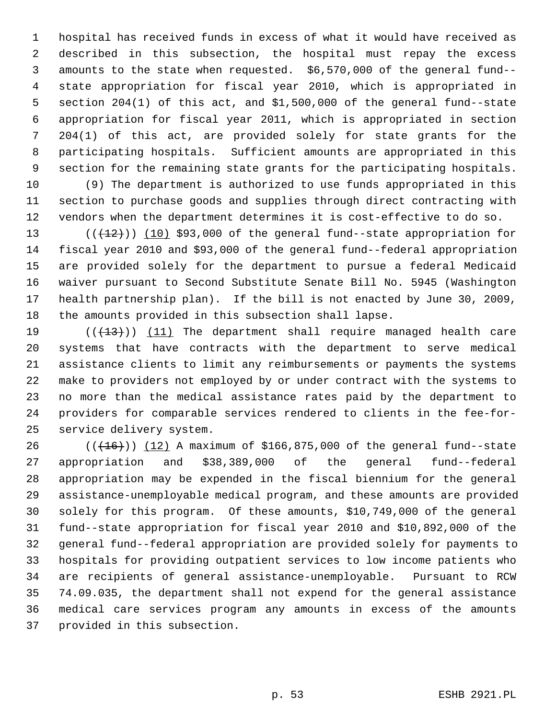1 hospital has received funds in excess of what it would have received as 2 described in this subsection, the hospital must repay the excess 3 amounts to the state when requested. \$6,570,000 of the general fund-- 4 state appropriation for fiscal year 2010, which is appropriated in 5 section 204(1) of this act, and \$1,500,000 of the general fund--state 6 appropriation for fiscal year 2011, which is appropriated in section 7 204(1) of this act, are provided solely for state grants for the 8 participating hospitals. Sufficient amounts are appropriated in this 9 section for the remaining state grants for the participating hospitals.

10 (9) The department is authorized to use funds appropriated in this 11 section to purchase goods and supplies through direct contracting with 12 vendors when the department determines it is cost-effective to do so.

13  $((+12))$   $(10)$  \$93,000 of the general fund--state appropriation for 14 fiscal year 2010 and \$93,000 of the general fund--federal appropriation 15 are provided solely for the department to pursue a federal Medicaid 16 waiver pursuant to Second Substitute Senate Bill No. 5945 (Washington 17 health partnership plan). If the bill is not enacted by June 30, 2009, 18 the amounts provided in this subsection shall lapse.

19  $((+13))$   $(11)$  The department shall require managed health care 20 systems that have contracts with the department to serve medical 21 assistance clients to limit any reimbursements or payments the systems 22 make to providers not employed by or under contract with the systems to 23 no more than the medical assistance rates paid by the department to 24 providers for comparable services rendered to clients in the fee-for-25 service delivery system.

26  $((+16))$   $(12)$  A maximum of \$166,875,000 of the general fund--state 27 appropriation and \$38,389,000 of the general fund--federal 28 appropriation may be expended in the fiscal biennium for the general 29 assistance-unemployable medical program, and these amounts are provided 30 solely for this program. Of these amounts, \$10,749,000 of the general 31 fund--state appropriation for fiscal year 2010 and \$10,892,000 of the 32 general fund--federal appropriation are provided solely for payments to 33 hospitals for providing outpatient services to low income patients who 34 are recipients of general assistance-unemployable. Pursuant to RCW 35 74.09.035, the department shall not expend for the general assistance 36 medical care services program any amounts in excess of the amounts 37 provided in this subsection.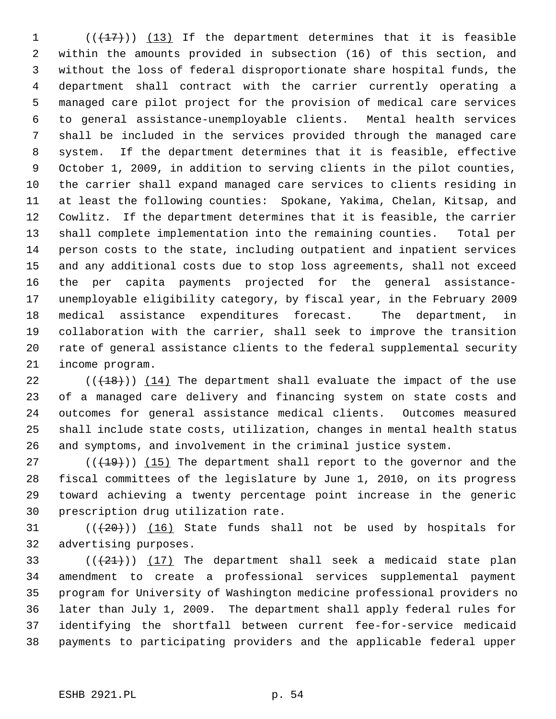1  $((+17))$  (13) If the department determines that it is feasible 2 within the amounts provided in subsection (16) of this section, and 3 without the loss of federal disproportionate share hospital funds, the 4 department shall contract with the carrier currently operating a 5 managed care pilot project for the provision of medical care services 6 to general assistance-unemployable clients. Mental health services 7 shall be included in the services provided through the managed care 8 system. If the department determines that it is feasible, effective 9 October 1, 2009, in addition to serving clients in the pilot counties, 10 the carrier shall expand managed care services to clients residing in 11 at least the following counties: Spokane, Yakima, Chelan, Kitsap, and 12 Cowlitz. If the department determines that it is feasible, the carrier 13 shall complete implementation into the remaining counties. Total per 14 person costs to the state, including outpatient and inpatient services 15 and any additional costs due to stop loss agreements, shall not exceed 16 the per capita payments projected for the general assistance-17 unemployable eligibility category, by fiscal year, in the February 2009 18 medical assistance expenditures forecast. The department, in 19 collaboration with the carrier, shall seek to improve the transition 20 rate of general assistance clients to the federal supplemental security 21 income program.

22  $((+18))$  (14) The department shall evaluate the impact of the use 23 of a managed care delivery and financing system on state costs and 24 outcomes for general assistance medical clients. Outcomes measured 25 shall include state costs, utilization, changes in mental health status 26 and symptoms, and involvement in the criminal justice system.

27  $((+19))$  (15) The department shall report to the governor and the 28 fiscal committees of the legislature by June 1, 2010, on its progress 29 toward achieving a twenty percentage point increase in the generic 30 prescription drug utilization rate.

31  $((+20))$  (16) State funds shall not be used by hospitals for 32 advertising purposes.

33  $((+21))$   $(17)$  The department shall seek a medicaid state plan 34 amendment to create a professional services supplemental payment 35 program for University of Washington medicine professional providers no 36 later than July 1, 2009. The department shall apply federal rules for 37 identifying the shortfall between current fee-for-service medicaid 38 payments to participating providers and the applicable federal upper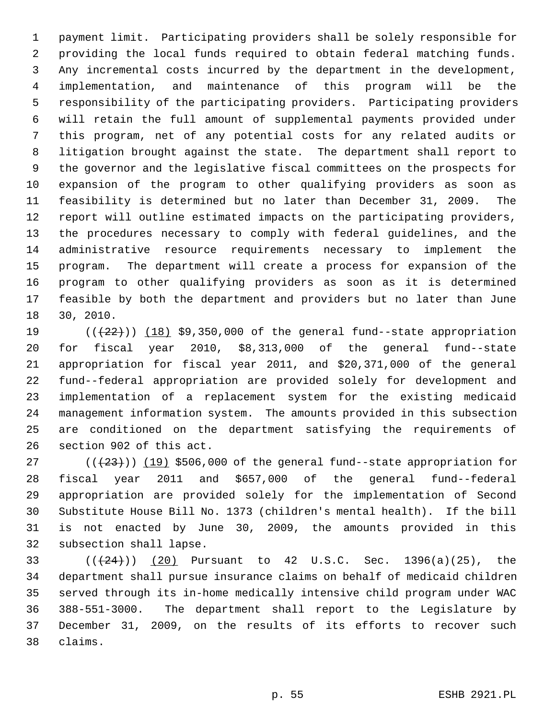1 payment limit. Participating providers shall be solely responsible for 2 providing the local funds required to obtain federal matching funds. 3 Any incremental costs incurred by the department in the development, 4 implementation, and maintenance of this program will be the 5 responsibility of the participating providers. Participating providers 6 will retain the full amount of supplemental payments provided under 7 this program, net of any potential costs for any related audits or 8 litigation brought against the state. The department shall report to 9 the governor and the legislative fiscal committees on the prospects for 10 expansion of the program to other qualifying providers as soon as 11 feasibility is determined but no later than December 31, 2009. The 12 report will outline estimated impacts on the participating providers, 13 the procedures necessary to comply with federal guidelines, and the 14 administrative resource requirements necessary to implement the 15 program. The department will create a process for expansion of the 16 program to other qualifying providers as soon as it is determined 17 feasible by both the department and providers but no later than June 18 30, 2010.

19  $((+22))$   $(18)$  \$9,350,000 of the general fund--state appropriation 20 for fiscal year 2010, \$8,313,000 of the general fund--state 21 appropriation for fiscal year 2011, and \$20,371,000 of the general 22 fund--federal appropriation are provided solely for development and 23 implementation of a replacement system for the existing medicaid 24 management information system. The amounts provided in this subsection 25 are conditioned on the department satisfying the requirements of 26 section 902 of this act.

27  $((+23))$  (19) \$506,000 of the general fund--state appropriation for 28 fiscal year 2011 and \$657,000 of the general fund--federal 29 appropriation are provided solely for the implementation of Second 30 Substitute House Bill No. 1373 (children's mental health). If the bill 31 is not enacted by June 30, 2009, the amounts provided in this 32 subsection shall lapse.

33 ( $((24))$  (20) Pursuant to 42 U.S.C. Sec. 1396(a)(25), the 34 department shall pursue insurance claims on behalf of medicaid children 35 served through its in-home medically intensive child program under WAC 36 388-551-3000. The department shall report to the Legislature by 37 December 31, 2009, on the results of its efforts to recover such 38 claims.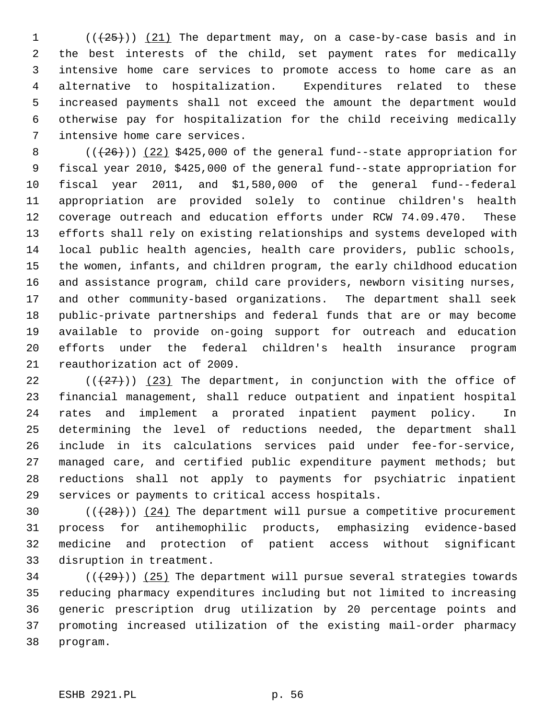$($   $($   $($   $($   $($   $($   $25$   $)$   $)$   $($   $21$   $)$  The department may, on a case-by-case basis and in 2 the best interests of the child, set payment rates for medically 3 intensive home care services to promote access to home care as an 4 alternative to hospitalization. Expenditures related to these 5 increased payments shall not exceed the amount the department would 6 otherwise pay for hospitalization for the child receiving medically 7 intensive home care services.

8  $((+26))$   $(22)$  \$425,000 of the general fund--state appropriation for 9 fiscal year 2010, \$425,000 of the general fund--state appropriation for 10 fiscal year 2011, and \$1,580,000 of the general fund--federal 11 appropriation are provided solely to continue children's health 12 coverage outreach and education efforts under RCW 74.09.470. These 13 efforts shall rely on existing relationships and systems developed with 14 local public health agencies, health care providers, public schools, 15 the women, infants, and children program, the early childhood education 16 and assistance program, child care providers, newborn visiting nurses, 17 and other community-based organizations. The department shall seek 18 public-private partnerships and federal funds that are or may become 19 available to provide on-going support for outreach and education 20 efforts under the federal children's health insurance program 21 reauthorization act of 2009.

22 ( $(27)$ ) (23) The department, in conjunction with the office of 23 financial management, shall reduce outpatient and inpatient hospital 24 rates and implement a prorated inpatient payment policy. In 25 determining the level of reductions needed, the department shall 26 include in its calculations services paid under fee-for-service, 27 managed care, and certified public expenditure payment methods; but 28 reductions shall not apply to payments for psychiatric inpatient 29 services or payments to critical access hospitals.

30  $((+28))$   $(24)$  The department will pursue a competitive procurement 31 process for antihemophilic products, emphasizing evidence-based 32 medicine and protection of patient access without significant 33 disruption in treatment.

 $34$  ( $(\frac{29}{1})$ ) (25) The department will pursue several strategies towards 35 reducing pharmacy expenditures including but not limited to increasing 36 generic prescription drug utilization by 20 percentage points and 37 promoting increased utilization of the existing mail-order pharmacy 38 program.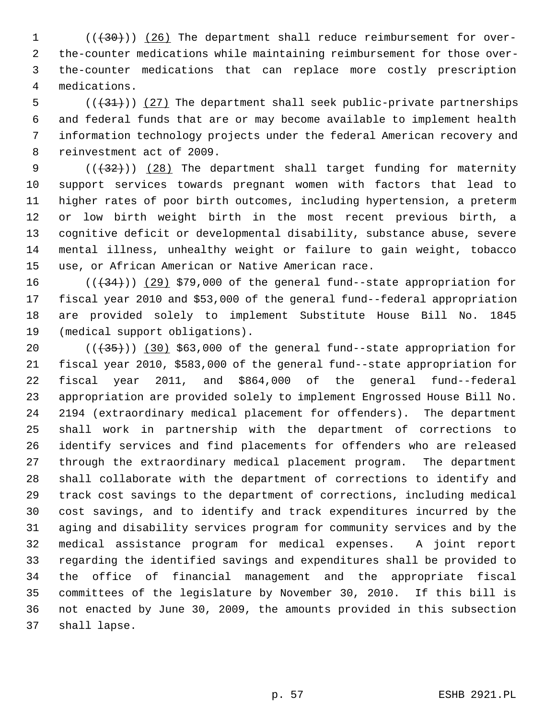1 (( $(30)$ )) (26) The department shall reduce reimbursement for over- 2 the-counter medications while maintaining reimbursement for those over- 3 the-counter medications that can replace more costly prescription 4 medications.

 $5$  (( $(31)$ )) (27) The department shall seek public-private partnerships 6 and federal funds that are or may become available to implement health 7 information technology projects under the federal American recovery and 8 reinvestment act of 2009.

9  $((+32))$  (28) The department shall target funding for maternity 10 support services towards pregnant women with factors that lead to 11 higher rates of poor birth outcomes, including hypertension, a preterm 12 or low birth weight birth in the most recent previous birth, a 13 cognitive deficit or developmental disability, substance abuse, severe 14 mental illness, unhealthy weight or failure to gain weight, tobacco 15 use, or African American or Native American race.

16  $((+34))$   $(29)$  \$79,000 of the general fund--state appropriation for 17 fiscal year 2010 and \$53,000 of the general fund--federal appropriation 18 are provided solely to implement Substitute House Bill No. 1845 19 (medical support obligations).

20  $((+35))$   $(30)$  \$63,000 of the general fund--state appropriation for 21 fiscal year 2010, \$583,000 of the general fund--state appropriation for 22 fiscal year 2011, and \$864,000 of the general fund--federal 23 appropriation are provided solely to implement Engrossed House Bill No. 24 2194 (extraordinary medical placement for offenders). The department 25 shall work in partnership with the department of corrections to 26 identify services and find placements for offenders who are released 27 through the extraordinary medical placement program. The department 28 shall collaborate with the department of corrections to identify and 29 track cost savings to the department of corrections, including medical 30 cost savings, and to identify and track expenditures incurred by the 31 aging and disability services program for community services and by the 32 medical assistance program for medical expenses. A joint report 33 regarding the identified savings and expenditures shall be provided to 34 the office of financial management and the appropriate fiscal 35 committees of the legislature by November 30, 2010. If this bill is 36 not enacted by June 30, 2009, the amounts provided in this subsection 37 shall lapse.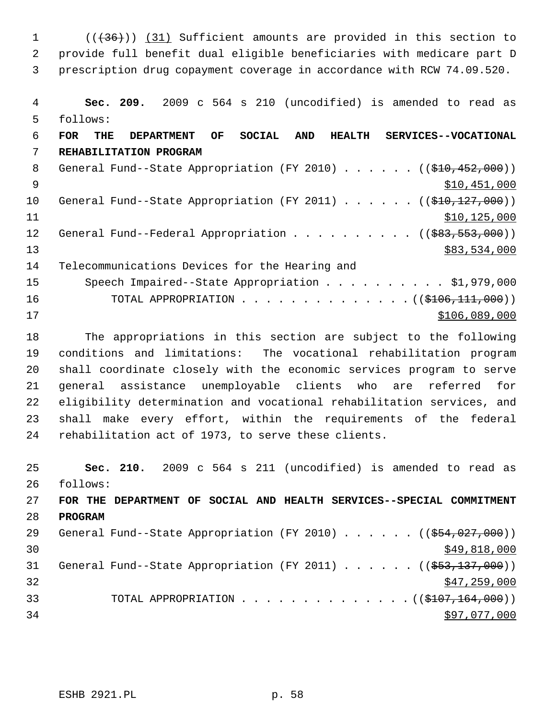1 (( $(36)$ )) (31) Sufficient amounts are provided in this section to 2 provide full benefit dual eligible beneficiaries with medicare part D 3 prescription drug copayment coverage in accordance with RCW 74.09.520. 4 **Sec. 209.** 2009 c 564 s 210 (uncodified) is amended to read as

 5 follows: 6 **FOR THE DEPARTMENT OF SOCIAL AND HEALTH SERVICES--VOCATIONAL** 7 **REHABILITATION PROGRAM**

8 General Fund--State Appropriation (FY 2010) . . . . . . ((\$10,452,000))  $\text{510},\text{451},\text{000}$ 10 General Fund--State Appropriation (FY 2011) . . . . . . ((\$10,127,000))  $11$  \$10,125,000 12 General Fund--Federal Appropriation . . . . . . . . . ((\$83,553,000)) 13 \$83,534,000 14 Telecommunications Devices for the Hearing and 15 Speech Impaired--State Appropriation . . . . . . . . . \$1,979,000 16 TOTAL APPROPRIATION . . . . . . . . . . . . . . ((\$106,111,000))  $17$   $3106,089,000$ 

18 The appropriations in this section are subject to the following 19 conditions and limitations: The vocational rehabilitation program 20 shall coordinate closely with the economic services program to serve 21 general assistance unemployable clients who are referred for 22 eligibility determination and vocational rehabilitation services, and 23 shall make every effort, within the requirements of the federal 24 rehabilitation act of 1973, to serve these clients.

25 **Sec. 210.** 2009 c 564 s 211 (uncodified) is amended to read as 26 follows: 27 **FOR THE DEPARTMENT OF SOCIAL AND HEALTH SERVICES--SPECIAL COMMITMENT** 28 **PROGRAM** 29 General Fund--State Appropriation (FY 2010) . . . . . ((\$54,027,000))  $\frac{$49,818,000}{$49,818,000}$ 31 General Fund--State Appropriation (FY 2011) . . . . . . ((\$53,137,000))  $\frac{1}{2}$  32  $\frac{1}{2}$  32 33 TOTAL APPROPRIATION . . . . . . . . . . . . . . ((\$107,164,000))  $34$   $397,077,000$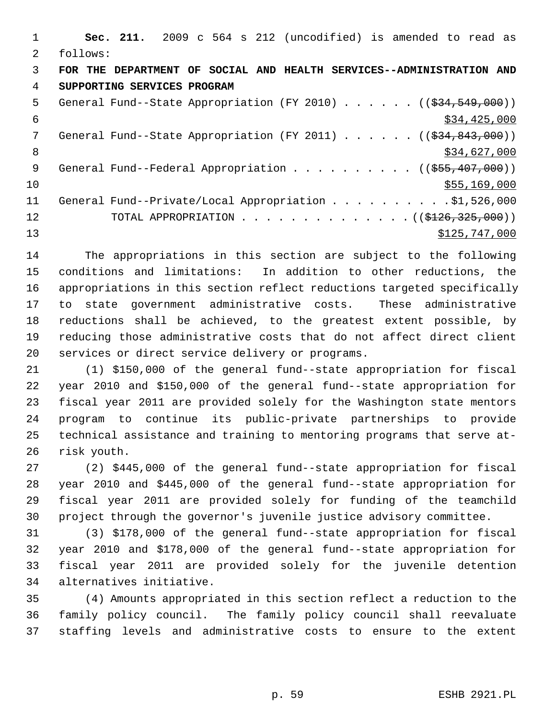|    | Sec. 211. 2009 c 564 s 212 (uncodified) is amended to read as                              |
|----|--------------------------------------------------------------------------------------------|
| 2  | follows:                                                                                   |
| 3  | FOR THE DEPARTMENT OF SOCIAL AND HEALTH SERVICES--ADMINISTRATION AND                       |
| 4  | SUPPORTING SERVICES PROGRAM                                                                |
| 5  | General Fund--State Appropriation (FY 2010) $($ $($ $\frac{24}{534},$ $\frac{549}{100})$ ) |
| 6  | \$34,425,000                                                                               |
| 7  | General Fund--State Appropriation (FY 2011) $($ $($ $\frac{24}{34}, 843, 000)$ )           |
| 8  | \$34,627,000                                                                               |
| 9  | General Fund--Federal Appropriation ( $(\frac{255}{1000})$ )                               |
| 10 | \$55,169,000                                                                               |
| 11 | General Fund--Private/Local Appropriation \$1,526,000                                      |
| 12 | TOTAL APPROPRIATION $\ldots$ , ( $(\frac{2126}{325}, \frac{325}{900})$ )                   |
| 13 | \$125,747,000                                                                              |

14 The appropriations in this section are subject to the following 15 conditions and limitations: In addition to other reductions, the 16 appropriations in this section reflect reductions targeted specifically 17 to state government administrative costs. These administrative 18 reductions shall be achieved, to the greatest extent possible, by 19 reducing those administrative costs that do not affect direct client 20 services or direct service delivery or programs.

21 (1) \$150,000 of the general fund--state appropriation for fiscal 22 year 2010 and \$150,000 of the general fund--state appropriation for 23 fiscal year 2011 are provided solely for the Washington state mentors 24 program to continue its public-private partnerships to provide 25 technical assistance and training to mentoring programs that serve at-26 risk youth.

27 (2) \$445,000 of the general fund--state appropriation for fiscal 28 year 2010 and \$445,000 of the general fund--state appropriation for 29 fiscal year 2011 are provided solely for funding of the teamchild 30 project through the governor's juvenile justice advisory committee.

31 (3) \$178,000 of the general fund--state appropriation for fiscal 32 year 2010 and \$178,000 of the general fund--state appropriation for 33 fiscal year 2011 are provided solely for the juvenile detention 34 alternatives initiative.

35 (4) Amounts appropriated in this section reflect a reduction to the 36 family policy council. The family policy council shall reevaluate 37 staffing levels and administrative costs to ensure to the extent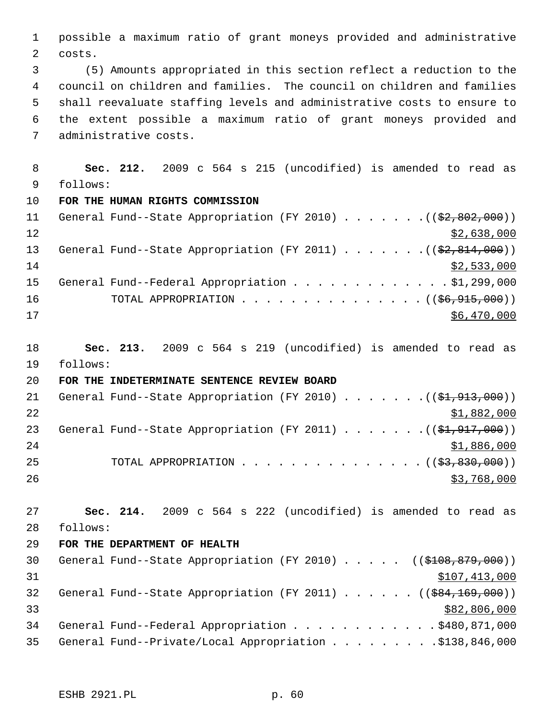1 possible a maximum ratio of grant moneys provided and administrative 2 costs.

 3 (5) Amounts appropriated in this section reflect a reduction to the 4 council on children and families. The council on children and families 5 shall reevaluate staffing levels and administrative costs to ensure to 6 the extent possible a maximum ratio of grant moneys provided and 7 administrative costs.

 8 **Sec. 212.** 2009 c 564 s 215 (uncodified) is amended to read as 9 follows: 10 **FOR THE HUMAN RIGHTS COMMISSION** 11 General Fund--State Appropriation (FY 2010) . . . . . . . ((\$2,802,000))

 $\frac{12}{2}$   $\frac{12}{2}$   $\frac{12}{2}$   $\frac{12}{2}$   $\frac{12}{2}$   $\frac{12}{2}$   $\frac{12}{2}$   $\frac{12}{2}$   $\frac{12}{2}$   $\frac{12}{2}$   $\frac{12}{2}$   $\frac{12}{2}$   $\frac{12}{2}$   $\frac{12}{2}$   $\frac{12}{2}$   $\frac{12}{2}$   $\frac{12}{2}$   $\frac{12}{2}$   $\frac{12}{2}$   $\frac{12}{2}$  13 General Fund--State Appropriation (FY 2011)  $\ldots \ldots \ldots$  (( $$2,814,000$ ))  $14$  \$2,533,000 15 General Fund--Federal Appropriation . . . . . . . . . . . . \$1,299,000 16 TOTAL APPROPRIATION . . . . . . . . . . . . . . ((<del>\$6,915,000</del>))  $17$  \$6,470,000

18 **Sec. 213.** 2009 c 564 s 219 (uncodified) is amended to read as 19 follows:

20 **FOR THE INDETERMINATE SENTENCE REVIEW BOARD**

| 21 |  | General Fund--State Appropriation (FY 2010) $($ $(\frac{1}{2}, 913, 000)$ |  |  |  |  |             |
|----|--|---------------------------------------------------------------------------|--|--|--|--|-------------|
| 22 |  |                                                                           |  |  |  |  | \$1,882,000 |
| 23 |  | General Fund--State Appropriation (FY 2011) ( $(\frac{21.917}{100})$ )    |  |  |  |  |             |
| 24 |  |                                                                           |  |  |  |  | \$1,886,000 |
| 25 |  | TOTAL APPROPRIATION $\ldots$ , ( $(\frac{2}{53}, \frac{830}{100})$ )      |  |  |  |  |             |
| 26 |  |                                                                           |  |  |  |  | \$3,768,000 |

27 **Sec. 214.** 2009 c 564 s 222 (uncodified) is amended to read as 28 follows:

29 **FOR THE DEPARTMENT OF HEALTH**

30 General Fund--State Appropriation (FY 2010) . . . . . ((\$108,879,000))  $31$   $$107,413,000$ 32 General Fund--State Appropriation (FY 2011)  $\ldots$  ... (( $$84,169,000$ ))  $$82,806,000$ 34 General Fund--Federal Appropriation . . . . . . . . . . . . \$480,871,000 35 General Fund--Private/Local Appropriation . . . . . . . . . \$138,846,000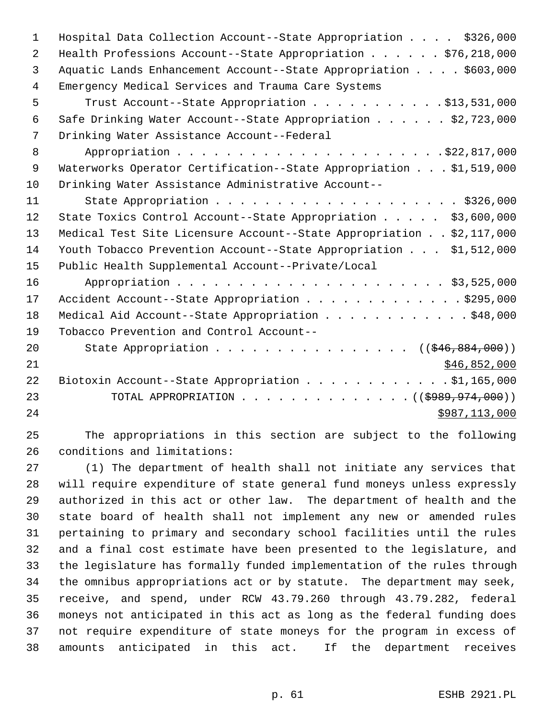| Hospital Data Collection Account--State Appropriation \$326,000                |
|--------------------------------------------------------------------------------|
| Health Professions Account--State Appropriation $\ldots \ldots$ , \$76,218,000 |
| Aquatic Lands Enhancement Account--State Appropriation \$603,000               |
| Emergency Medical Services and Trauma Care Systems                             |
| Trust Account--State Appropriation \$13,531,000                                |
| Safe Drinking Water Account--State Appropriation \$2,723,000                   |
| Drinking Water Assistance Account--Federal                                     |
|                                                                                |
| Waterworks Operator Certification--State Appropriation \$1,519,000             |
| Drinking Water Assistance Administrative Account--                             |
|                                                                                |
| State Toxics Control Account--State Appropriation \$3,600,000                  |
| Medical Test Site Licensure Account--State Appropriation \$2,117,000           |
| Youth Tobacco Prevention Account--State Appropriation \$1,512,000              |
| Public Health Supplemental Account--Private/Local                              |
|                                                                                |
| Accident Account--State Appropriation \$295,000                                |
| Medical Aid Account--State Appropriation \$48,000                              |
| Tobacco Prevention and Control Account--                                       |
| State Appropriation ( $(\frac{246}{896}, \frac{884}{1000})$ )                  |
| \$46,852,000                                                                   |
| Biotoxin Account--State Appropriation \$1,165,000                              |
| TOTAL APPROPRIATION ( $(\frac{19899}{1974000})$ )                              |
| \$987,113,000                                                                  |
|                                                                                |

25 The appropriations in this section are subject to the following 26 conditions and limitations:

27 (1) The department of health shall not initiate any services that 28 will require expenditure of state general fund moneys unless expressly 29 authorized in this act or other law. The department of health and the 30 state board of health shall not implement any new or amended rules 31 pertaining to primary and secondary school facilities until the rules 32 and a final cost estimate have been presented to the legislature, and 33 the legislature has formally funded implementation of the rules through 34 the omnibus appropriations act or by statute. The department may seek, 35 receive, and spend, under RCW 43.79.260 through 43.79.282, federal 36 moneys not anticipated in this act as long as the federal funding does 37 not require expenditure of state moneys for the program in excess of 38 amounts anticipated in this act. If the department receives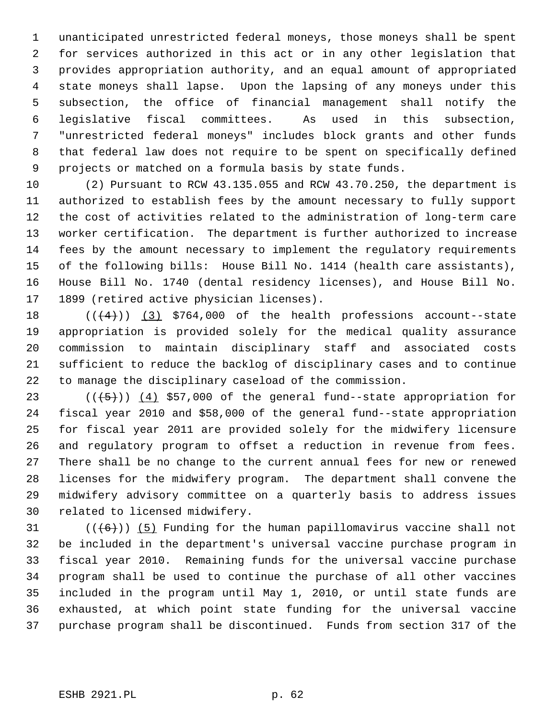1 unanticipated unrestricted federal moneys, those moneys shall be spent 2 for services authorized in this act or in any other legislation that 3 provides appropriation authority, and an equal amount of appropriated 4 state moneys shall lapse. Upon the lapsing of any moneys under this 5 subsection, the office of financial management shall notify the 6 legislative fiscal committees. As used in this subsection, 7 "unrestricted federal moneys" includes block grants and other funds 8 that federal law does not require to be spent on specifically defined 9 projects or matched on a formula basis by state funds.

10 (2) Pursuant to RCW 43.135.055 and RCW 43.70.250, the department is 11 authorized to establish fees by the amount necessary to fully support 12 the cost of activities related to the administration of long-term care 13 worker certification. The department is further authorized to increase 14 fees by the amount necessary to implement the regulatory requirements 15 of the following bills: House Bill No. 1414 (health care assistants), 16 House Bill No. 1740 (dental residency licenses), and House Bill No. 17 1899 (retired active physician licenses).

18  $((4+))$  (3) \$764,000 of the health professions account--state 19 appropriation is provided solely for the medical quality assurance 20 commission to maintain disciplinary staff and associated costs 21 sufficient to reduce the backlog of disciplinary cases and to continue 22 to manage the disciplinary caseload of the commission.

23  $((+5))$   $(4)$  \$57,000 of the general fund--state appropriation for 24 fiscal year 2010 and \$58,000 of the general fund--state appropriation 25 for fiscal year 2011 are provided solely for the midwifery licensure 26 and regulatory program to offset a reduction in revenue from fees. 27 There shall be no change to the current annual fees for new or renewed 28 licenses for the midwifery program. The department shall convene the 29 midwifery advisory committee on a quarterly basis to address issues 30 related to licensed midwifery.

31  $((+6))$  (5) Funding for the human papillomavirus vaccine shall not 32 be included in the department's universal vaccine purchase program in 33 fiscal year 2010. Remaining funds for the universal vaccine purchase 34 program shall be used to continue the purchase of all other vaccines 35 included in the program until May 1, 2010, or until state funds are 36 exhausted, at which point state funding for the universal vaccine 37 purchase program shall be discontinued. Funds from section 317 of the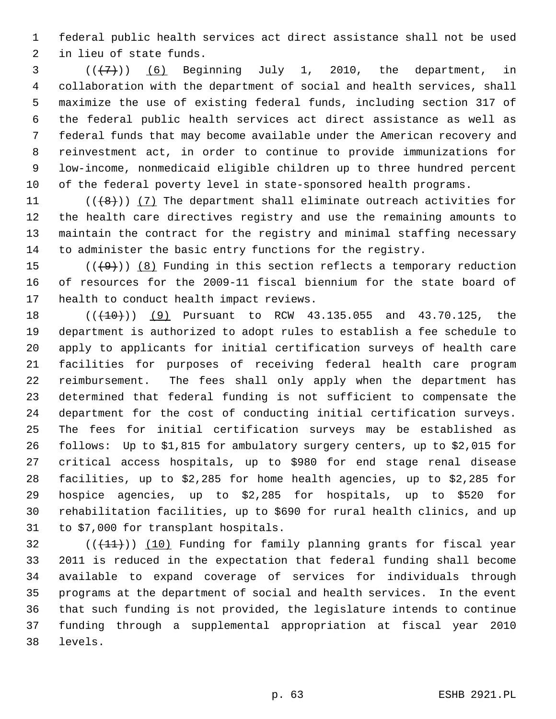1 federal public health services act direct assistance shall not be used 2 in lieu of state funds.

 $3$   $((+7))$   $(6)$  Beginning July 1, 2010, the department, in 4 collaboration with the department of social and health services, shall 5 maximize the use of existing federal funds, including section 317 of 6 the federal public health services act direct assistance as well as 7 federal funds that may become available under the American recovery and 8 reinvestment act, in order to continue to provide immunizations for 9 low-income, nonmedicaid eligible children up to three hundred percent 10 of the federal poverty level in state-sponsored health programs.

11  $((\{8\})$  (7) The department shall eliminate outreach activities for 12 the health care directives registry and use the remaining amounts to 13 maintain the contract for the registry and minimal staffing necessary 14 to administer the basic entry functions for the registry.

15  $((+9))$  (8) Funding in this section reflects a temporary reduction 16 of resources for the 2009-11 fiscal biennium for the state board of 17 health to conduct health impact reviews.

18 (( $(410)$ ) (9) Pursuant to RCW 43.135.055 and 43.70.125, the 19 department is authorized to adopt rules to establish a fee schedule to 20 apply to applicants for initial certification surveys of health care 21 facilities for purposes of receiving federal health care program 22 reimbursement. The fees shall only apply when the department has 23 determined that federal funding is not sufficient to compensate the 24 department for the cost of conducting initial certification surveys. 25 The fees for initial certification surveys may be established as 26 follows: Up to \$1,815 for ambulatory surgery centers, up to \$2,015 for 27 critical access hospitals, up to \$980 for end stage renal disease 28 facilities, up to \$2,285 for home health agencies, up to \$2,285 for 29 hospice agencies, up to \$2,285 for hospitals, up to \$520 for 30 rehabilitation facilities, up to \$690 for rural health clinics, and up 31 to \$7,000 for transplant hospitals.

 $32$  (( $(11)$ )) (10) Funding for family planning grants for fiscal year 33 2011 is reduced in the expectation that federal funding shall become 34 available to expand coverage of services for individuals through 35 programs at the department of social and health services. In the event 36 that such funding is not provided, the legislature intends to continue 37 funding through a supplemental appropriation at fiscal year 2010 38 levels.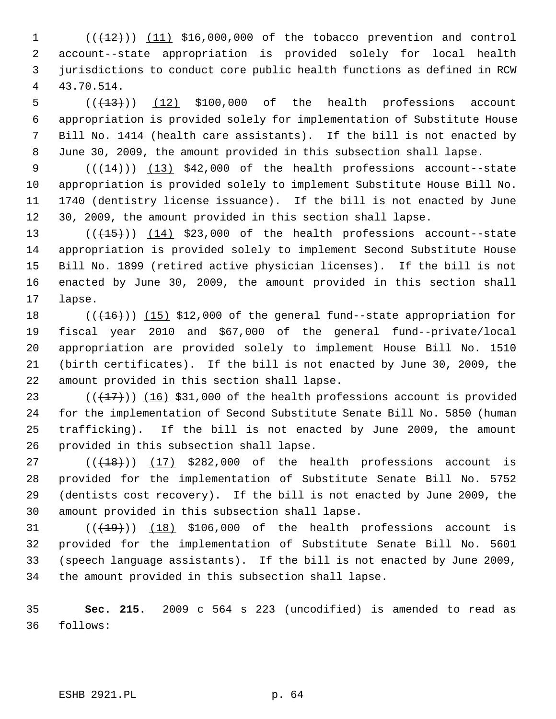$(1$  ( $(12)$ )) (11) \$16,000,000 of the tobacco prevention and control 2 account--state appropriation is provided solely for local health 3 jurisdictions to conduct core public health functions as defined in RCW 4 43.70.514.

 $5$  ( $(\frac{13}{13})$ ) (12) \$100,000 of the health professions account 6 appropriation is provided solely for implementation of Substitute House 7 Bill No. 1414 (health care assistants). If the bill is not enacted by 8 June 30, 2009, the amount provided in this subsection shall lapse.

9  $((+14))$   $(13)$  \$42,000 of the health professions account--state 10 appropriation is provided solely to implement Substitute House Bill No. 11 1740 (dentistry license issuance). If the bill is not enacted by June 12 30, 2009, the amount provided in this section shall lapse.

13  $((+15))$   $(14)$  \$23,000 of the health professions account--state 14 appropriation is provided solely to implement Second Substitute House 15 Bill No. 1899 (retired active physician licenses). If the bill is not 16 enacted by June 30, 2009, the amount provided in this section shall 17 lapse.

18  $((+16))$  (15) \$12,000 of the general fund--state appropriation for 19 fiscal year 2010 and \$67,000 of the general fund--private/local 20 appropriation are provided solely to implement House Bill No. 1510 21 (birth certificates). If the bill is not enacted by June 30, 2009, the 22 amount provided in this section shall lapse.

23  $((+17))$  (16) \$31,000 of the health professions account is provided 24 for the implementation of Second Substitute Senate Bill No. 5850 (human 25 trafficking). If the bill is not enacted by June 2009, the amount 26 provided in this subsection shall lapse.

 $27$  ( $(\overline{+18})$ ) (17) \$282,000 of the health professions account is 28 provided for the implementation of Substitute Senate Bill No. 5752 29 (dentists cost recovery). If the bill is not enacted by June 2009, the 30 amount provided in this subsection shall lapse.

31  $((+19))$  (18) \$106,000 of the health professions account is 32 provided for the implementation of Substitute Senate Bill No. 5601 33 (speech language assistants). If the bill is not enacted by June 2009, 34 the amount provided in this subsection shall lapse.

35 **Sec. 215.** 2009 c 564 s 223 (uncodified) is amended to read as 36 follows: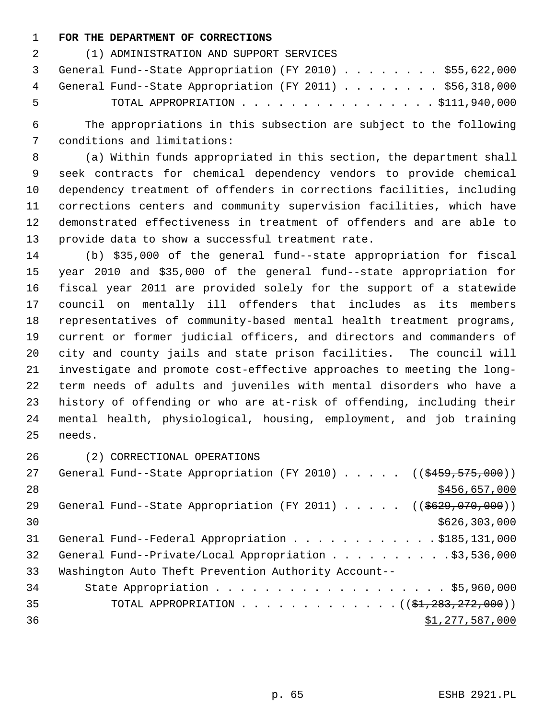## 1 **FOR THE DEPARTMENT OF CORRECTIONS**

| 2 — | (1) ADMINISTRATION AND SUPPORT SERVICES                    |
|-----|------------------------------------------------------------|
|     | 3 General Fund--State Appropriation (FY 2010) \$55,622,000 |
|     | 4 General Fund--State Appropriation (FY 2011) \$56,318,000 |
| -5. | TOTAL APPROPRIATION $\ldots$ , \$111,940,000               |

 6 The appropriations in this subsection are subject to the following 7 conditions and limitations:

 8 (a) Within funds appropriated in this section, the department shall 9 seek contracts for chemical dependency vendors to provide chemical 10 dependency treatment of offenders in corrections facilities, including 11 corrections centers and community supervision facilities, which have 12 demonstrated effectiveness in treatment of offenders and are able to 13 provide data to show a successful treatment rate.

14 (b) \$35,000 of the general fund--state appropriation for fiscal 15 year 2010 and \$35,000 of the general fund--state appropriation for 16 fiscal year 2011 are provided solely for the support of a statewide 17 council on mentally ill offenders that includes as its members 18 representatives of community-based mental health treatment programs, 19 current or former judicial officers, and directors and commanders of 20 city and county jails and state prison facilities. The council will 21 investigate and promote cost-effective approaches to meeting the long-22 term needs of adults and juveniles with mental disorders who have a 23 history of offending or who are at-risk of offending, including their 24 mental health, physiological, housing, employment, and job training 25 needs.

26 (2) CORRECTIONAL OPERATIONS

| 27 | General Fund--State Appropriation (FY 2010) ( $(\frac{2459}{575},000)$ ) |
|----|--------------------------------------------------------------------------|
| 28 | \$456,657,000                                                            |
| 29 | General Fund--State Appropriation (FY 2011) $($ $($ $\frac{2011}{1000})$ |
| 30 | \$626, 303, 000                                                          |
| 31 | General Fund--Federal Appropriation \$185,131,000                        |
| 32 | General Fund--Private/Local Appropriation \$3,536,000                    |
| 33 | Washington Auto Theft Prevention Authority Account--                     |
| 34 |                                                                          |
| 35 | TOTAL APPROPRIATION $(31,283,272,000)$                                   |
| 36 | \$1,277,587,000                                                          |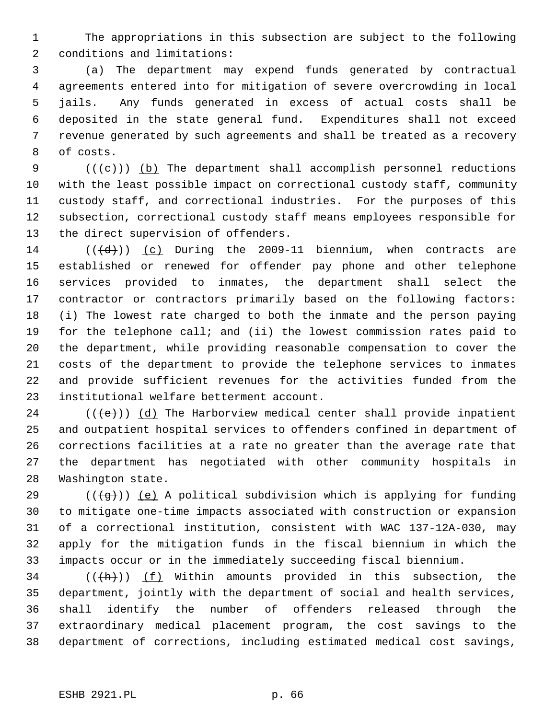1 The appropriations in this subsection are subject to the following 2 conditions and limitations:

 3 (a) The department may expend funds generated by contractual 4 agreements entered into for mitigation of severe overcrowding in local 5 jails. Any funds generated in excess of actual costs shall be 6 deposited in the state general fund. Expenditures shall not exceed 7 revenue generated by such agreements and shall be treated as a recovery 8 of costs.

9  $((\{e\})$  (b) The department shall accomplish personnel reductions 10 with the least possible impact on correctional custody staff, community 11 custody staff, and correctional industries. For the purposes of this 12 subsection, correctional custody staff means employees responsible for 13 the direct supervision of offenders.

14  $((\overline{d}))$  (c) During the 2009-11 biennium, when contracts are 15 established or renewed for offender pay phone and other telephone 16 services provided to inmates, the department shall select the 17 contractor or contractors primarily based on the following factors: 18 (i) The lowest rate charged to both the inmate and the person paying 19 for the telephone call; and (ii) the lowest commission rates paid to 20 the department, while providing reasonable compensation to cover the 21 costs of the department to provide the telephone services to inmates 22 and provide sufficient revenues for the activities funded from the 23 institutional welfare betterment account.

24 ( $(\langle e \rangle)$ ) (d) The Harborview medical center shall provide inpatient 25 and outpatient hospital services to offenders confined in department of 26 corrections facilities at a rate no greater than the average rate that 27 the department has negotiated with other community hospitals in 28 Washington state.

29 ( $(\overline{a})$ ) (e) A political subdivision which is applying for funding 30 to mitigate one-time impacts associated with construction or expansion 31 of a correctional institution, consistent with WAC 137-12A-030, may 32 apply for the mitigation funds in the fiscal biennium in which the 33 impacts occur or in the immediately succeeding fiscal biennium.

 $34$  (( $\frac{h}{h}$ )) (f) Within amounts provided in this subsection, the 35 department, jointly with the department of social and health services, 36 shall identify the number of offenders released through the 37 extraordinary medical placement program, the cost savings to the 38 department of corrections, including estimated medical cost savings,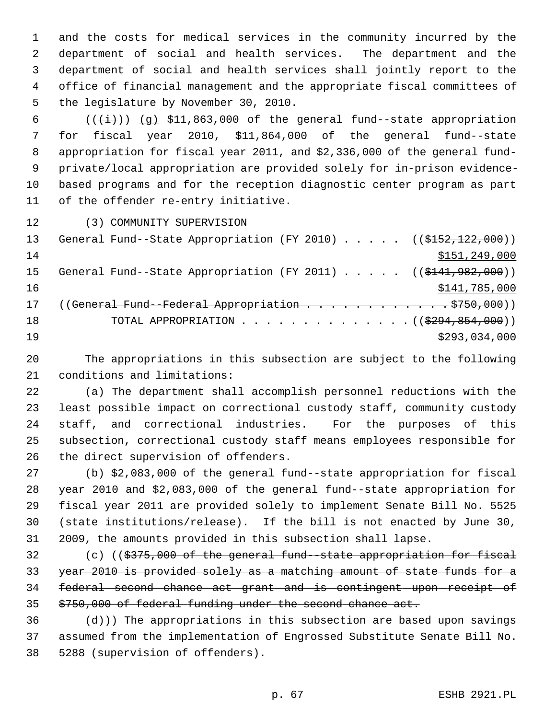1 and the costs for medical services in the community incurred by the 2 department of social and health services. The department and the 3 department of social and health services shall jointly report to the 4 office of financial management and the appropriate fiscal committees of 5 the legislature by November 30, 2010.

6  $((\overleftrightarrow{t}))$  (q) \$11,863,000 of the general fund--state appropriation 7 for fiscal year 2010, \$11,864,000 of the general fund--state 8 appropriation for fiscal year 2011, and \$2,336,000 of the general fund- 9 private/local appropriation are provided solely for in-prison evidence-10 based programs and for the reception diagnostic center program as part 11 of the offender re-entry initiative.

12 (3) COMMUNITY SUPERVISION

| 13 | General Fund--State Appropriation (FY 2010) ( $(\frac{$152,122,000}{$ )) |
|----|--------------------------------------------------------------------------|
| 14 | \$151,249,000                                                            |
| 15 | General Fund--State Appropriation (FY 2011) ( $(\frac{141.982}{000})$    |
| 16 | \$141,785,000                                                            |
| 17 | ((General Fund--Federal Appropriation 9750,000))                         |
| 18 | TOTAL APPROPRIATION $\ldots$ , ( $(\frac{2994,854,000}{$ )               |
| 19 | \$293,034,000                                                            |

20 The appropriations in this subsection are subject to the following 21 conditions and limitations:

22 (a) The department shall accomplish personnel reductions with the 23 least possible impact on correctional custody staff, community custody 24 staff, and correctional industries. For the purposes of this 25 subsection, correctional custody staff means employees responsible for 26 the direct supervision of offenders.

27 (b) \$2,083,000 of the general fund--state appropriation for fiscal 28 year 2010 and \$2,083,000 of the general fund--state appropriation for 29 fiscal year 2011 are provided solely to implement Senate Bill No. 5525 30 (state institutions/release). If the bill is not enacted by June 30, 31 2009, the amounts provided in this subsection shall lapse.

32 (c) ((\$375,000 of the general fund--state appropriation for fiscal year 2010 is provided solely as a matching amount of state funds for a federal second chance act grant and is contingent upon receipt of \$750,000 of federal funding under the second chance act.

 $(36 - (d))$  The appropriations in this subsection are based upon savings 37 assumed from the implementation of Engrossed Substitute Senate Bill No. 38 5288 (supervision of offenders).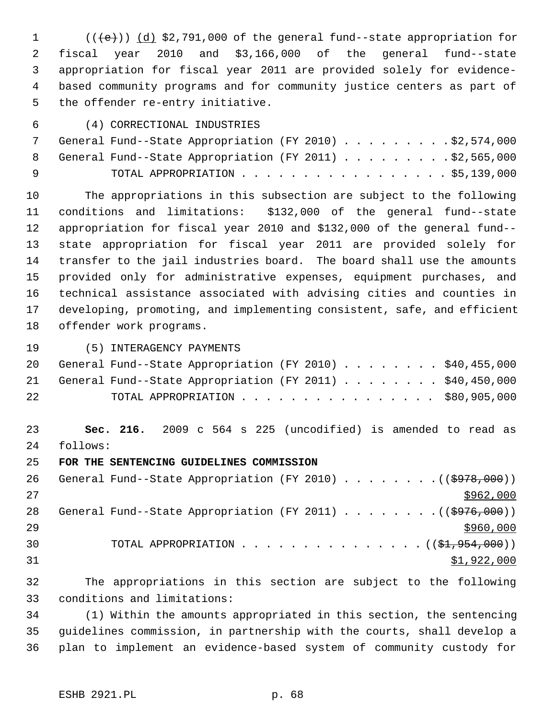1  $((\{e\})$  (d) \$2,791,000 of the general fund--state appropriation for 2 fiscal year 2010 and \$3,166,000 of the general fund--state 3 appropriation for fiscal year 2011 are provided solely for evidence- 4 based community programs and for community justice centers as part of 5 the offender re-entry initiative.

## 6 (4) CORRECTIONAL INDUSTRIES

|          |  | General Fund--State Appropriation (FY 2010) \$2,574,000   |  |  |  |  |  |  |
|----------|--|-----------------------------------------------------------|--|--|--|--|--|--|
|          |  | 8 General Fund--State Appropriation (FY 2011) \$2,565,000 |  |  |  |  |  |  |
| <b>Q</b> |  | TOTAL APPROPRIATION $\ldots$ , \$5,139,000                |  |  |  |  |  |  |

10 The appropriations in this subsection are subject to the following 11 conditions and limitations: \$132,000 of the general fund--state 12 appropriation for fiscal year 2010 and \$132,000 of the general fund-- 13 state appropriation for fiscal year 2011 are provided solely for 14 transfer to the jail industries board. The board shall use the amounts 15 provided only for administrative expenses, equipment purchases, and 16 technical assistance associated with advising cities and counties in 17 developing, promoting, and implementing consistent, safe, and efficient 18 offender work programs.

19 (5) INTERAGENCY PAYMENTS

|    | 20 General Fund--State Appropriation (FY 2010) \$40,455,000 |  |
|----|-------------------------------------------------------------|--|
|    | 21 General Fund--State Appropriation (FY 2011) \$40,450,000 |  |
| 22 | TOTAL APPROPRIATION $\ldots$ , \$80,905,000                 |  |

23 **Sec. 216.** 2009 c 564 s 225 (uncodified) is amended to read as 24 follows:

25 **FOR THE SENTENCING GUIDELINES COMMISSION**

26 General Fund--State Appropriation (FY 2010) . . . . . . . . ((\$978,000))  $27$ 28 General Fund--State Appropriation (FY 2011)  $\ldots$  ...... ((\$976,000))  $29$ 30 TOTAL APPROPRIATION . . . . . . . . . . . . . . . (  $(\frac{21}{27}, 954, 000)$  )  $31$   $$1,922,000$ 

32 The appropriations in this section are subject to the following 33 conditions and limitations:

34 (1) Within the amounts appropriated in this section, the sentencing 35 guidelines commission, in partnership with the courts, shall develop a 36 plan to implement an evidence-based system of community custody for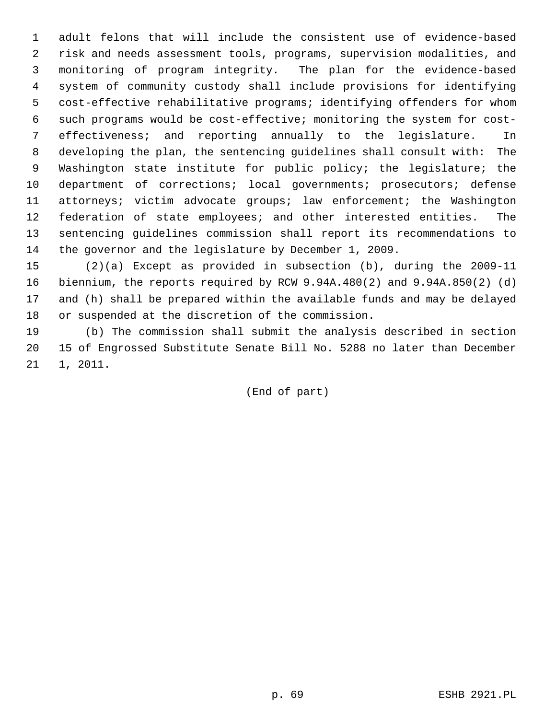1 adult felons that will include the consistent use of evidence-based 2 risk and needs assessment tools, programs, supervision modalities, and 3 monitoring of program integrity. The plan for the evidence-based 4 system of community custody shall include provisions for identifying 5 cost-effective rehabilitative programs; identifying offenders for whom 6 such programs would be cost-effective; monitoring the system for cost- 7 effectiveness; and reporting annually to the legislature. In 8 developing the plan, the sentencing guidelines shall consult with: The 9 Washington state institute for public policy; the legislature; the 10 department of corrections; local governments; prosecutors; defense 11 attorneys; victim advocate groups; law enforcement; the Washington 12 federation of state employees; and other interested entities. The 13 sentencing guidelines commission shall report its recommendations to 14 the governor and the legislature by December 1, 2009.

15 (2)(a) Except as provided in subsection (b), during the 2009-11 16 biennium, the reports required by RCW 9.94A.480(2) and 9.94A.850(2) (d) 17 and (h) shall be prepared within the available funds and may be delayed 18 or suspended at the discretion of the commission.

19 (b) The commission shall submit the analysis described in section 20 15 of Engrossed Substitute Senate Bill No. 5288 no later than December 21 1, 2011.

(End of part)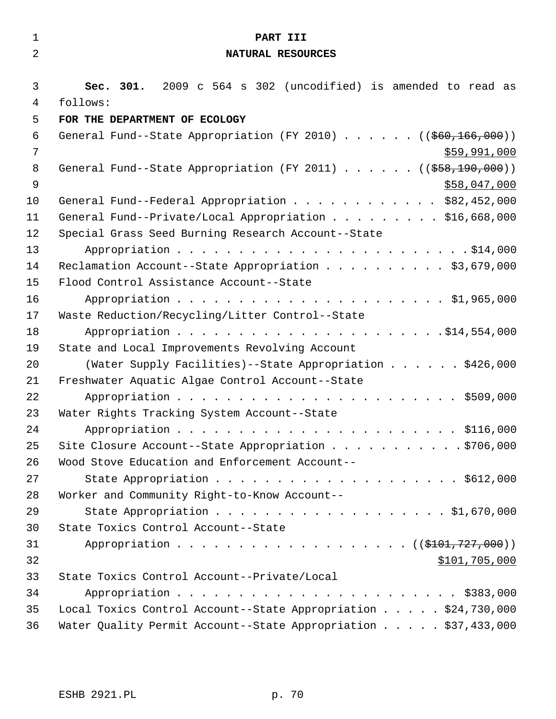| $\mathbf 1$    | PART III                                                                                          |
|----------------|---------------------------------------------------------------------------------------------------|
| $\overline{2}$ | NATURAL RESOURCES                                                                                 |
|                |                                                                                                   |
| 3              | Sec. 301. 2009 c 564 s 302 (uncodified) is amended to read as                                     |
| $\overline{4}$ | follows:                                                                                          |
| 5<br>6         | FOR THE DEPARTMENT OF ECOLOGY<br>General Fund--State Appropriation (FY 2010) ( $( $60,166,000)$ ) |
| 7              | \$59,991,000                                                                                      |
| 8              | General Fund--State Appropriation (FY 2011) ( $(\frac{258}{190},000)$ )                           |
| 9              | \$58,047,000                                                                                      |
| 10             | General Fund--Federal Appropriation \$82,452,000                                                  |
| 11             | General Fund--Private/Local Appropriation \$16,668,000                                            |
| 12             | Special Grass Seed Burning Research Account--State                                                |
| 13             |                                                                                                   |
| 14             | Reclamation Account--State Appropriation \$3,679,000                                              |
| 15             | Flood Control Assistance Account--State                                                           |
| 16             |                                                                                                   |
| 17             | Waste Reduction/Recycling/Litter Control--State                                                   |
| 18             |                                                                                                   |
| 19             | State and Local Improvements Revolving Account                                                    |
| 20             | (Water Supply Facilities)--State Appropriation \$426,000                                          |
| 21             | Freshwater Aquatic Algae Control Account--State                                                   |
| 22             |                                                                                                   |
| 23             | Water Rights Tracking System Account--State                                                       |
| 24             |                                                                                                   |
| 25             | Site Closure Account--State Appropriation 9706,000                                                |
| 26             | Wood Stove Education and Enforcement Account--                                                    |
| 27             |                                                                                                   |
| 28             | Worker and Community Right-to-Know Account--                                                      |
| 29             |                                                                                                   |
| 30             | State Toxics Control Account--State                                                               |
| 31             | Appropriation ( (\$101,727,000))                                                                  |
| 32             | \$101,705,000                                                                                     |
| 33             | State Toxics Control Account--Private/Local                                                       |
| 34             |                                                                                                   |
| 35             | Local Toxics Control Account--State Appropriation \$24,730,000                                    |
| 36             | Water Quality Permit Account--State Appropriation \$37,433,000                                    |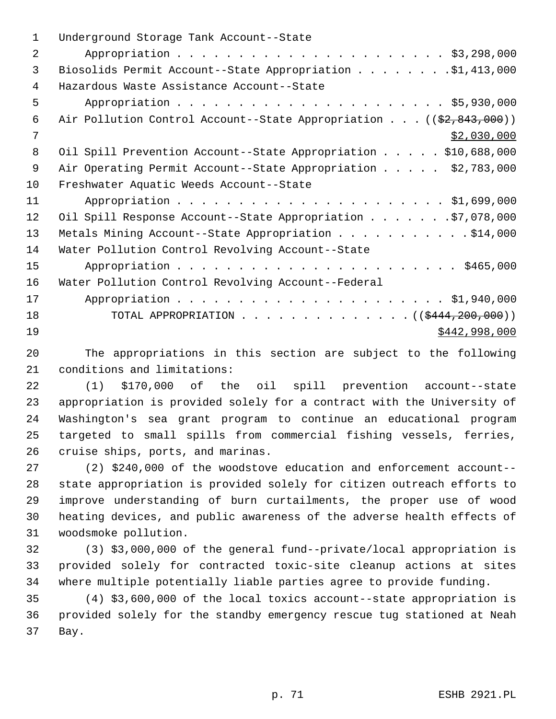| $\mathbf 1$    | Underground Storage Tank Account--State                                          |
|----------------|----------------------------------------------------------------------------------|
| $\overline{a}$ |                                                                                  |
| 3              | Biosolids Permit Account--State Appropriation \$1,413,000                        |
| 4              | Hazardous Waste Assistance Account--State                                        |
| 5              |                                                                                  |
| 6              | Air Pollution Control Account--State Appropriation ( $(\frac{2}{2}, 843, 000)$ ) |
| 7              | \$2,030,000                                                                      |
| 8              | Oil Spill Prevention Account--State Appropriation \$10,688,000                   |
| 9              | Air Operating Permit Account--State Appropriation \$2,783,000                    |
| 10             | Freshwater Aquatic Weeds Account--State                                          |
| 11             |                                                                                  |
| 12             | Oil Spill Response Account--State Appropriation \$7,078,000                      |
| 13             | Metals Mining Account--State Appropriation \$14,000                              |
| 14             | Water Pollution Control Revolving Account--State                                 |
| 15             |                                                                                  |
| 16             | Water Pollution Control Revolving Account--Federal                               |
| 17             |                                                                                  |
| 18             | TOTAL APPROPRIATION ( $(\frac{12444}{200},000)$ )                                |
| 19             | \$442,998,000                                                                    |
|                |                                                                                  |

20 The appropriations in this section are subject to the following 21 conditions and limitations:

22 (1) \$170,000 of the oil spill prevention account--state 23 appropriation is provided solely for a contract with the University of 24 Washington's sea grant program to continue an educational program 25 targeted to small spills from commercial fishing vessels, ferries, 26 cruise ships, ports, and marinas.

27 (2) \$240,000 of the woodstove education and enforcement account-- 28 state appropriation is provided solely for citizen outreach efforts to 29 improve understanding of burn curtailments, the proper use of wood 30 heating devices, and public awareness of the adverse health effects of 31 woodsmoke pollution.

32 (3) \$3,000,000 of the general fund--private/local appropriation is 33 provided solely for contracted toxic-site cleanup actions at sites 34 where multiple potentially liable parties agree to provide funding.

35 (4) \$3,600,000 of the local toxics account--state appropriation is 36 provided solely for the standby emergency rescue tug stationed at Neah 37 Bay.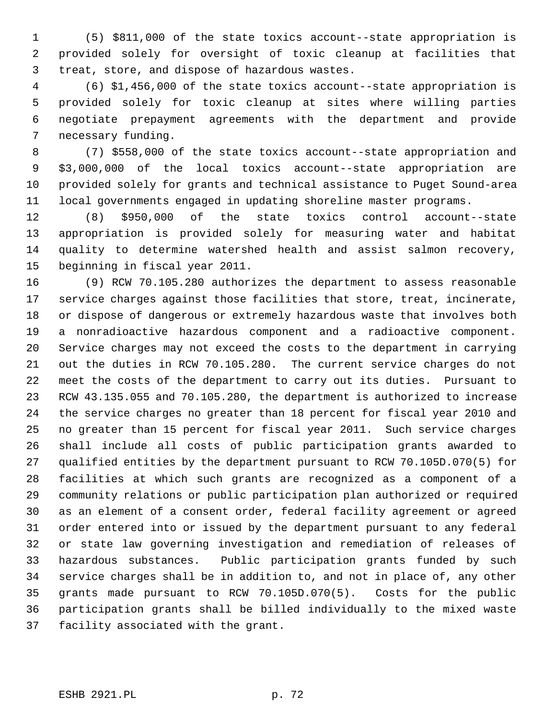1 (5) \$811,000 of the state toxics account--state appropriation is 2 provided solely for oversight of toxic cleanup at facilities that 3 treat, store, and dispose of hazardous wastes.

 4 (6) \$1,456,000 of the state toxics account--state appropriation is 5 provided solely for toxic cleanup at sites where willing parties 6 negotiate prepayment agreements with the department and provide 7 necessary funding.

 8 (7) \$558,000 of the state toxics account--state appropriation and 9 \$3,000,000 of the local toxics account--state appropriation are 10 provided solely for grants and technical assistance to Puget Sound-area 11 local governments engaged in updating shoreline master programs.

12 (8) \$950,000 of the state toxics control account--state 13 appropriation is provided solely for measuring water and habitat 14 quality to determine watershed health and assist salmon recovery, 15 beginning in fiscal year 2011.

16 (9) RCW 70.105.280 authorizes the department to assess reasonable 17 service charges against those facilities that store, treat, incinerate, 18 or dispose of dangerous or extremely hazardous waste that involves both 19 a nonradioactive hazardous component and a radioactive component. 20 Service charges may not exceed the costs to the department in carrying 21 out the duties in RCW 70.105.280. The current service charges do not 22 meet the costs of the department to carry out its duties. Pursuant to 23 RCW 43.135.055 and 70.105.280, the department is authorized to increase 24 the service charges no greater than 18 percent for fiscal year 2010 and 25 no greater than 15 percent for fiscal year 2011. Such service charges 26 shall include all costs of public participation grants awarded to 27 qualified entities by the department pursuant to RCW 70.105D.070(5) for 28 facilities at which such grants are recognized as a component of a 29 community relations or public participation plan authorized or required 30 as an element of a consent order, federal facility agreement or agreed 31 order entered into or issued by the department pursuant to any federal 32 or state law governing investigation and remediation of releases of 33 hazardous substances. Public participation grants funded by such 34 service charges shall be in addition to, and not in place of, any other 35 grants made pursuant to RCW 70.105D.070(5). Costs for the public 36 participation grants shall be billed individually to the mixed waste 37 facility associated with the grant.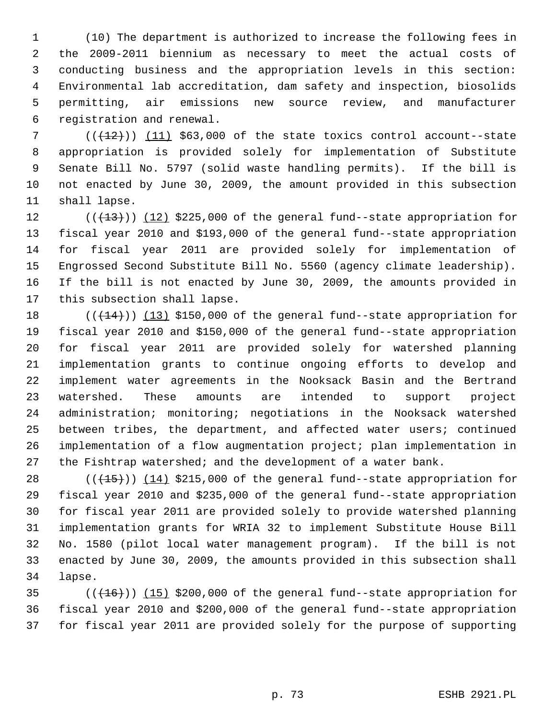1 (10) The department is authorized to increase the following fees in 2 the 2009-2011 biennium as necessary to meet the actual costs of 3 conducting business and the appropriation levels in this section: 4 Environmental lab accreditation, dam safety and inspection, biosolids 5 permitting, air emissions new source review, and manufacturer 6 registration and renewal.

 $7$  ( $(\overline{+12})$ ) (11) \$63,000 of the state toxics control account--state 8 appropriation is provided solely for implementation of Substitute 9 Senate Bill No. 5797 (solid waste handling permits). If the bill is 10 not enacted by June 30, 2009, the amount provided in this subsection 11 shall lapse.

12  $((+13))$   $(12)$  \$225,000 of the general fund--state appropriation for 13 fiscal year 2010 and \$193,000 of the general fund--state appropriation 14 for fiscal year 2011 are provided solely for implementation of 15 Engrossed Second Substitute Bill No. 5560 (agency climate leadership). 16 If the bill is not enacted by June 30, 2009, the amounts provided in 17 this subsection shall lapse.

18  $((+14))$  (13) \$150,000 of the general fund--state appropriation for 19 fiscal year 2010 and \$150,000 of the general fund--state appropriation 20 for fiscal year 2011 are provided solely for watershed planning 21 implementation grants to continue ongoing efforts to develop and 22 implement water agreements in the Nooksack Basin and the Bertrand 23 watershed. These amounts are intended to support project 24 administration; monitoring; negotiations in the Nooksack watershed 25 between tribes, the department, and affected water users; continued 26 implementation of a flow augmentation project; plan implementation in 27 the Fishtrap watershed; and the development of a water bank.

28  $((+15))$   $(14)$  \$215,000 of the general fund--state appropriation for 29 fiscal year 2010 and \$235,000 of the general fund--state appropriation 30 for fiscal year 2011 are provided solely to provide watershed planning 31 implementation grants for WRIA 32 to implement Substitute House Bill 32 No. 1580 (pilot local water management program). If the bill is not 33 enacted by June 30, 2009, the amounts provided in this subsection shall 34 lapse.

 $(16)(16)$  (( $16$ ))) (15) \$200,000 of the general fund--state appropriation for 36 fiscal year 2010 and \$200,000 of the general fund--state appropriation 37 for fiscal year 2011 are provided solely for the purpose of supporting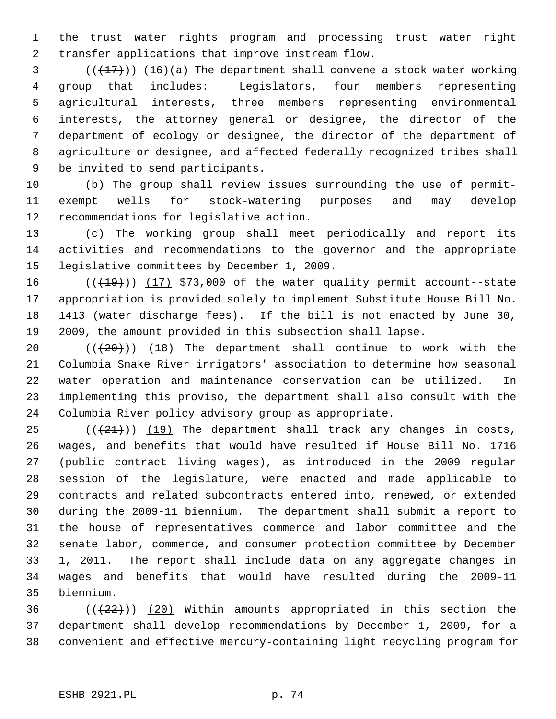1 the trust water rights program and processing trust water right 2 transfer applications that improve instream flow.

 $(1,17)$  (16)(a) The department shall convene a stock water working 4 group that includes: Legislators, four members representing 5 agricultural interests, three members representing environmental 6 interests, the attorney general or designee, the director of the 7 department of ecology or designee, the director of the department of 8 agriculture or designee, and affected federally recognized tribes shall 9 be invited to send participants.

10 (b) The group shall review issues surrounding the use of permit-11 exempt wells for stock-watering purposes and may develop 12 recommendations for legislative action.

13 (c) The working group shall meet periodically and report its 14 activities and recommendations to the governor and the appropriate 15 legislative committees by December 1, 2009.

16  $((+19))$   $(17)$  \$73,000 of the water quality permit account--state 17 appropriation is provided solely to implement Substitute House Bill No. 18 1413 (water discharge fees). If the bill is not enacted by June 30, 19 2009, the amount provided in this subsection shall lapse.

20  $((+20))$  (18) The department shall continue to work with the 21 Columbia Snake River irrigators' association to determine how seasonal 22 water operation and maintenance conservation can be utilized. In 23 implementing this proviso, the department shall also consult with the 24 Columbia River policy advisory group as appropriate.

 $(1)(21)$  (( $(21)$ ) (19) The department shall track any changes in costs, 26 wages, and benefits that would have resulted if House Bill No. 1716 27 (public contract living wages), as introduced in the 2009 regular 28 session of the legislature, were enacted and made applicable to 29 contracts and related subcontracts entered into, renewed, or extended 30 during the 2009-11 biennium. The department shall submit a report to 31 the house of representatives commerce and labor committee and the 32 senate labor, commerce, and consumer protection committee by December 33 1, 2011. The report shall include data on any aggregate changes in 34 wages and benefits that would have resulted during the 2009-11 35 biennium.

36  $((+22))$  (20) Within amounts appropriated in this section the 37 department shall develop recommendations by December 1, 2009, for a 38 convenient and effective mercury-containing light recycling program for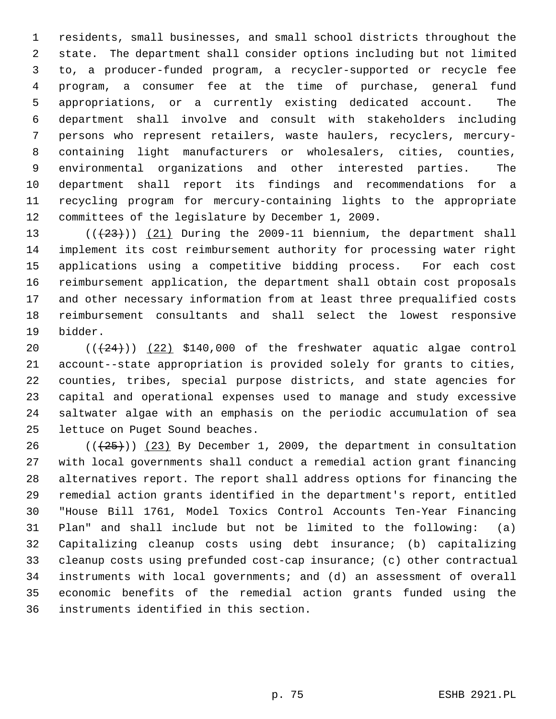1 residents, small businesses, and small school districts throughout the 2 state. The department shall consider options including but not limited 3 to, a producer-funded program, a recycler-supported or recycle fee 4 program, a consumer fee at the time of purchase, general fund 5 appropriations, or a currently existing dedicated account. The 6 department shall involve and consult with stakeholders including 7 persons who represent retailers, waste haulers, recyclers, mercury- 8 containing light manufacturers or wholesalers, cities, counties, 9 environmental organizations and other interested parties. The 10 department shall report its findings and recommendations for a 11 recycling program for mercury-containing lights to the appropriate 12 committees of the legislature by December 1, 2009.

13  $((+23))$   $(21)$  During the 2009-11 biennium, the department shall 14 implement its cost reimbursement authority for processing water right 15 applications using a competitive bidding process. For each cost 16 reimbursement application, the department shall obtain cost proposals 17 and other necessary information from at least three prequalified costs 18 reimbursement consultants and shall select the lowest responsive 19 bidder.

20  $((+24))$   $(22)$  \$140,000 of the freshwater aquatic algae control 21 account--state appropriation is provided solely for grants to cities, 22 counties, tribes, special purpose districts, and state agencies for 23 capital and operational expenses used to manage and study excessive 24 saltwater algae with an emphasis on the periodic accumulation of sea 25 lettuce on Puget Sound beaches.

26 ( $(\frac{25}{1})$ ) (23) By December 1, 2009, the department in consultation 27 with local governments shall conduct a remedial action grant financing 28 alternatives report. The report shall address options for financing the 29 remedial action grants identified in the department's report, entitled 30 "House Bill 1761, Model Toxics Control Accounts Ten-Year Financing 31 Plan" and shall include but not be limited to the following: (a) 32 Capitalizing cleanup costs using debt insurance; (b) capitalizing 33 cleanup costs using prefunded cost-cap insurance; (c) other contractual 34 instruments with local governments; and (d) an assessment of overall 35 economic benefits of the remedial action grants funded using the 36 instruments identified in this section.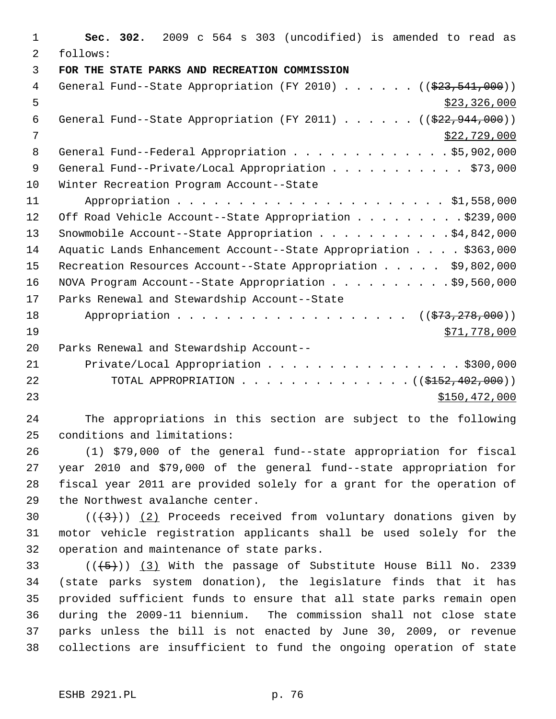| $\mathbf{1}$ | Sec. 302. 2009 c 564 s 303 (uncodified) is amended to read as                          |
|--------------|----------------------------------------------------------------------------------------|
| 2            | follows:                                                                               |
| 3            | FOR THE STATE PARKS AND RECREATION COMMISSION                                          |
| 4            | General Fund--State Appropriation (FY 2010) $($ $($ $\frac{233}{23}, \frac{541}{900})$ |
| 5            | \$23,326,000                                                                           |
| 6            | General Fund--State Appropriation (FY 2011) $($ $($ $\frac{222.944.000}{922.944.000})$ |
| 7            | \$22,729,000                                                                           |
| 8            | General Fund--Federal Appropriation \$5,902,000                                        |
| 9            | General Fund--Private/Local Appropriation \$73,000                                     |
| 10           | Winter Recreation Program Account--State                                               |
| 11           |                                                                                        |
| 12           | Off Road Vehicle Account--State Appropriation \$239,000                                |
| 13           | Snowmobile Account--State Appropriation $\ldots$ \$4,842,000                           |
| 14           | Aquatic Lands Enhancement Account--State Appropriation \$363,000                       |
| 15           | Recreation Resources Account--State Appropriation \$9,802,000                          |
| 16           | NOVA Program Account--State Appropriation \$9,560,000                                  |
| 17           | Parks Renewal and Stewardship Account--State                                           |
| 18           | Appropriation ( $(\frac{273}{73}, \frac{278}{900})$ )                                  |
| 19           | \$71,778,000                                                                           |
| 20           | Parks Renewal and Stewardship Account--                                                |
| 21           | Private/Local Appropriation \$300,000                                                  |
| 22           | TOTAL APPROPRIATION ( $(\frac{15152}{102}, 402, 000)$ )                                |
| 23           | \$150,472,000                                                                          |
|              |                                                                                        |

24 The appropriations in this section are subject to the following 25 conditions and limitations:

26 (1) \$79,000 of the general fund--state appropriation for fiscal 27 year 2010 and \$79,000 of the general fund--state appropriation for 28 fiscal year 2011 are provided solely for a grant for the operation of 29 the Northwest avalanche center.

30  $((+3))$   $(2)$  Proceeds received from voluntary donations given by 31 motor vehicle registration applicants shall be used solely for the 32 operation and maintenance of state parks.

33  $((+5))$   $(3)$  With the passage of Substitute House Bill No. 2339 34 (state parks system donation), the legislature finds that it has 35 provided sufficient funds to ensure that all state parks remain open 36 during the 2009-11 biennium. The commission shall not close state 37 parks unless the bill is not enacted by June 30, 2009, or revenue 38 collections are insufficient to fund the ongoing operation of state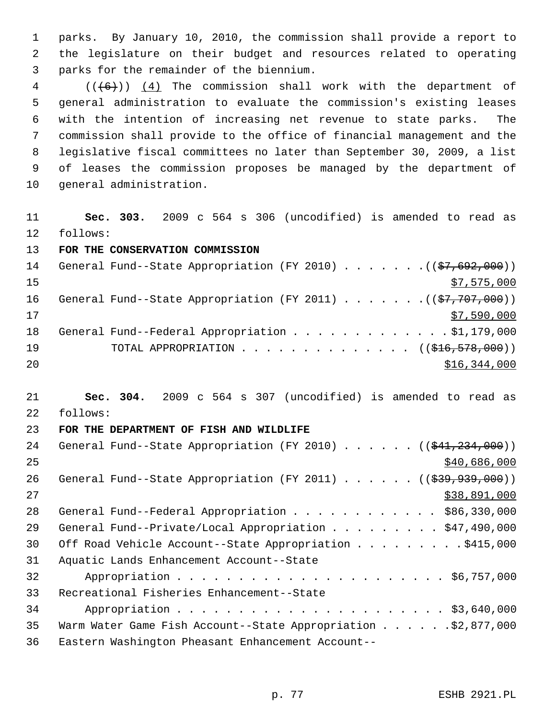1 parks. By January 10, 2010, the commission shall provide a report to 2 the legislature on their budget and resources related to operating 3 parks for the remainder of the biennium.

 $4$  (( $(6+)$ ) (4) The commission shall work with the department of 5 general administration to evaluate the commission's existing leases 6 with the intention of increasing net revenue to state parks. The 7 commission shall provide to the office of financial management and the 8 legislative fiscal committees no later than September 30, 2009, a list 9 of leases the commission proposes be managed by the department of 10 general administration.

11 **Sec. 303.** 2009 c 564 s 306 (uncodified) is amended to read as 12 follows:

13 **FOR THE CONSERVATION COMMISSION**

| 14 | General Fund--State Appropriation (FY 2010) ( $(\frac{27}{57}, 692, 000)$ ) |
|----|-----------------------------------------------------------------------------|
| 15 | \$7,575,000                                                                 |
| 16 | General Fund--State Appropriation (FY 2011) $($ $($ \$7,707,000))           |
| 17 | \$7,590,000                                                                 |
| 18 | General Fund--Federal Appropriation \$1,179,000                             |
| 19 | TOTAL APPROPRIATION $\ldots$ , ( $(\frac{1}{216}, \frac{578}{100})$ )       |
| 20 | \$16,344,000                                                                |

21 **Sec. 304.** 2009 c 564 s 307 (uncodified) is amended to read as 22 follows:

## 23 **FOR THE DEPARTMENT OF FISH AND WILDLIFE**

| 24 | General Fund--State Appropriation (FY 2010) $($ $($ $\frac{234}{7234}, 000)$ ) |
|----|--------------------------------------------------------------------------------|
| 25 | \$40,686,000                                                                   |
| 26 | General Fund--State Appropriation (FY 2011) $($ $($ $\frac{293}{793})$         |
| 27 | \$38,891,000                                                                   |
| 28 | General Fund--Federal Appropriation \$86,330,000                               |
| 29 | General Fund--Private/Local Appropriation \$47,490,000                         |
| 30 | Off Road Vehicle Account--State Appropriation \$415,000                        |
| 31 | Aquatic Lands Enhancement Account--State                                       |
| 32 |                                                                                |
| 33 | Recreational Fisheries Enhancement--State                                      |
| 34 |                                                                                |
| 35 | Warm Water Game Fish Account--State Appropriation \$2,877,000                  |
| 36 | Eastern Washington Pheasant Enhancement Account--                              |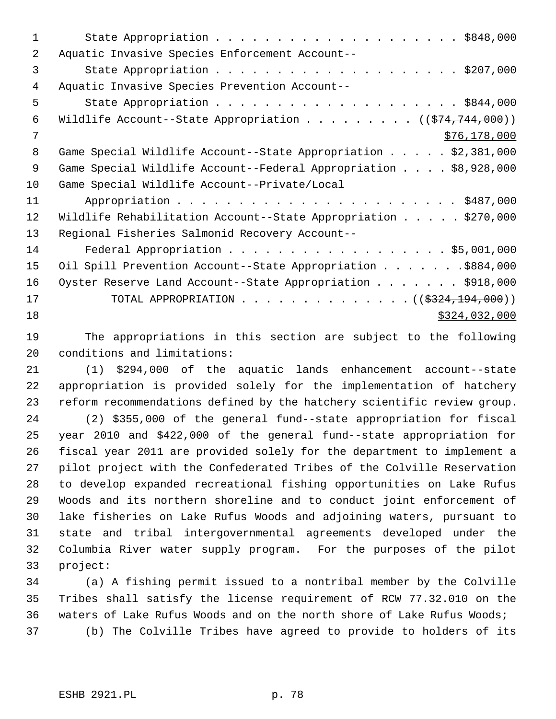| 1  |                                                                               |
|----|-------------------------------------------------------------------------------|
| 2  | Aquatic Invasive Species Enforcement Account--                                |
| 3  |                                                                               |
| 4  | Aquatic Invasive Species Prevention Account--                                 |
| 5  |                                                                               |
| 6  | Wildlife Account--State Appropriation ( $(\frac{274}{74}, \frac{744}{000})$ ) |
| 7  | \$76, 178, 000                                                                |
| 8  | Game Special Wildlife Account--State Appropriation \$2,381,000                |
| 9  | Game Special Wildlife Account--Federal Appropriation \$8,928,000              |
| 10 | Game Special Wildlife Account--Private/Local                                  |
| 11 |                                                                               |
| 12 | Wildlife Rehabilitation Account--State Appropriation $\ldots$ \$270,000       |
| 13 | Regional Fisheries Salmonid Recovery Account--                                |
| 14 | Federal Appropriation \$5,001,000                                             |
| 15 | Oil Spill Prevention Account--State Appropriation \$884,000                   |
| 16 | Oyster Reserve Land Account--State Appropriation \$918,000                    |
| 17 | TOTAL APPROPRIATION ( $(\frac{2324,194,000}{$ )                               |
| 18 | \$324,032,000                                                                 |

19 The appropriations in this section are subject to the following 20 conditions and limitations:

21 (1) \$294,000 of the aquatic lands enhancement account--state 22 appropriation is provided solely for the implementation of hatchery 23 reform recommendations defined by the hatchery scientific review group.

24 (2) \$355,000 of the general fund--state appropriation for fiscal 25 year 2010 and \$422,000 of the general fund--state appropriation for 26 fiscal year 2011 are provided solely for the department to implement a 27 pilot project with the Confederated Tribes of the Colville Reservation 28 to develop expanded recreational fishing opportunities on Lake Rufus 29 Woods and its northern shoreline and to conduct joint enforcement of 30 lake fisheries on Lake Rufus Woods and adjoining waters, pursuant to 31 state and tribal intergovernmental agreements developed under the 32 Columbia River water supply program. For the purposes of the pilot 33 project:

34 (a) A fishing permit issued to a nontribal member by the Colville 35 Tribes shall satisfy the license requirement of RCW 77.32.010 on the 36 waters of Lake Rufus Woods and on the north shore of Lake Rufus Woods; 37 (b) The Colville Tribes have agreed to provide to holders of its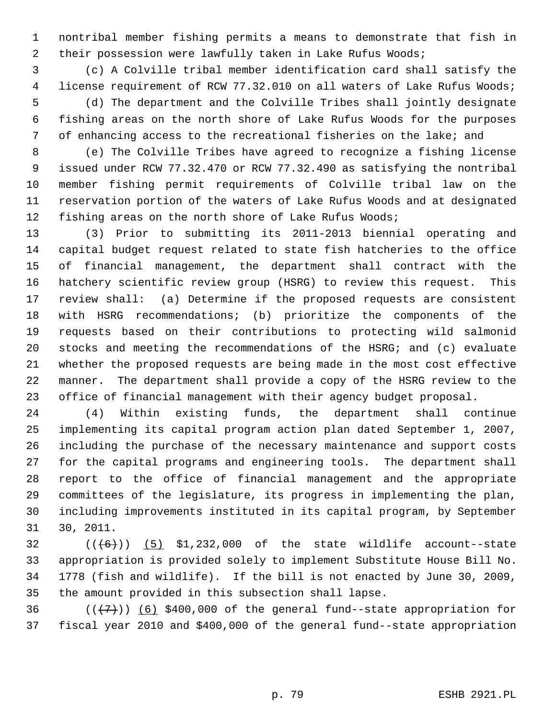1 nontribal member fishing permits a means to demonstrate that fish in 2 their possession were lawfully taken in Lake Rufus Woods;

 3 (c) A Colville tribal member identification card shall satisfy the 4 license requirement of RCW 77.32.010 on all waters of Lake Rufus Woods; 5 (d) The department and the Colville Tribes shall jointly designate 6 fishing areas on the north shore of Lake Rufus Woods for the purposes 7 of enhancing access to the recreational fisheries on the lake; and

 8 (e) The Colville Tribes have agreed to recognize a fishing license 9 issued under RCW 77.32.470 or RCW 77.32.490 as satisfying the nontribal 10 member fishing permit requirements of Colville tribal law on the 11 reservation portion of the waters of Lake Rufus Woods and at designated 12 fishing areas on the north shore of Lake Rufus Woods;

13 (3) Prior to submitting its 2011-2013 biennial operating and 14 capital budget request related to state fish hatcheries to the office 15 of financial management, the department shall contract with the 16 hatchery scientific review group (HSRG) to review this request. This 17 review shall: (a) Determine if the proposed requests are consistent 18 with HSRG recommendations; (b) prioritize the components of the 19 requests based on their contributions to protecting wild salmonid 20 stocks and meeting the recommendations of the HSRG; and (c) evaluate 21 whether the proposed requests are being made in the most cost effective 22 manner. The department shall provide a copy of the HSRG review to the 23 office of financial management with their agency budget proposal.

24 (4) Within existing funds, the department shall continue 25 implementing its capital program action plan dated September 1, 2007, 26 including the purchase of the necessary maintenance and support costs 27 for the capital programs and engineering tools. The department shall 28 report to the office of financial management and the appropriate 29 committees of the legislature, its progress in implementing the plan, 30 including improvements instituted in its capital program, by September 31 30, 2011.

 $32$  (( $(6)$ )) (5) \$1,232,000 of the state wildlife account--state 33 appropriation is provided solely to implement Substitute House Bill No. 34 1778 (fish and wildlife). If the bill is not enacted by June 30, 2009, 35 the amount provided in this subsection shall lapse.

36  $((+7)$ ) (6) \$400,000 of the general fund--state appropriation for 37 fiscal year 2010 and \$400,000 of the general fund--state appropriation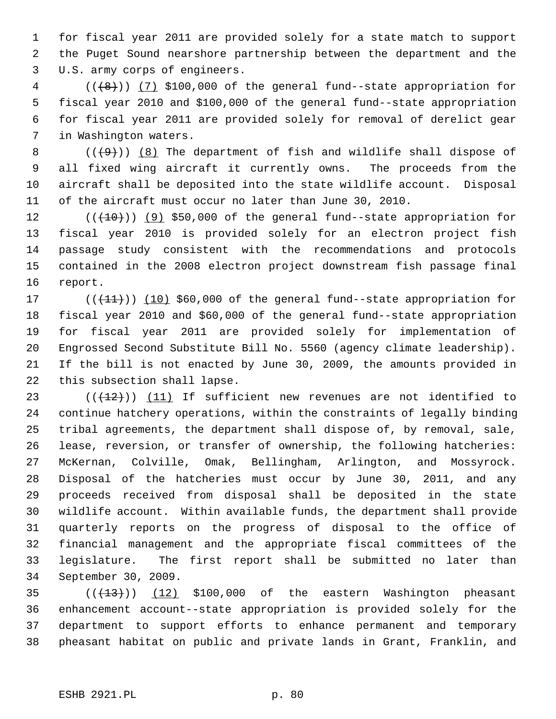1 for fiscal year 2011 are provided solely for a state match to support 2 the Puget Sound nearshore partnership between the department and the 3 U.S. army corps of engineers.

 $4$  ( $(\frac{1}{8})$ ) (7) \$100,000 of the general fund--state appropriation for 5 fiscal year 2010 and \$100,000 of the general fund--state appropriation 6 for fiscal year 2011 are provided solely for removal of derelict gear 7 in Washington waters.

8  $((+9))$  (8) The department of fish and wildlife shall dispose of 9 all fixed wing aircraft it currently owns. The proceeds from the 10 aircraft shall be deposited into the state wildlife account. Disposal 11 of the aircraft must occur no later than June 30, 2010.

12  $((+10))$  (9) \$50,000 of the general fund--state appropriation for 13 fiscal year 2010 is provided solely for an electron project fish 14 passage study consistent with the recommendations and protocols 15 contained in the 2008 electron project downstream fish passage final 16 report.

17  $((+11))$   $(10)$  \$60,000 of the general fund--state appropriation for 18 fiscal year 2010 and \$60,000 of the general fund--state appropriation 19 for fiscal year 2011 are provided solely for implementation of 20 Engrossed Second Substitute Bill No. 5560 (agency climate leadership). 21 If the bill is not enacted by June 30, 2009, the amounts provided in 22 this subsection shall lapse.

23  $((+12))$   $(11)$  If sufficient new revenues are not identified to 24 continue hatchery operations, within the constraints of legally binding 25 tribal agreements, the department shall dispose of, by removal, sale, 26 lease, reversion, or transfer of ownership, the following hatcheries: 27 McKernan, Colville, Omak, Bellingham, Arlington, and Mossyrock. 28 Disposal of the hatcheries must occur by June 30, 2011, and any 29 proceeds received from disposal shall be deposited in the state 30 wildlife account. Within available funds, the department shall provide 31 quarterly reports on the progress of disposal to the office of 32 financial management and the appropriate fiscal committees of the 33 legislature. The first report shall be submitted no later than 34 September 30, 2009.

35  $((+13))$   $(12)$  \$100,000 of the eastern Washington pheasant 36 enhancement account--state appropriation is provided solely for the 37 department to support efforts to enhance permanent and temporary 38 pheasant habitat on public and private lands in Grant, Franklin, and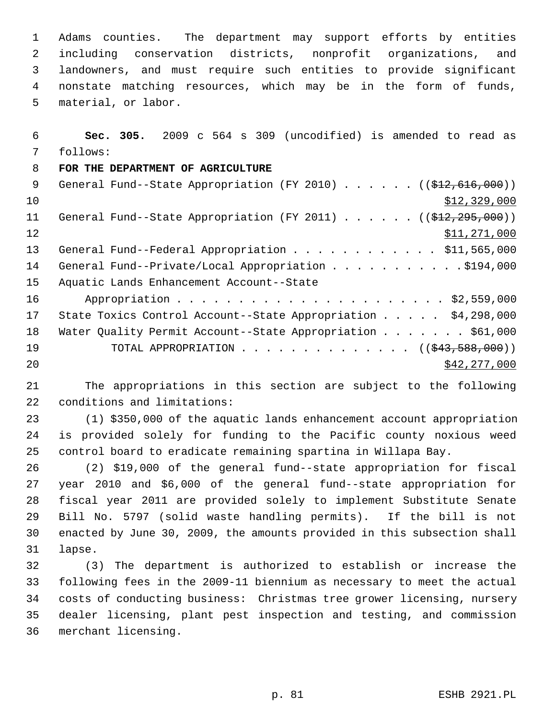1 Adams counties. The department may support efforts by entities 2 including conservation districts, nonprofit organizations, and 3 landowners, and must require such entities to provide significant 4 nonstate matching resources, which may be in the form of funds, 5 material, or labor.

 6 **Sec. 305.** 2009 c 564 s 309 (uncodified) is amended to read as 7 follows: 8 **FOR THE DEPARTMENT OF AGRICULTURE** 9 General Fund--State Appropriation (FY 2010) . . . . . . ((\$12,616,000))  $10$   $$12,329,000$ 11 General Fund--State Appropriation (FY 2011) . . . . . . ((\$12,295,000)) 12 \$11,271,000 13 General Fund--Federal Appropriation . . . . . . . . . . . \$11,565,000 14 General Fund--Private/Local Appropriation . . . . . . . . . . \$194,000 15 Aquatic Lands Enhancement Account--State 16 Appropriation . . . . . . . . . . . . . . . . . . . . . . \$2,559,000 17 State Toxics Control Account--State Appropriation . . . . . \$4,298,000 18 Water Quality Permit Account--State Appropriation . . . . . . . \$61,000 19 TOTAL APPROPRIATION . . . . . . . . . . . . . ((<del>\$43,588,000</del>)) 20 \$42,277,000

21 The appropriations in this section are subject to the following 22 conditions and limitations:

23 (1) \$350,000 of the aquatic lands enhancement account appropriation 24 is provided solely for funding to the Pacific county noxious weed 25 control board to eradicate remaining spartina in Willapa Bay.

26 (2) \$19,000 of the general fund--state appropriation for fiscal 27 year 2010 and \$6,000 of the general fund--state appropriation for 28 fiscal year 2011 are provided solely to implement Substitute Senate 29 Bill No. 5797 (solid waste handling permits). If the bill is not 30 enacted by June 30, 2009, the amounts provided in this subsection shall 31 lapse.

32 (3) The department is authorized to establish or increase the 33 following fees in the 2009-11 biennium as necessary to meet the actual 34 costs of conducting business: Christmas tree grower licensing, nursery 35 dealer licensing, plant pest inspection and testing, and commission 36 merchant licensing.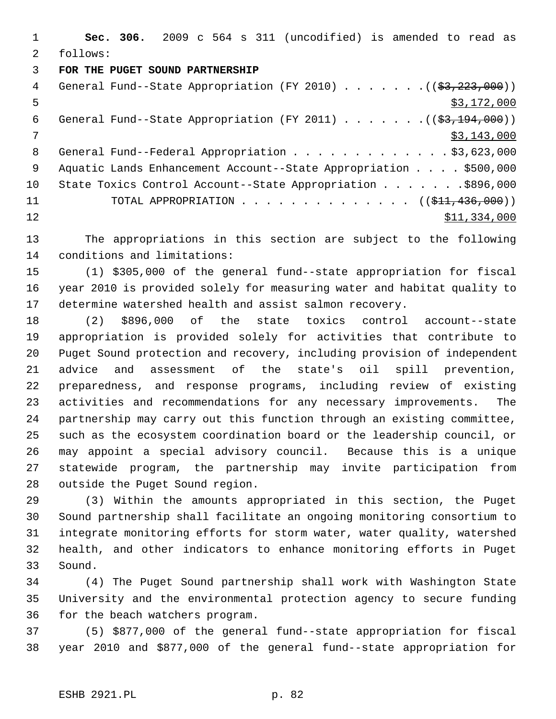1 **Sec. 306.** 2009 c 564 s 311 (uncodified) is amended to read as 2 follows:

## 3 **FOR THE PUGET SOUND PARTNERSHIP**

| 4  | General Fund--State Appropriation (FY 2010) $($ $($ \$3,223,000))    |
|----|----------------------------------------------------------------------|
| 5  | \$3,172,000                                                          |
| 6  | General Fund--State Appropriation (FY 2011) $($ $($ \$3,194,000) $)$ |
| 7  | \$3,143,000                                                          |
| 8  | General Fund--Federal Appropriation \$3,623,000                      |
| 9  | Aquatic Lands Enhancement Account--State Appropriation \$500,000     |
| 10 | State Toxics Control Account--State Appropriation \$896,000          |
| 11 | TOTAL APPROPRIATION $\ldots$ , ( $(\frac{1}{21}, 436, 000)$ )        |
| 12 | \$11,334,000                                                         |
|    |                                                                      |

13 The appropriations in this section are subject to the following 14 conditions and limitations:

15 (1) \$305,000 of the general fund--state appropriation for fiscal 16 year 2010 is provided solely for measuring water and habitat quality to 17 determine watershed health and assist salmon recovery.

18 (2) \$896,000 of the state toxics control account--state 19 appropriation is provided solely for activities that contribute to 20 Puget Sound protection and recovery, including provision of independent 21 advice and assessment of the state's oil spill prevention, 22 preparedness, and response programs, including review of existing 23 activities and recommendations for any necessary improvements. The 24 partnership may carry out this function through an existing committee, 25 such as the ecosystem coordination board or the leadership council, or 26 may appoint a special advisory council. Because this is a unique 27 statewide program, the partnership may invite participation from 28 outside the Puget Sound region.

29 (3) Within the amounts appropriated in this section, the Puget 30 Sound partnership shall facilitate an ongoing monitoring consortium to 31 integrate monitoring efforts for storm water, water quality, watershed 32 health, and other indicators to enhance monitoring efforts in Puget 33 Sound.

34 (4) The Puget Sound partnership shall work with Washington State 35 University and the environmental protection agency to secure funding 36 for the beach watchers program.

37 (5) \$877,000 of the general fund--state appropriation for fiscal 38 year 2010 and \$877,000 of the general fund--state appropriation for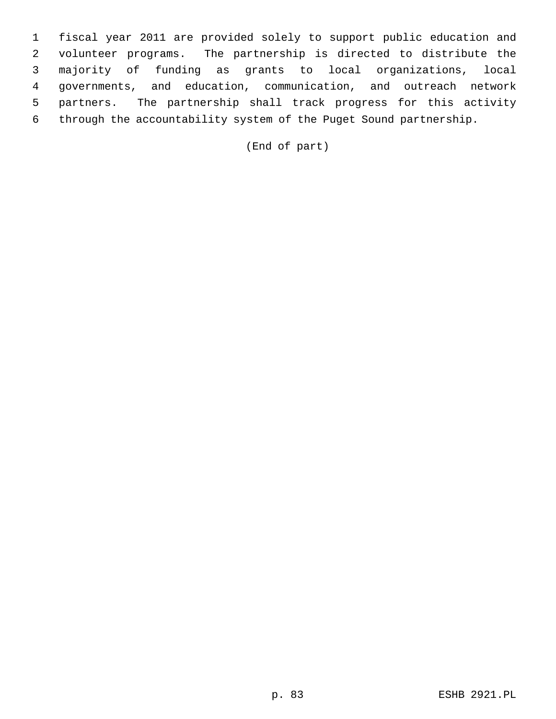1 fiscal year 2011 are provided solely to support public education and 2 volunteer programs. The partnership is directed to distribute the 3 majority of funding as grants to local organizations, local 4 governments, and education, communication, and outreach network 5 partners. The partnership shall track progress for this activity 6 through the accountability system of the Puget Sound partnership.

(End of part)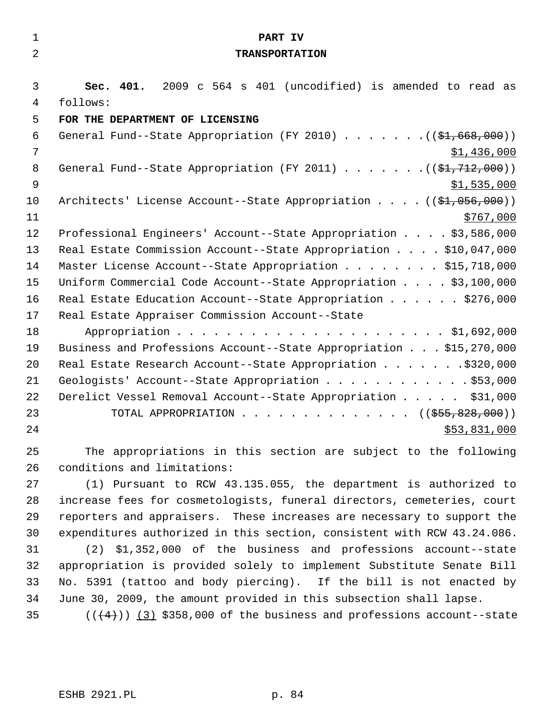| $\mathbf 1$    | PART IV                                                                     |  |  |
|----------------|-----------------------------------------------------------------------------|--|--|
| 2              | <b>TRANSPORTATION</b>                                                       |  |  |
|                |                                                                             |  |  |
| 3              | Sec. 401. 2009 c 564 s 401 (uncodified) is amended to read as               |  |  |
| 4              | follows:                                                                    |  |  |
| 5              | FOR THE DEPARTMENT OF LICENSING                                             |  |  |
| 6              | General Fund--State Appropriation (FY 2010) ( $(\frac{21}{60}, 668, 000)$ ) |  |  |
| 7              | \$1,436,000                                                                 |  |  |
| 8              | General Fund--State Appropriation (FY 2011) ( $(\frac{21.712}{12.000})$     |  |  |
| $\overline{9}$ | \$1,535,000                                                                 |  |  |
| 10             | Architects' License Account--State Appropriation $($ $($ \$1,056,000))      |  |  |
| 11             | \$767,000                                                                   |  |  |
| 12             | Professional Engineers' Account--State Appropriation \$3,586,000            |  |  |
| 13             | Real Estate Commission Account--State Appropriation \$10,047,000            |  |  |
| 14             | Master License Account--State Appropriation \$15,718,000                    |  |  |
| 15             | Uniform Commercial Code Account--State Appropriation \$3,100,000            |  |  |
| 16             | Real Estate Education Account--State Appropriation \$276,000                |  |  |
| 17             | Real Estate Appraiser Commission Account--State                             |  |  |
| 18             |                                                                             |  |  |
| 19             | Business and Professions Account--State Appropriation \$15,270,000          |  |  |
| 20             | Real Estate Research Account--State Appropriation \$320,000                 |  |  |
| 21             | Geologists' Account--State Appropriation \$53,000                           |  |  |
| 22             | Derelict Vessel Removal Account--State Appropriation \$31,000               |  |  |
| 23             | TOTAL APPROPRIATION ( $(\frac{255}{650}, \frac{828}{600})$ )                |  |  |
| 24             | \$53,831,000                                                                |  |  |
| 25             | The appropriations in this section are subject to the following             |  |  |
| 26             | conditions and limitations:                                                 |  |  |
| 27             | (1) Pursuant to RCW 43.135.055, the department is authorized to             |  |  |
| 28             | increase fees for cosmetologists, funeral directors, cemeteries, court      |  |  |
| 29             | reporters and appraisers. These increases are necessary to support the      |  |  |
| 30             | expenditures authorized in this section, consistent with RCW 43.24.086.     |  |  |
| 31             | (2) \$1,352,000 of the business and professions account--state              |  |  |
| 32             | appropriation is provided solely to implement Substitute Senate Bill        |  |  |
| 33             | No. 5391 (tattoo and body piercing). If the bill is not enacted by          |  |  |
| 34             | June 30, 2009, the amount provided in this subsection shall lapse.          |  |  |

35  $((4+))$   $(3)$  \$358,000 of the business and professions account--state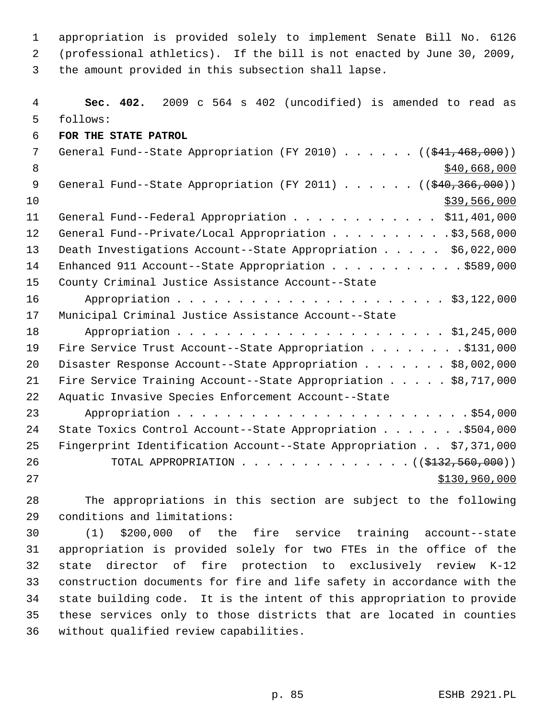1 appropriation is provided solely to implement Senate Bill No. 6126 2 (professional athletics). If the bill is not enacted by June 30, 2009, 3 the amount provided in this subsection shall lapse.

 4 **Sec. 402.** 2009 c 564 s 402 (uncodified) is amended to read as 5 follows: 6 **FOR THE STATE PATROL** 7 General Fund--State Appropriation (FY 2010) . . . . . . ((\$41,468,000)) 8 \$40,668,000 \$40,668,000 \$40,668,000 \$40,668,000 \$40,668,000 \$40,668,000 \$40,668,000 \$ 9 General Fund--State Appropriation (FY 2011) . . . . . . ((\$40,366,000))  $10$  \$39,566,000 11 General Fund--Federal Appropriation . . . . . . . . . . . \$11,401,000 12 General Fund--Private/Local Appropriation . . . . . . . . . \$3,568,000 13 Death Investigations Account--State Appropriation . . . . . \$6,022,000 14 Enhanced 911 Account--State Appropriation . . . . . . . . . . . \$589,000 15 County Criminal Justice Assistance Account--State 16 Appropriation . . . . . . . . . . . . . . . . . . . . . . \$3,122,000 17 Municipal Criminal Justice Assistance Account--State 18 Appropriation . . . . . . . . . . . . . . . . . . . . . . \$1,245,000 19 Fire Service Trust Account--State Appropriation . . . . . . . . \$131,000 20 Disaster Response Account--State Appropriation . . . . . . \$8,002,000 21 Fire Service Training Account--State Appropriation . . . . . \$8,717,000 22 Aquatic Invasive Species Enforcement Account--State 23 Appropriation . . . . . . . . . . . . . . . . . . . . . . . . \$54,000 24 State Toxics Control Account--State Appropriation . . . . . . . \$504,000 25 Fingerprint Identification Account--State Appropriation . . \$7,371,000 26 TOTAL APPROPRIATION . . . . . . . . . . . . . . (  $(\frac{2132}{132}, \frac{560}{100})$  ) 27 \$130,960,000

28 The appropriations in this section are subject to the following 29 conditions and limitations:

30 (1) \$200,000 of the fire service training account--state 31 appropriation is provided solely for two FTEs in the office of the 32 state director of fire protection to exclusively review K-12 33 construction documents for fire and life safety in accordance with the 34 state building code. It is the intent of this appropriation to provide 35 these services only to those districts that are located in counties 36 without qualified review capabilities.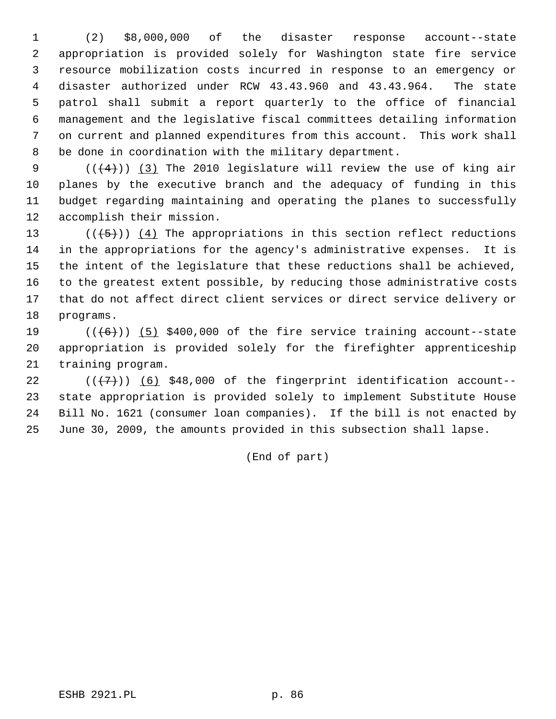1 (2) \$8,000,000 of the disaster response account--state 2 appropriation is provided solely for Washington state fire service 3 resource mobilization costs incurred in response to an emergency or 4 disaster authorized under RCW 43.43.960 and 43.43.964. The state 5 patrol shall submit a report quarterly to the office of financial 6 management and the legislative fiscal committees detailing information 7 on current and planned expenditures from this account. This work shall 8 be done in coordination with the military department.

9  $((+4))$  (3) The 2010 legislature will review the use of king air 10 planes by the executive branch and the adequacy of funding in this 11 budget regarding maintaining and operating the planes to successfully 12 accomplish their mission.

13  $((+5))$   $(4)$  The appropriations in this section reflect reductions 14 in the appropriations for the agency's administrative expenses. It is 15 the intent of the legislature that these reductions shall be achieved, 16 to the greatest extent possible, by reducing those administrative costs 17 that do not affect direct client services or direct service delivery or 18 programs.

19  $((+6))$  (5) \$400,000 of the fire service training account--state 20 appropriation is provided solely for the firefighter apprenticeship 21 training program.

22  $((\langle 7 \rangle)(6)$  \$48,000 of the fingerprint identification account--23 state appropriation is provided solely to implement Substitute House 24 Bill No. 1621 (consumer loan companies). If the bill is not enacted by 25 June 30, 2009, the amounts provided in this subsection shall lapse.

(End of part)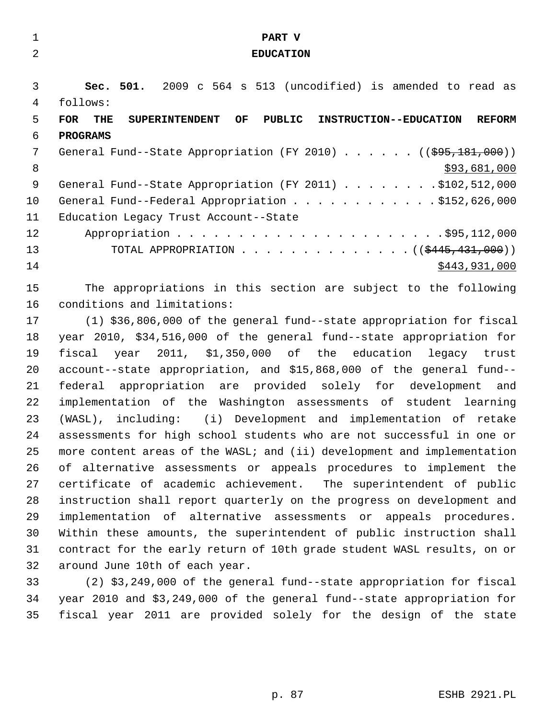| $\mathbf 1$    | PART V                                                                                                       |  |  |
|----------------|--------------------------------------------------------------------------------------------------------------|--|--|
| $\overline{2}$ | <b>EDUCATION</b>                                                                                             |  |  |
|                |                                                                                                              |  |  |
| 3              | Sec. 501. 2009 c 564 s 513 (uncodified) is amended to read as                                                |  |  |
| 4              | follows:                                                                                                     |  |  |
| 5              | PUBLIC<br><b>FOR</b><br>OF<br><b>INSTRUCTION--EDUCATION</b><br><b>REFORM</b><br>THE<br><b>SUPERINTENDENT</b> |  |  |
| 6              | <b>PROGRAMS</b>                                                                                              |  |  |
| 7              | General Fund--State Appropriation (FY 2010) $($ $($ $\frac{695}{181},000)$ )                                 |  |  |
| 8              | \$93,681,000                                                                                                 |  |  |
| 9              | General Fund--State Appropriation (FY 2011) \$102,512,000                                                    |  |  |
| 10             | General Fund--Federal Appropriation \$152,626,000                                                            |  |  |
| 11             | Education Legacy Trust Account--State                                                                        |  |  |
| 12             |                                                                                                              |  |  |
| 13             | TOTAL APPROPRIATION ( $(\frac{2445}{131000})$ )                                                              |  |  |
| 14             | \$443,931,000                                                                                                |  |  |
| 15             | The appropriations in this section are subject to the following                                              |  |  |
| 16             | conditions and limitations:                                                                                  |  |  |
| 17             | (1) \$36,806,000 of the general fund--state appropriation for fiscal                                         |  |  |
| 18             | year 2010, \$34,516,000 of the general fund--state appropriation for                                         |  |  |
| 19             | 2011, \$1,350,000 of the education<br>fiscal<br>legacy trust<br>year                                         |  |  |
| 20             | account--state appropriation, and \$15,868,000 of the general fund--                                         |  |  |
| 21             | appropriation are provided solely for development<br>federal<br>and                                          |  |  |
| 22             | implementation of the Washington assessments of student learning                                             |  |  |
| 23             | (WASL), including: (i) Development and implementation of retake                                              |  |  |
| 24             | assessments for high school students who are not successful in one or                                        |  |  |
| 25             | more content areas of the WASL; and (ii) development and implementation                                      |  |  |
| 26             | of alternative assessments or appeals procedures to implement the                                            |  |  |
| 27             | certificate of academic achievement. The superintendent of public                                            |  |  |
| 28             | instruction shall report quarterly on the progress on development and                                        |  |  |
| 29             | implementation of alternative assessments or appeals procedures.                                             |  |  |
| 30             | Within these amounts, the superintendent of public instruction shall                                         |  |  |
| 31             | contract for the early return of 10th grade student WASL results, on or                                      |  |  |
| 32             | around June 10th of each year.                                                                               |  |  |
| 33             | (2) \$3,249,000 of the general fund--state appropriation for fiscal                                          |  |  |
| 34             | year 2010 and \$3,249,000 of the general fund--state appropriation for                                       |  |  |
| 35             | fiscal year 2011 are provided solely for the design of the state                                             |  |  |
|                |                                                                                                              |  |  |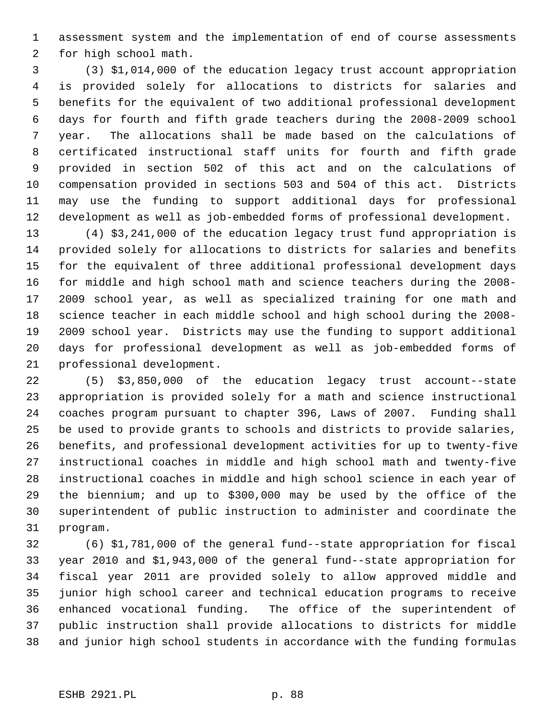1 assessment system and the implementation of end of course assessments 2 for high school math.

 3 (3) \$1,014,000 of the education legacy trust account appropriation 4 is provided solely for allocations to districts for salaries and 5 benefits for the equivalent of two additional professional development 6 days for fourth and fifth grade teachers during the 2008-2009 school 7 year. The allocations shall be made based on the calculations of 8 certificated instructional staff units for fourth and fifth grade 9 provided in section 502 of this act and on the calculations of 10 compensation provided in sections 503 and 504 of this act. Districts 11 may use the funding to support additional days for professional 12 development as well as job-embedded forms of professional development.

13 (4) \$3,241,000 of the education legacy trust fund appropriation is 14 provided solely for allocations to districts for salaries and benefits 15 for the equivalent of three additional professional development days 16 for middle and high school math and science teachers during the 2008- 17 2009 school year, as well as specialized training for one math and 18 science teacher in each middle school and high school during the 2008- 19 2009 school year. Districts may use the funding to support additional 20 days for professional development as well as job-embedded forms of 21 professional development.

22 (5) \$3,850,000 of the education legacy trust account--state 23 appropriation is provided solely for a math and science instructional 24 coaches program pursuant to chapter 396, Laws of 2007. Funding shall 25 be used to provide grants to schools and districts to provide salaries, 26 benefits, and professional development activities for up to twenty-five 27 instructional coaches in middle and high school math and twenty-five 28 instructional coaches in middle and high school science in each year of 29 the biennium; and up to \$300,000 may be used by the office of the 30 superintendent of public instruction to administer and coordinate the 31 program.

32 (6) \$1,781,000 of the general fund--state appropriation for fiscal 33 year 2010 and \$1,943,000 of the general fund--state appropriation for 34 fiscal year 2011 are provided solely to allow approved middle and 35 junior high school career and technical education programs to receive 36 enhanced vocational funding. The office of the superintendent of 37 public instruction shall provide allocations to districts for middle 38 and junior high school students in accordance with the funding formulas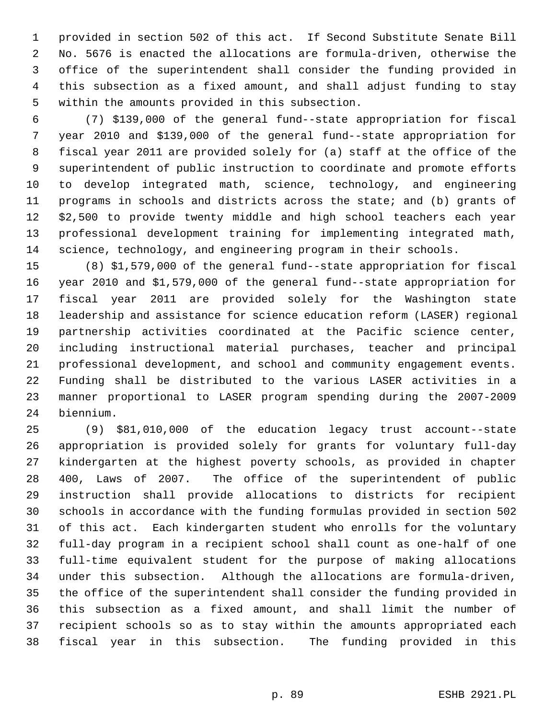1 provided in section 502 of this act. If Second Substitute Senate Bill 2 No. 5676 is enacted the allocations are formula-driven, otherwise the 3 office of the superintendent shall consider the funding provided in 4 this subsection as a fixed amount, and shall adjust funding to stay 5 within the amounts provided in this subsection.

 6 (7) \$139,000 of the general fund--state appropriation for fiscal 7 year 2010 and \$139,000 of the general fund--state appropriation for 8 fiscal year 2011 are provided solely for (a) staff at the office of the 9 superintendent of public instruction to coordinate and promote efforts 10 to develop integrated math, science, technology, and engineering 11 programs in schools and districts across the state; and (b) grants of 12 \$2,500 to provide twenty middle and high school teachers each year 13 professional development training for implementing integrated math, 14 science, technology, and engineering program in their schools.

15 (8) \$1,579,000 of the general fund--state appropriation for fiscal 16 year 2010 and \$1,579,000 of the general fund--state appropriation for 17 fiscal year 2011 are provided solely for the Washington state 18 leadership and assistance for science education reform (LASER) regional 19 partnership activities coordinated at the Pacific science center, 20 including instructional material purchases, teacher and principal 21 professional development, and school and community engagement events. 22 Funding shall be distributed to the various LASER activities in a 23 manner proportional to LASER program spending during the 2007-2009 24 biennium.

25 (9) \$81,010,000 of the education legacy trust account--state 26 appropriation is provided solely for grants for voluntary full-day 27 kindergarten at the highest poverty schools, as provided in chapter 28 400, Laws of 2007. The office of the superintendent of public 29 instruction shall provide allocations to districts for recipient 30 schools in accordance with the funding formulas provided in section 502 31 of this act. Each kindergarten student who enrolls for the voluntary 32 full-day program in a recipient school shall count as one-half of one 33 full-time equivalent student for the purpose of making allocations 34 under this subsection. Although the allocations are formula-driven, 35 the office of the superintendent shall consider the funding provided in 36 this subsection as a fixed amount, and shall limit the number of 37 recipient schools so as to stay within the amounts appropriated each 38 fiscal year in this subsection. The funding provided in this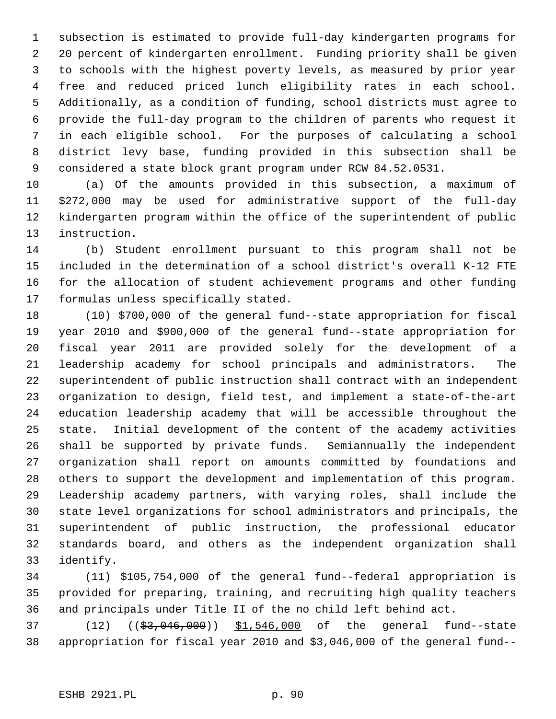1 subsection is estimated to provide full-day kindergarten programs for 2 20 percent of kindergarten enrollment. Funding priority shall be given 3 to schools with the highest poverty levels, as measured by prior year 4 free and reduced priced lunch eligibility rates in each school. 5 Additionally, as a condition of funding, school districts must agree to 6 provide the full-day program to the children of parents who request it 7 in each eligible school. For the purposes of calculating a school 8 district levy base, funding provided in this subsection shall be 9 considered a state block grant program under RCW 84.52.0531.

10 (a) Of the amounts provided in this subsection, a maximum of 11 \$272,000 may be used for administrative support of the full-day 12 kindergarten program within the office of the superintendent of public 13 instruction.

14 (b) Student enrollment pursuant to this program shall not be 15 included in the determination of a school district's overall K-12 FTE 16 for the allocation of student achievement programs and other funding 17 formulas unless specifically stated.

18 (10) \$700,000 of the general fund--state appropriation for fiscal 19 year 2010 and \$900,000 of the general fund--state appropriation for 20 fiscal year 2011 are provided solely for the development of a 21 leadership academy for school principals and administrators. The 22 superintendent of public instruction shall contract with an independent 23 organization to design, field test, and implement a state-of-the-art 24 education leadership academy that will be accessible throughout the 25 state. Initial development of the content of the academy activities 26 shall be supported by private funds. Semiannually the independent 27 organization shall report on amounts committed by foundations and 28 others to support the development and implementation of this program. 29 Leadership academy partners, with varying roles, shall include the 30 state level organizations for school administrators and principals, the 31 superintendent of public instruction, the professional educator 32 standards board, and others as the independent organization shall 33 identify.

34 (11) \$105,754,000 of the general fund--federal appropriation is 35 provided for preparing, training, and recruiting high quality teachers 36 and principals under Title II of the no child left behind act.

37 (12) ((\$3,046,000)) \$1,546,000 of the general fund--state 38 appropriation for fiscal year 2010 and \$3,046,000 of the general fund--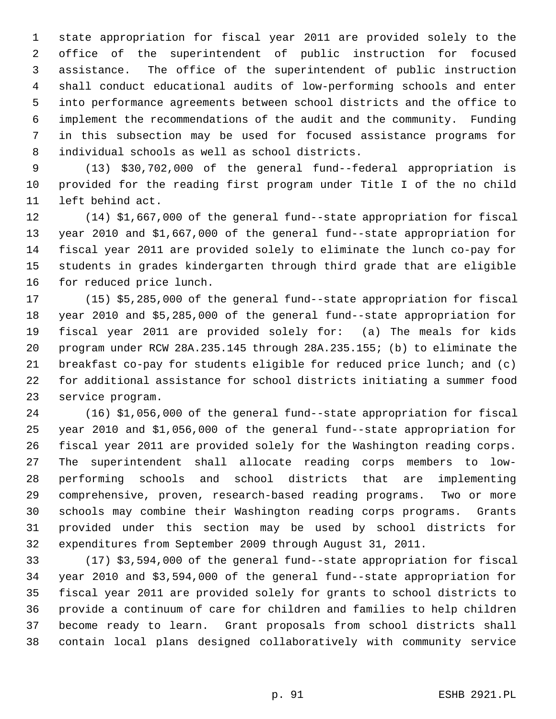1 state appropriation for fiscal year 2011 are provided solely to the 2 office of the superintendent of public instruction for focused 3 assistance. The office of the superintendent of public instruction 4 shall conduct educational audits of low-performing schools and enter 5 into performance agreements between school districts and the office to 6 implement the recommendations of the audit and the community. Funding 7 in this subsection may be used for focused assistance programs for 8 individual schools as well as school districts.

 9 (13) \$30,702,000 of the general fund--federal appropriation is 10 provided for the reading first program under Title I of the no child 11 left behind act.

12 (14) \$1,667,000 of the general fund--state appropriation for fiscal 13 year 2010 and \$1,667,000 of the general fund--state appropriation for 14 fiscal year 2011 are provided solely to eliminate the lunch co-pay for 15 students in grades kindergarten through third grade that are eligible 16 for reduced price lunch.

17 (15) \$5,285,000 of the general fund--state appropriation for fiscal 18 year 2010 and \$5,285,000 of the general fund--state appropriation for 19 fiscal year 2011 are provided solely for: (a) The meals for kids 20 program under RCW 28A.235.145 through 28A.235.155; (b) to eliminate the 21 breakfast co-pay for students eligible for reduced price lunch; and (c) 22 for additional assistance for school districts initiating a summer food 23 service program.

24 (16) \$1,056,000 of the general fund--state appropriation for fiscal 25 year 2010 and \$1,056,000 of the general fund--state appropriation for 26 fiscal year 2011 are provided solely for the Washington reading corps. 27 The superintendent shall allocate reading corps members to low-28 performing schools and school districts that are implementing 29 comprehensive, proven, research-based reading programs. Two or more 30 schools may combine their Washington reading corps programs. Grants 31 provided under this section may be used by school districts for 32 expenditures from September 2009 through August 31, 2011.

33 (17) \$3,594,000 of the general fund--state appropriation for fiscal 34 year 2010 and \$3,594,000 of the general fund--state appropriation for 35 fiscal year 2011 are provided solely for grants to school districts to 36 provide a continuum of care for children and families to help children 37 become ready to learn. Grant proposals from school districts shall 38 contain local plans designed collaboratively with community service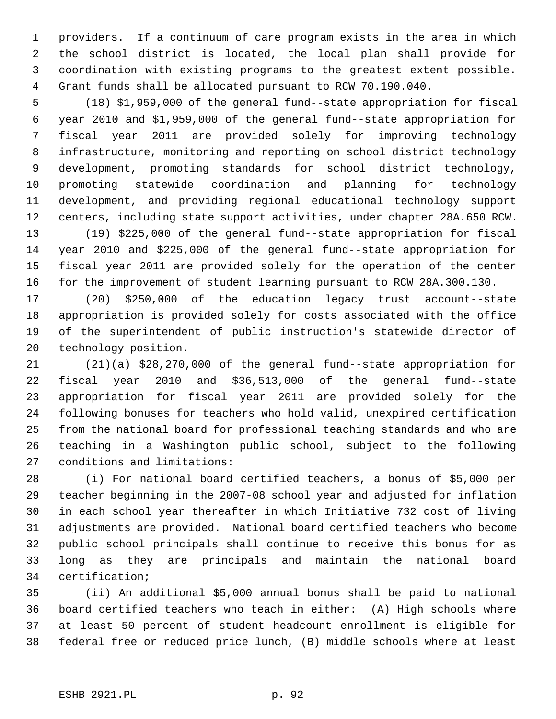1 providers. If a continuum of care program exists in the area in which 2 the school district is located, the local plan shall provide for 3 coordination with existing programs to the greatest extent possible. 4 Grant funds shall be allocated pursuant to RCW 70.190.040.

 5 (18) \$1,959,000 of the general fund--state appropriation for fiscal 6 year 2010 and \$1,959,000 of the general fund--state appropriation for 7 fiscal year 2011 are provided solely for improving technology 8 infrastructure, monitoring and reporting on school district technology 9 development, promoting standards for school district technology, 10 promoting statewide coordination and planning for technology 11 development, and providing regional educational technology support 12 centers, including state support activities, under chapter 28A.650 RCW. 13 (19) \$225,000 of the general fund--state appropriation for fiscal

14 year 2010 and \$225,000 of the general fund--state appropriation for 15 fiscal year 2011 are provided solely for the operation of the center 16 for the improvement of student learning pursuant to RCW 28A.300.130.

17 (20) \$250,000 of the education legacy trust account--state 18 appropriation is provided solely for costs associated with the office 19 of the superintendent of public instruction's statewide director of 20 technology position.

21 (21)(a) \$28,270,000 of the general fund--state appropriation for 22 fiscal year 2010 and \$36,513,000 of the general fund--state 23 appropriation for fiscal year 2011 are provided solely for the 24 following bonuses for teachers who hold valid, unexpired certification 25 from the national board for professional teaching standards and who are 26 teaching in a Washington public school, subject to the following 27 conditions and limitations:

28 (i) For national board certified teachers, a bonus of \$5,000 per 29 teacher beginning in the 2007-08 school year and adjusted for inflation 30 in each school year thereafter in which Initiative 732 cost of living 31 adjustments are provided. National board certified teachers who become 32 public school principals shall continue to receive this bonus for as 33 long as they are principals and maintain the national board 34 certification;

35 (ii) An additional \$5,000 annual bonus shall be paid to national 36 board certified teachers who teach in either: (A) High schools where 37 at least 50 percent of student headcount enrollment is eligible for 38 federal free or reduced price lunch, (B) middle schools where at least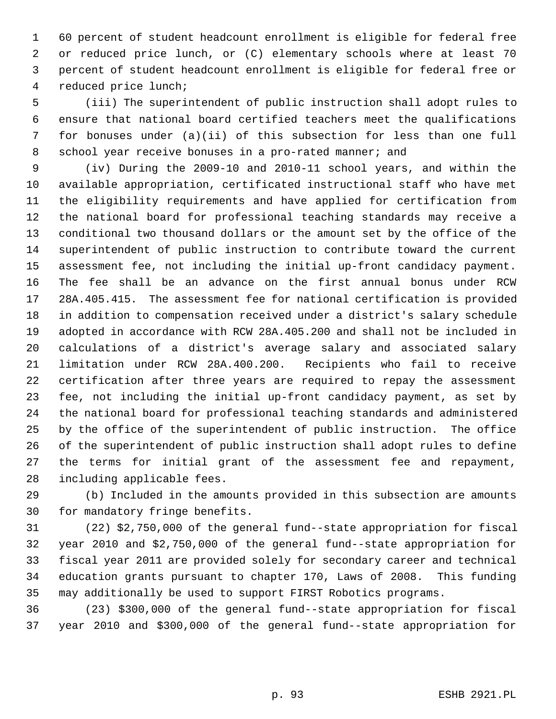1 60 percent of student headcount enrollment is eligible for federal free 2 or reduced price lunch, or (C) elementary schools where at least 70 3 percent of student headcount enrollment is eligible for federal free or 4 reduced price lunch;

 5 (iii) The superintendent of public instruction shall adopt rules to 6 ensure that national board certified teachers meet the qualifications 7 for bonuses under (a)(ii) of this subsection for less than one full 8 school year receive bonuses in a pro-rated manner; and

 9 (iv) During the 2009-10 and 2010-11 school years, and within the 10 available appropriation, certificated instructional staff who have met 11 the eligibility requirements and have applied for certification from 12 the national board for professional teaching standards may receive a 13 conditional two thousand dollars or the amount set by the office of the 14 superintendent of public instruction to contribute toward the current 15 assessment fee, not including the initial up-front candidacy payment. 16 The fee shall be an advance on the first annual bonus under RCW 17 28A.405.415. The assessment fee for national certification is provided 18 in addition to compensation received under a district's salary schedule 19 adopted in accordance with RCW 28A.405.200 and shall not be included in 20 calculations of a district's average salary and associated salary 21 limitation under RCW 28A.400.200. Recipients who fail to receive 22 certification after three years are required to repay the assessment 23 fee, not including the initial up-front candidacy payment, as set by 24 the national board for professional teaching standards and administered 25 by the office of the superintendent of public instruction. The office 26 of the superintendent of public instruction shall adopt rules to define 27 the terms for initial grant of the assessment fee and repayment, 28 including applicable fees.

29 (b) Included in the amounts provided in this subsection are amounts 30 for mandatory fringe benefits.

31 (22) \$2,750,000 of the general fund--state appropriation for fiscal 32 year 2010 and \$2,750,000 of the general fund--state appropriation for 33 fiscal year 2011 are provided solely for secondary career and technical 34 education grants pursuant to chapter 170, Laws of 2008. This funding 35 may additionally be used to support FIRST Robotics programs.

36 (23) \$300,000 of the general fund--state appropriation for fiscal 37 year 2010 and \$300,000 of the general fund--state appropriation for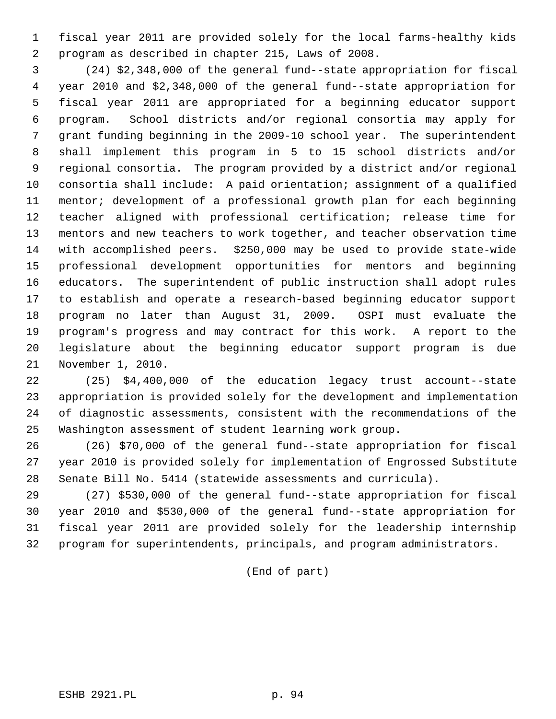1 fiscal year 2011 are provided solely for the local farms-healthy kids 2 program as described in chapter 215, Laws of 2008.

 3 (24) \$2,348,000 of the general fund--state appropriation for fiscal 4 year 2010 and \$2,348,000 of the general fund--state appropriation for 5 fiscal year 2011 are appropriated for a beginning educator support 6 program. School districts and/or regional consortia may apply for 7 grant funding beginning in the 2009-10 school year. The superintendent 8 shall implement this program in 5 to 15 school districts and/or 9 regional consortia. The program provided by a district and/or regional 10 consortia shall include: A paid orientation; assignment of a qualified 11 mentor; development of a professional growth plan for each beginning 12 teacher aligned with professional certification; release time for 13 mentors and new teachers to work together, and teacher observation time 14 with accomplished peers. \$250,000 may be used to provide state-wide 15 professional development opportunities for mentors and beginning 16 educators. The superintendent of public instruction shall adopt rules 17 to establish and operate a research-based beginning educator support 18 program no later than August 31, 2009. OSPI must evaluate the 19 program's progress and may contract for this work. A report to the 20 legislature about the beginning educator support program is due 21 November 1, 2010.

22 (25) \$4,400,000 of the education legacy trust account--state 23 appropriation is provided solely for the development and implementation 24 of diagnostic assessments, consistent with the recommendations of the 25 Washington assessment of student learning work group.

26 (26) \$70,000 of the general fund--state appropriation for fiscal 27 year 2010 is provided solely for implementation of Engrossed Substitute 28 Senate Bill No. 5414 (statewide assessments and curricula).

29 (27) \$530,000 of the general fund--state appropriation for fiscal 30 year 2010 and \$530,000 of the general fund--state appropriation for 31 fiscal year 2011 are provided solely for the leadership internship 32 program for superintendents, principals, and program administrators.

(End of part)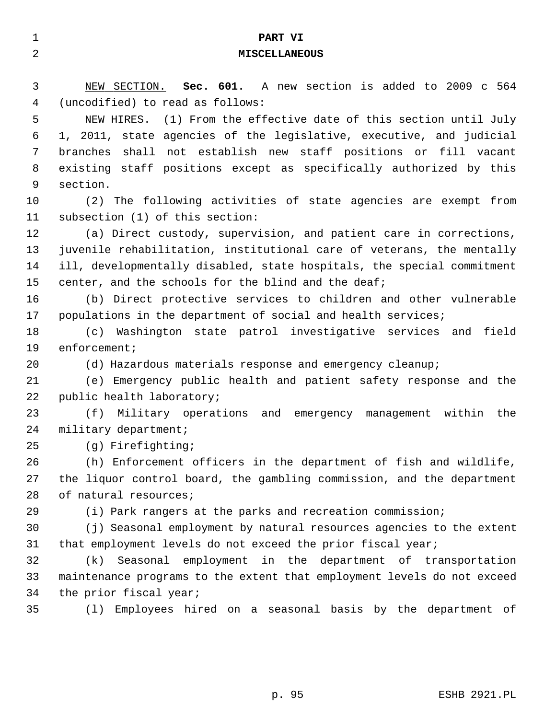| $\mathbf 1$    | PART VI                                                                 |
|----------------|-------------------------------------------------------------------------|
| $\overline{a}$ | <b>MISCELLANEOUS</b>                                                    |
|                |                                                                         |
| 3              | NEW SECTION. Sec. 601. A new section is added to 2009 c 564             |
| 4              | (uncodified) to read as follows:                                        |
| 5              | NEW HIRES. (1) From the effective date of this section until July       |
| 6              | 1, 2011, state agencies of the legislative, executive, and judicial     |
| 7              | branches shall not establish new staff positions or fill vacant         |
| 8              | existing staff positions except as specifically authorized by this      |
| 9              | section.                                                                |
| 10             | (2) The following activities of state agencies are exempt from          |
| 11             | subsection (1) of this section:                                         |
| 12             | (a) Direct custody, supervision, and patient care in corrections,       |
| 13             | juvenile rehabilitation, institutional care of veterans, the mentally   |
| 14             | ill, developmentally disabled, state hospitals, the special commitment  |
| 15             | center, and the schools for the blind and the deaf;                     |
| 16             | (b) Direct protective services to children and other vulnerable         |
| 17             | populations in the department of social and health services;            |
| 18             | (c) Washington state patrol investigative services and field            |
| 19             | $enforeement$ ;                                                         |
| 20             | (d) Hazardous materials response and emergency cleanup;                 |
| 21             | (e) Emergency public health and patient safety response and the         |
| 22             | public health laboratory;                                               |
| 23             | Military operations and emergency management within the<br>(f)          |
| 24             | military department;                                                    |
| 25             | (g) Firefighting;                                                       |
| 26             | (h) Enforcement officers in the department of fish and wildlife,        |
| 27             | the liquor control board, the gambling commission, and the department   |
| 28             | of natural resources;                                                   |
| 29             | (i) Park rangers at the parks and recreation commission;                |
| 30             | (j) Seasonal employment by natural resources agencies to the extent     |
| 31             | that employment levels do not exceed the prior fiscal year;             |
| 32             | Seasonal employment in the department of transportation<br>(k)          |
| 33             | maintenance programs to the extent that employment levels do not exceed |
| 34             | the prior fiscal year;                                                  |
| 35             | Employees hired on a seasonal basis by the department of<br>(1)         |
|                |                                                                         |
|                |                                                                         |
|                |                                                                         |
|                |                                                                         |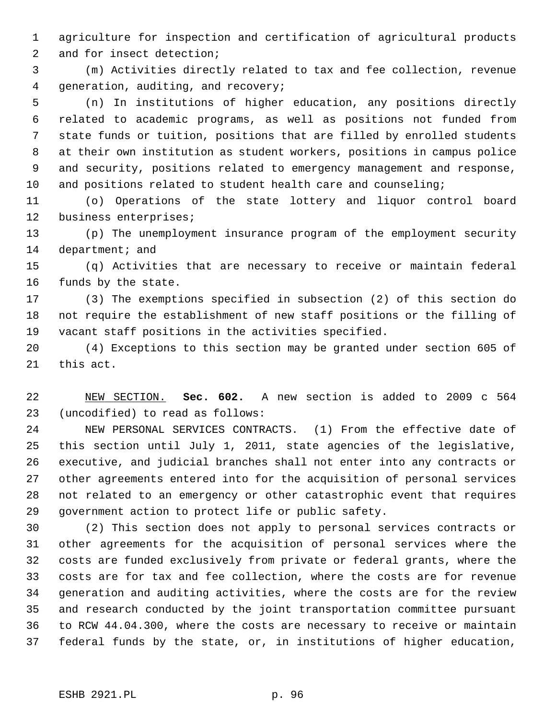1 agriculture for inspection and certification of agricultural products 2 and for insect detection;

 3 (m) Activities directly related to tax and fee collection, revenue 4 generation, auditing, and recovery;

 5 (n) In institutions of higher education, any positions directly 6 related to academic programs, as well as positions not funded from 7 state funds or tuition, positions that are filled by enrolled students 8 at their own institution as student workers, positions in campus police 9 and security, positions related to emergency management and response, 10 and positions related to student health care and counseling;

11 (o) Operations of the state lottery and liquor control board 12 business enterprises;

13 (p) The unemployment insurance program of the employment security 14 department; and

15 (q) Activities that are necessary to receive or maintain federal 16 funds by the state.

17 (3) The exemptions specified in subsection (2) of this section do 18 not require the establishment of new staff positions or the filling of 19 vacant staff positions in the activities specified.

20 (4) Exceptions to this section may be granted under section 605 of 21 this act.

22 NEW SECTION. **Sec. 602.** A new section is added to 2009 c 564 23 (uncodified) to read as follows:

24 NEW PERSONAL SERVICES CONTRACTS. (1) From the effective date of 25 this section until July 1, 2011, state agencies of the legislative, 26 executive, and judicial branches shall not enter into any contracts or 27 other agreements entered into for the acquisition of personal services 28 not related to an emergency or other catastrophic event that requires 29 government action to protect life or public safety.

30 (2) This section does not apply to personal services contracts or 31 other agreements for the acquisition of personal services where the 32 costs are funded exclusively from private or federal grants, where the 33 costs are for tax and fee collection, where the costs are for revenue 34 generation and auditing activities, where the costs are for the review 35 and research conducted by the joint transportation committee pursuant 36 to RCW 44.04.300, where the costs are necessary to receive or maintain 37 federal funds by the state, or, in institutions of higher education,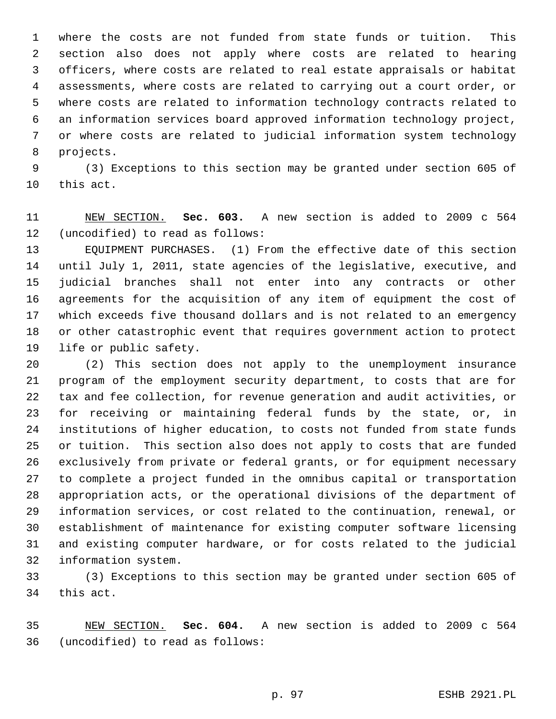1 where the costs are not funded from state funds or tuition. This 2 section also does not apply where costs are related to hearing 3 officers, where costs are related to real estate appraisals or habitat 4 assessments, where costs are related to carrying out a court order, or 5 where costs are related to information technology contracts related to 6 an information services board approved information technology project, 7 or where costs are related to judicial information system technology 8 projects.

 9 (3) Exceptions to this section may be granted under section 605 of 10 this act.

11 NEW SECTION. **Sec. 603.** A new section is added to 2009 c 564 12 (uncodified) to read as follows:

13 EQUIPMENT PURCHASES. (1) From the effective date of this section 14 until July 1, 2011, state agencies of the legislative, executive, and 15 judicial branches shall not enter into any contracts or other 16 agreements for the acquisition of any item of equipment the cost of 17 which exceeds five thousand dollars and is not related to an emergency 18 or other catastrophic event that requires government action to protect 19 life or public safety.

20 (2) This section does not apply to the unemployment insurance 21 program of the employment security department, to costs that are for 22 tax and fee collection, for revenue generation and audit activities, or 23 for receiving or maintaining federal funds by the state, or, in 24 institutions of higher education, to costs not funded from state funds 25 or tuition. This section also does not apply to costs that are funded 26 exclusively from private or federal grants, or for equipment necessary 27 to complete a project funded in the omnibus capital or transportation 28 appropriation acts, or the operational divisions of the department of 29 information services, or cost related to the continuation, renewal, or 30 establishment of maintenance for existing computer software licensing 31 and existing computer hardware, or for costs related to the judicial 32 information system.

33 (3) Exceptions to this section may be granted under section 605 of 34 this act.

35 NEW SECTION. **Sec. 604.** A new section is added to 2009 c 564 36 (uncodified) to read as follows: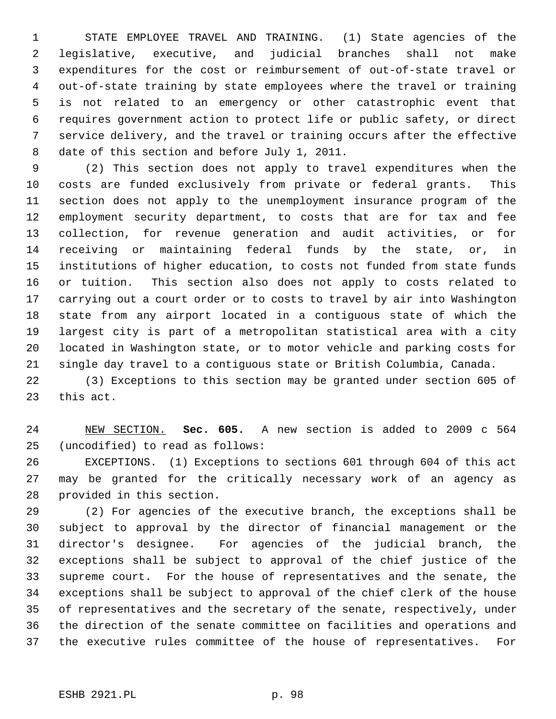1 STATE EMPLOYEE TRAVEL AND TRAINING. (1) State agencies of the 2 legislative, executive, and judicial branches shall not make 3 expenditures for the cost or reimbursement of out-of-state travel or 4 out-of-state training by state employees where the travel or training 5 is not related to an emergency or other catastrophic event that 6 requires government action to protect life or public safety, or direct 7 service delivery, and the travel or training occurs after the effective 8 date of this section and before July 1, 2011.

 9 (2) This section does not apply to travel expenditures when the 10 costs are funded exclusively from private or federal grants. This 11 section does not apply to the unemployment insurance program of the 12 employment security department, to costs that are for tax and fee 13 collection, for revenue generation and audit activities, or for 14 receiving or maintaining federal funds by the state, or, in 15 institutions of higher education, to costs not funded from state funds 16 or tuition. This section also does not apply to costs related to 17 carrying out a court order or to costs to travel by air into Washington 18 state from any airport located in a contiguous state of which the 19 largest city is part of a metropolitan statistical area with a city 20 located in Washington state, or to motor vehicle and parking costs for 21 single day travel to a contiguous state or British Columbia, Canada.

22 (3) Exceptions to this section may be granted under section 605 of 23 this act.

24 NEW SECTION. **Sec. 605.** A new section is added to 2009 c 564 25 (uncodified) to read as follows:

26 EXCEPTIONS. (1) Exceptions to sections 601 through 604 of this act 27 may be granted for the critically necessary work of an agency as 28 provided in this section.

29 (2) For agencies of the executive branch, the exceptions shall be 30 subject to approval by the director of financial management or the 31 director's designee. For agencies of the judicial branch, the 32 exceptions shall be subject to approval of the chief justice of the 33 supreme court. For the house of representatives and the senate, the 34 exceptions shall be subject to approval of the chief clerk of the house 35 of representatives and the secretary of the senate, respectively, under 36 the direction of the senate committee on facilities and operations and 37 the executive rules committee of the house of representatives. For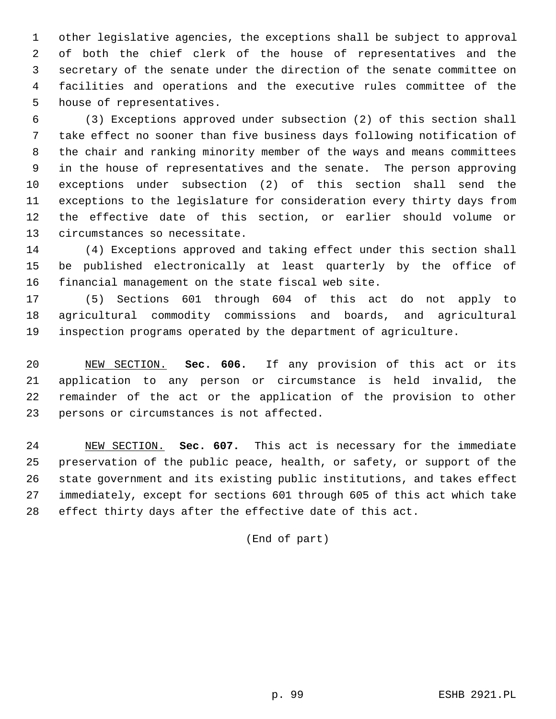1 other legislative agencies, the exceptions shall be subject to approval 2 of both the chief clerk of the house of representatives and the 3 secretary of the senate under the direction of the senate committee on 4 facilities and operations and the executive rules committee of the 5 house of representatives.

 6 (3) Exceptions approved under subsection (2) of this section shall 7 take effect no sooner than five business days following notification of 8 the chair and ranking minority member of the ways and means committees 9 in the house of representatives and the senate. The person approving 10 exceptions under subsection (2) of this section shall send the 11 exceptions to the legislature for consideration every thirty days from 12 the effective date of this section, or earlier should volume or 13 circumstances so necessitate.

14 (4) Exceptions approved and taking effect under this section shall 15 be published electronically at least quarterly by the office of 16 financial management on the state fiscal web site.

17 (5) Sections 601 through 604 of this act do not apply to 18 agricultural commodity commissions and boards, and agricultural 19 inspection programs operated by the department of agriculture.

20 NEW SECTION. **Sec. 606.** If any provision of this act or its 21 application to any person or circumstance is held invalid, the 22 remainder of the act or the application of the provision to other 23 persons or circumstances is not affected.

24 NEW SECTION. **Sec. 607.** This act is necessary for the immediate 25 preservation of the public peace, health, or safety, or support of the 26 state government and its existing public institutions, and takes effect 27 immediately, except for sections 601 through 605 of this act which take 28 effect thirty days after the effective date of this act.

(End of part)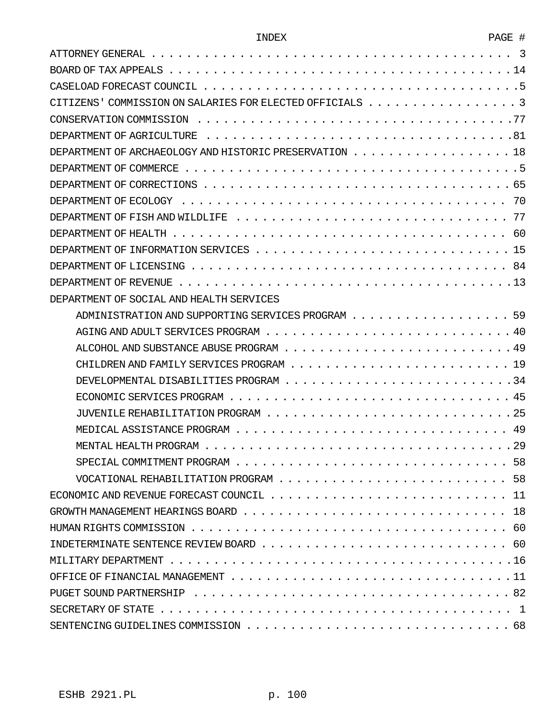| Ö |  |
|---|--|
|   |  |

| DEPARTMENT OF ARCHAEOLOGY AND HISTORIC PRESERVATION 18                                                                           |
|----------------------------------------------------------------------------------------------------------------------------------|
|                                                                                                                                  |
|                                                                                                                                  |
|                                                                                                                                  |
|                                                                                                                                  |
|                                                                                                                                  |
|                                                                                                                                  |
|                                                                                                                                  |
|                                                                                                                                  |
| DEPARTMENT OF SOCIAL AND HEALTH SERVICES                                                                                         |
| ADMINISTRATION AND SUPPORTING SERVICES PROGRAM 59                                                                                |
|                                                                                                                                  |
|                                                                                                                                  |
|                                                                                                                                  |
|                                                                                                                                  |
|                                                                                                                                  |
|                                                                                                                                  |
|                                                                                                                                  |
|                                                                                                                                  |
|                                                                                                                                  |
|                                                                                                                                  |
|                                                                                                                                  |
| GROWTH MANAGEMENT HEARINGS BOARD $\ldots \ldots \ldots \ldots \ldots \ldots \ldots \ldots \ldots \ldots \ldots \ldots \ldots 18$ |
|                                                                                                                                  |
|                                                                                                                                  |
|                                                                                                                                  |
|                                                                                                                                  |
|                                                                                                                                  |
|                                                                                                                                  |
|                                                                                                                                  |